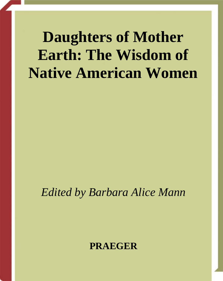# **Daughters of Mother Earth: The Wisdom of Native American Women**

**Edited by Barbara Alice Mann** 

### **PRAEGER**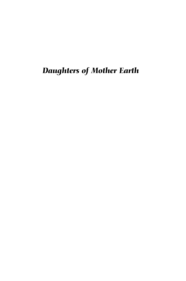Daughters of Mother Earth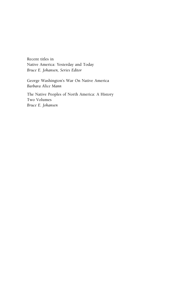Recent titles in Native America: Yesterday and Today Bruce E. Johansen, Series Editor

George Washington's War On Native America Barbara Alice Mann

The Native Peoples of North America: A History Two Volumes Bruce E. Johansen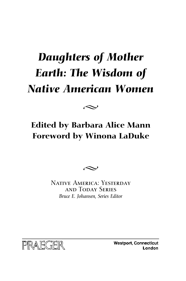# Daughters of Mother Earth: The Wisdom of Native American Women



# Edited by Barbara Alice Mann Foreword by Winona LaDuke



Native America: Yesterday and Today Series Bruce E. Johansen, Series Editor



**Westport, Connecticut** London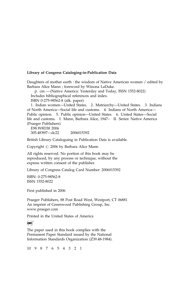#### Library of Congress Cataloging-in-Publication Data

Daughters of mother earth : the wisdom of Native American women / edited by Barbara Alice Mann ; foreword by Winona LaDuke.

p. cm. — (Native America: Yesterday and Today, ISSN 1552-8022) Includes bibliographical references and index.

ISBN 0-275-98562-8 (alk. paper)

1. Indian women—United States. 2. Matriarchy—United States. 3. Indians of North America—Social life and customs. 4. Indians of North America— Public opinion. 5. Public opinion—United States. 6. United States—Social life and customs. I. Mann, Barbara Alice, 1947– II. Series: Native America (Praeger Publishers)

E98.W8D38 2006 305.48'897—dc22 2006015392

British Library Cataloguing in Publication Data is available.

Copyright  $\odot$  2006 by Barbara Alice Mann

All rights reserved. No portion of this book may be reproduced, by any process or technique, without the express written consent of the publisher.

Library of Congress Catalog Card Number: 2006015392

ISBN: 0-275-98562-8 ISSN 1552-8022

First published in 2006

Praeger Publishers, 88 Post Road West, Westport, CT 06881 An imprint of Greenwood Publishing Group, Inc. www.praeger.com

Printed in the United States of America

(యె

The paper used in this book complies with the Permanent Paper Standard issued by the National Information Standards Organization (Z39.48-1984).

10 9 8 7 6 5 4 3 2 1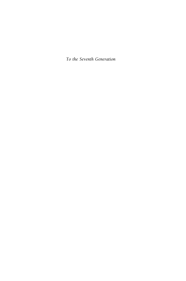To the Seventh Generation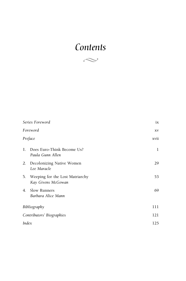# **Contents**

 $\sim$ 

| Series Foreword<br>Foreword<br>Preface |                                                       | ix   |
|----------------------------------------|-------------------------------------------------------|------|
|                                        |                                                       | XV   |
|                                        |                                                       | xvii |
| 1.                                     | Does Euro-Think Become Us?<br>Paula Gunn Allen        | 1    |
| 2.                                     | Decolonizing Native Women<br>Lee Maracle              | 29   |
| 3.                                     | Weeping for the Lost Matriarchy<br>Kay Givens McGowan | 53   |
| 4.                                     | Slow Runners<br>Barbara Alice Mann                    | 69   |
| Bibliography                           |                                                       | 111  |
| Contributors' Biographies              |                                                       | 121  |
| <i>Index</i>                           |                                                       | 125  |
|                                        |                                                       |      |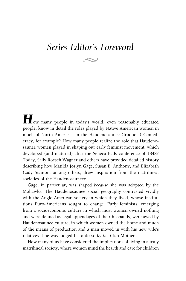### Series Editor's Foreword

 $\sim$ 

How many people in today's world, even reasonably educated people, know in detail the roles played by Native American women in much of North America—in the Haudenosaunee (Iroquois) Confederacy, for example? How many people realize the role that Haudenosaunee women played in shaping our early feminist movement, which developed (and matured) after the Seneca Falls conference of 1848? Today, Sally Roesch Wagner and others have provided detailed history describing how Matilda Joslyn Gage, Susan B. Anthony, and Elizabeth Cady Stanton, among others, drew inspiration from the matrilineal societies of the Haudenosauneee.

Gage, in particular, was shaped because she was adopted by the Mohawks. The Haudenosaunee social geography contrasted vividly with the Anglo-American society in which they lived, whose institutions Euro-Americans sought to change. Early feminists, emerging from a socioeconomic culture in which most women owned nothing and were defined as legal appendages of their husbands, were awed by Haudenosaunee culture, in which women owned the home and much of the means of production and a man moved in with his new wife's relatives if he was judged fit to do so by the Clan Mothers.

How many of us have considered the implications of living in a truly matrilineal society, where women mind the hearth and care for children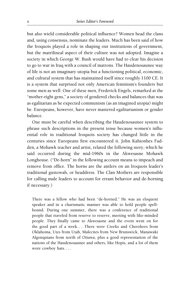but also wield considerable political influence? Women head the clans and, using consensus, nominate the leaders. Much has been said of how the Iroquois played a role in shaping our institutions of government, but the matrilineal aspect of their culture was not adopted. Imagine a society in which George W. Bush would have had to clear his decision to go to war in Iraq with a council of matrons. The Haudenosaunee way of life is not an imaginary utopia but a functioning political, economic, and cultural system that has maintained itself since roughly 1100 CE. It is a system that surprised not only American feminism's founders but some men as well. One of these men, Frederick Engels, remarked at the ''mother-right gens,'' a society of gendered checks and balances that was as egalitarian as he expected communism (as an imagined utopia) might be. Europeans, however, have never mastered egalitarianism or gender balance.

One must be careful when describing the Haudenosaunee system to phrase such descriptions in the present tense because women's influential role in traditional Iroquois society has changed little in the centuries since Europeans first encountered it. John Kahionhes Fadden, a Mohawk teacher and artist, related the following story, which he said occurred during the mid-1960s in the Akwesasne Mohawk Longhouse. (''De-horn'' in the following account means to impeach and remove from office. The horns are the antlers on an Iroquois leader's traditional gustowah, or headdress. The Clan Mothers are responsible for calling male leaders to account for errant behavior and de-horning if necessary.)

There was a fellow who had been ''de-horned.'' He was an eloquent speaker and in a charismatic manner was able to hold people spellbound. During one summer, there was a conference of traditional people that traveled from reserve to reserve, meeting with like-minded people. They finally came to Akwesasne and the event went on for the good part of a week. ... There were Creeks and Cherokees from Oklahoma, Utes from Utah, Malecites from New Brunswick, Manawaki Algonquians from north of Ottawa, plus a good representation of the nations of the Haudenosaunee and others, like Hopis, and a lot of them wore cowboy hats. ...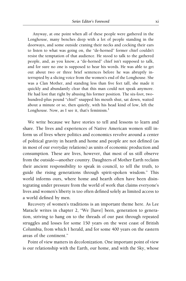Anyway, at one point when all of these people were gathered in the Longhouse, many benches deep with a lot of people standing in the doorways, and some outside craning their necks and cocking their ears to listen to what was going on, the ''de-horned'' former chief couldn't resist the temptation of that audience. He stood to talk to the gathered people, and, as you know, a ''de-horned'' chief isn't supposed to talk, and for sure no one is supposed to hear his words. He was able to get out about two or three brief sentences before he was abruptly interrupted by a slicing voice from the women's end of the Longhouse. She was a Clan Mother, and standing less than five feet tall, she made it quickly and abundantly clear that this man could not speak anymore. He had lost that right by abusing his former position. The six-foot, twohundred-plus pound ''chief'' snapped his mouth shut, sat down, waited about a minute or so, then quietly, with his head kind of low, left the Longhouse. Now, as I see it, that's feminism. $<sup>1</sup>$ </sup>

We write because we have stories to tell and lessons to learn and share. The lives and experiences of Native American women still inform us of lives where politics and economics revolve around a center of political gravity in hearth and home and people are not defined (as in most of our everyday relations) as units of economic production and consumption. These are lives, however, that most of us still observe from the outside—another country. Daughters of Mother Earth reclaim their ancient responsibility to speak in council, to tell the truth, to guide the rising generations through spirit-spoken wisdom.'' This world informs ours, where home and hearth often have been disintegrating under pressure from the world of work that claims everyone's lives and women's liberty is too often defined solely as limited access to a world defined by men.

Recovery of women's traditions is an important theme here. As Lee Maracle writes in chapter 2, ''We [have] been, generation to generation, striving to hang on to the threads of our past through repeated struggles and losses for some 150 years on the west coast of British Columbia, from which I herald, and for some 400 years on the eastern areas of the continent.''

Point of view matters in decolonization. One important point of view is our relationship with the Earth, our home, and with the Sky, whose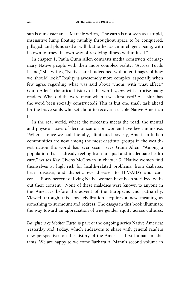sun is our sustenance. Maracle writes, ''The earth is not seen as a stupid, insensitive lump floating numbly throughout space to be conquered, pillaged, and plundered at will, but rather as an intelligent being, with its own journey, its own way of resolving illness within itself.''

In chapter 1, Paula Gunn Allen contrasts media constructs of imaginary Native people with their more complex reality. "Across Turtle Island,'' she writes, ''Natives are bludgeoned with alien images of how we 'should' look.'' Reality is awesomely more complex, especially when few agree regarding what was said about whom, with what affect.'' Gunn Allen's rhetorical history of the word squaw will surprise many readers. What did the word mean when it was first used? As a slur, has the word been socially constructed? This is but one small task ahead for the brave souls who set about to recover a usable Native American past.

In the real world, where the moccasin meets the road, the mental and physical taxes of decolonization on women have been immense. ''Whereas once we had, literally, eliminated poverty, American Indian communities are now among the most destitute groups in the wealthiest nation the world has ever seen," says Gunn Allen. "Among a population that is already reeling from unequal and inadequate health care,'' writes Kay Givens McGowan in chapter 3, ''Native women find themselves at high risk for health-related problems, from diabetes, heart disease, and diabetic eye disease, to HIV/AIDS and cancer. ... Forty percent of living Native women have been sterilized without their consent.'' None of these maladies were known to anyone in the Americas before the advent of the Europeans and patriarchy. Viewed through this lens, civilization acquires a new meaning as something to surmount and redress. The essays in this book illuminate the way toward an appreciation of true gender equity across cultures.

Daughters of Mother Earth is part of the ongoing series Native America: Yesterday and Today, which endeavors to share with general readers new perspectives on the history of the Americas' first human inhabitants. We are happy to welcome Barbara A. Mann's second volume in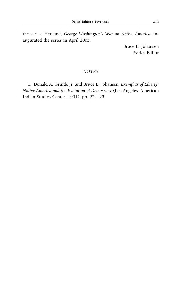the series. Her first, George Washington's War on Native America, inaugurated the series in April 2005.

> Bruce E. Johansen Series Editor

#### NOTES

1. Donald A. Grinde Jr. and Bruce E. Johansen, Exemplar of Liberty: Native America and the Evolution of Democracy (Los Angeles: American Indian Studies Center, 1991), pp. 224–25.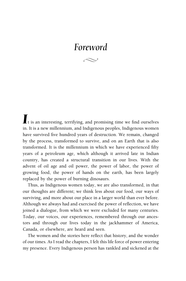### Foreword

 $\sim$ 

It is an interesting, terrifying, and promising time we find ourselves in. It is a new millennium, and Indigenous peoples, Indigenous women have survived five hundred years of destruction. We remain, changed by the process, transformed to survive, and on an Earth that is also transformed. It is the millennium in which we have experienced fifty years of a petroleum age, which although it arrived late in Indian country, has created a structural transition in our lives. With the advent of oil age and oil power, the power of labor, the power of growing food, the power of hands on the earth, has been largely replaced by the power of burning dinosaurs.

Thus, as Indigenous women today, we are also transformed, in that our thoughts are different; we think less about our food, our ways of surviving, and more about our place in a larger world than ever before. Although we always had and exercised the power of reflection, we have joined a dialogue, from which we were excluded for many centuries. Today, our voices, our experiences, remembered through our ancestors and through our lives today in the jackhammer of America, Canada, or elsewhere, are heard and seen.

The women and the stories here reflect that history, and the wonder of our times. As I read the chapters, I felt this life force of power entering my presence. Every Indigenous person has rankled and sickened at the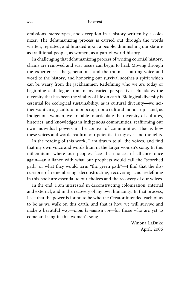omissions, stereotypes, and deception in a history written by a colonizer. The dehumanizing process is carried out through the words written, repeated, and branded upon a people, diminishing our stature as traditional people, as women, as a part of world history.

In challenging that dehumanizing process of writing colonial history, chains are removed and scar tissue can begin to heal. Moving through the experiences, the generations, and the traumas, putting voice and word to the history, and honoring our survival soothes a spirit which can be weary from the jackhammer. Redefining who we are today or beginning a dialogue from many varied perspectives elucidates the diversity that has been the vitality of life on earth. Biological diversity is essential for ecological sustainability, as is cultural diversity—we neither want an agricultural monocrop, nor a cultural monocrop—and, as Indigenous women, we are able to articulate the diversity of cultures, histories, and knowledges in Indigenous communities, reaffirming our own individual powers in the context of communities. That is how these voices and words reaffirm our potential in my eyes and thoughts.

In the reading of this work, I am drawn to all the voices, and find that my own voice and words hum in the larger women's song. In this millennium, where our peoples face the choices of alliance once again—an alliance with what our prophets would call the ''scorched path'' or what they would term ''the green path''—I find that the discussions of remembering, deconstructing, recovering, and redefining in this book are essential to our choices and the recovery of our voices.

In the end, I am interested in deconstructing colonization, internal and external, and in the recovery of my own humanity. In that process, I see that the power is found to be who the Creator intended each of us to be as we walk on this earth, and that is how we will survive and make a beautiful way—mino bimaatisiiwin—for those who are yet to come and sing in this women's song.

> Winona LaDuke April, 2006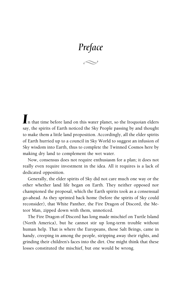# Preface

 $\sim$ 

In that time before land on this water planet, so the Iroquoian elders say, the spirits of Earth noticed the Sky People passing by and thought to make them a little land proposition. Accordingly, all the elder spirits of Earth hurried up to a council in Sky World to suggest an infusion of Sky wisdom into Earth, thus to complete the Twinned Cosmos here by making dry land to complement the wet water.

Now, consensus does not require enthusiasm for a plan; it does not really even require investment in the idea. All it requires is a lack of dedicated opposition.

Generally, the elder spirits of Sky did not care much one way or the other whether land life began on Earth. They neither opposed nor championed the proposal, which the Earth spirits took as a consensual go-ahead. As they sprinted back home (before the spirits of Sky could reconsider), that White Panther, the Fire Dragon of Discord, the Meteor Man, zipped down with them, unnoticed.

The Fire Dragon of Discord has long made mischief on Turtle Island (North America), but he cannot stir up long-term trouble without human help. That is where the Europeans, those Salt Beings, came in handy, creeping in among the people, stripping away their rights, and grinding their children's faces into the dirt. One might think that these losses constituted the mischief, but one would be wrong.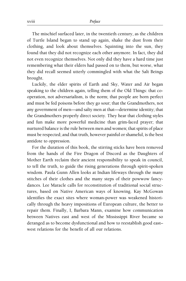The mischief surfaced later, in the twentieth century, as the children of Turtle Island began to stand up again, shake the dust from their clothing, and look about themselves. Squinting into the sun, they found that they did not recognize each other anymore. In fact, they did not even recognize themselves. Not only did they have a hard time just remembering what their elders had passed on to them, but worse, what they did recall seemed utterly commingled with what the Salt Beings brought.

Luckily, the elder spirits of Earth and Sky, Water and Air began speaking to the children again, telling them of the Old Things: that cooperation, not adversarialism, is the norm; that people are born perfect and must be fed poisons before they go sour; that the Grandmothers, not any government of men—and salty men at that—determine identity; that the Grandmothers properly direct society. They hear that clothing styles and fun make more powerful medicine than grim-faced prayer; that nurtured balance is the rule between men and women; that spirits of place must be respected; and that truth, however painful or shameful, is the best antidote to oppression.

For the duration of this book, the stirring sticks have been removed from the hands of the Fire Dragon of Discord as the Daughters of Mother Earth reclaim their ancient responsibility to speak in council, to tell the truth, to guide the rising generations through spirit-spoken wisdom. Paula Gunn Allen looks at Indian lifeways through the many stitches of their clothes and the many steps of their powwow fancydances. Lee Maracle calls for reconstitution of traditional social structures, based on Native American ways of knowing. Kay McGowan identifies the exact sites where woman-power was weakened historically through the heavy impositions of European culture, the better to repair them. Finally, I, Barbara Mann, examine how communication between Natives east and west of the Mississippi River became so deranged as to become dysfunctional and how to reestablish good east– west relations for the benefit of all our relations.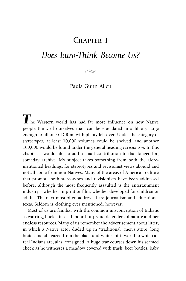# CHAPTER 1 Does Euro-Think Become Us?

 $\curvearrowright$ 

Paula Gunn Allen

 $\sum_{n=1}^{\infty}$  he Western world has had far more influence on how Native people think of ourselves than can be elucidated in a library large enough to fill one CD Rom with plenty left over. Under the category of stereotypes, at least 10,000 volumes could be shelved, and another 100,000 would be found under the general heading revisionism. In this chapter, I would like to add a small contribution to that longed-for, someday archive. My subject takes something from both the aforementioned headings, for stereotypes and revisionist views abound and not all come from non-Natives. Many of the areas of American culture that promote both stereotypes and revisionism have been addressed before, although the most frequently assaulted is the entertainment industry—whether in print or film, whether developed for children or adults. The next most often addressed are journalism and educational texts. Seldom is clothing ever mentioned, however.

Most of us are familiar with the common misconception of Indians as warring, buckskin-clad, poor-but-proud defenders of nature and her endless resources. Many of us remember the advertisement about litter, in which a Native actor duded up in ''traditional'' men's attire, long braids and all, gazed from the black-and-white spirit world to which all real Indians are, alas, consigned. A huge tear courses down his seamed cheek as he witnesses a meadow covered with trash: beer bottles, baby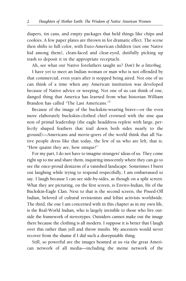diapers, tin cans, and empty packages that held things like chips and cookies. A few paper plates are thrown in for dramatic effect. The scene then shifts to full color, with Euro-American children (not one Native kid among them), clean-faced and clear-eyed, dutifully picking up trash to deposit it in the appropriate receptacle.

Ah, see what our Native forefathers taught us? Don't be a litterbug.

I have yet to meet an Indian woman or man who is not offended by that commercial, even years after it stopped being aired. Not one of us can think of a time when any American institution was developed because of Native advice or weeping. Not one of us can think of one, danged thing that America has learned from what historian William Brandon has called "The Last Americans."<sup>1</sup>

Because of the image of the buckskin-wearing brave—or the even more elaborately buckskin-clothed chief crowned with the sine qua non of primal leadership (the eagle headdress replete with large, perfectly shaped feathers that trail down both sides nearly to the ground)—Americans and movie-goers of the world think that all Native people dress like that today, the few of us who are left, that is. ''How quaint they are, how unique!''

For my part, I do not have to imagine strangers' ideas of us. They come right up to me and share them, inquiring innocently where they can go to see the once-proud denizens of a vanished landscape. Sometimes I burst out laughing while trying to respond respectfully, I am embarrassed to say. I laugh because I can see side-by-sides, as though on a split screen. What they are picturing, on the first screen, is Enviro-Indian, He of the Buckskin-Eagle Clan. Next to that is the second screen, the Pissed-Off Indian, beloved of cultural revisionists and leftist activists worldwide. The third, the one I am concerned with in this chapter as in my own life, is the Real-World Indian, who is largely invisible to those who live outside the framework of stereotypes. Outsiders cannot make out the image there because the clothing is all modern. I suppose it is better that I laugh over this rather than yell and throw insults. My ancestors would never recover from the shame if I did such a disreputable thing.

Still, so powerful are the images beamed at us via the great American network of all media—including the meme network of the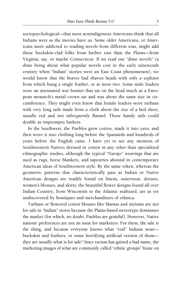sociopsychological—that most nonindigenous Americans think that all Indians were as the movies have us. Some older Americans, or Americans more addicted to reading novels from different eras, might add those buckskin-clad folks from farther east than the Plains—from Virginia, say, or maybe Connecticut. If we read our ''dime novels'' (a dime being about what popular novels cost in the early nineteenth century when ''Indian'' stories were an East Coast phenomenon), we would know that the braves had shaven heads with only a topknot from which hung a single feather, or at most two. Some male leaders wore an attenuated war bonnet that sat on the head much as a European monarch's metal crown sat and was about the same size in circumference. They might even know that female leaders wore turbans with very long tails made from a cloth about the size of a bed sheet, usually red and not infrequently flannel. Those handy tails could double as impromptu baskets.

In the Southwest, the Pueblos grew cotton, made it into yarn, and then wove it into clothing long before the Spaniards and hundreds of years before the English came. I have yet to see any mention of Southwestern Natives dressed in cotton in any other than specialized ethnographic studies, although the typical ''Navajo'' weavings that are used as rugs, horse blankets, and tapestries abound in contemporary American ideas of Southwestern style. By the same token, whereas the geometric patterns that characteristically pass as Indian or Native American designs are readily found on linens, outerwear, dresses, women's blouses, and skirts, the beautiful flower designs found all over Indian Country, from Wisconsin to the Atlantic seaboard, are as yet undiscovered by boutiques and merchandisers of ethnica.

Turbans or flowered cotton blouses like Mantas and utyinats are not for sale in ''Indian'' stores because the Plains-based stereotype dominates the market (for which, no doubt, Pueblos are grateful). However, Native nations' preferences are not an issue for marketers. For them, the sale is the thing, and because everyone knows what "real" Indians wearbuckskin and feathers, or some horrifying artificial version of them they are usually what is for sale! Since racism has gained a bad name, the marketing images of what are commonly called ''ethnic groups'' fixate on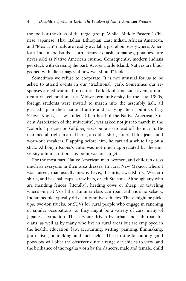the food or the dress of the target group. While ''Middle Eastern,'' Chinese, Japanese, Thai, Italian, Ethiopian, East Indian, African American, and ''Mexican'' meals are readily available just about everywhere, American Indian foodstuffs—corn, beans, squash, tomatoes, potatoes—are never sold as Native American cuisine. Consequently, modern Indians get stuck with dressing the part. Across Turtle Island, Natives are bludgeoned with alien images of how we ''should'' look.

Sometimes we refuse to cooperate. It is not unusual for us to be asked to attend events in our ''traditional'' garb. Sometimes our responses are educational in nature. To kick off one such event, a multicultural celebration at a Midwestern university in the late 1990s, foreign students were invited to march into the assembly hall, all gussied up in their national attire and carrying their country's flag. Shawn Koons, a law student (then head of the Native American Student Association of the university), was asked not just to march in the ''colorful'' procession (of foreigners) but also to lead off the march. He marched all right in a red beret, an old T-shirt, tattered blue jeans, and worn-out sneakers. Flapping before him, he carried a white flag on a stick. Although Koons's antic was not much appreciated by the university administration, his point was on target.

For the most part, Native American men, women, and children dress much as everyone in their area dresses. In rural New Mexico, where I was raised, that usually means Levis, T-shirts, sweatshirts, Western shirts, and baseball caps, straw hats, or felt Stetsons. Although any who are mending fences (literally), herding cows or sheep, or traveling where only SUVs of the Hummer class can roam still ride horseback, Indian people typically drive automotive vehicles. These might be pickups, two-ton trucks, or SUVs for rural people who engage in ranching or similar occupations, or they might be a variety of cars, many of Japanese extraction. The cars are driven by urban and suburban Indians, as well as by many who live in rural areas but are employed in the health, education, law, accounting, writing, painting, filmmaking, journalism, politicking, and such fields. The parking lots at any good powwow will offer the observer quite a range of vehicles to view, and the brilliance of the regalia worn by the dancers, male and female, child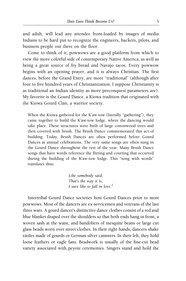and adult, will lead any attendee front-loaded by images of media Indians to be hard put to recognize the engineers, hackers, pilots, and business people out there on the floor.

Come to think of it, powwows are a good platform from which to view the more colorful side of contemporary Native America, as well as being a great source of fry bread and Navajo tacos. Every powwow begins with an opening prayer, and it is always Christian. The first dances, before the Grand Entry, are more "traditional" (although after four to five hundred years of Christianization, I suppose Christianity is as traditional an Indian identity as more preconquest parameters are). My favorite is the Gourd Dance, a Kiowa tradition that originated with the Kiowa Gourd Clan, a warrior society.

When the Kiowa gathered for the K'aw-tow (literally "gathering"), they came together to build the K'aw-tow lodge, where the dancing would take place. These structures were built of large cottonwood trees and then covered with brush. The Brush Dance commemorated this act of building. Today, Brush Dances are often performed before Gourd Dances at annual celebrations. The very same songs are often sung in the Gourd Dance throughout the rest of the year. Many Brush Dance songs that have words reference the flirting and courting that occurred during the building of the K'aw-tow lodge. This ''song with words'' translates thus:

> Like somebody said, That's the way it is, I sure like to fall in love. $<sup>2</sup>$ </sup>

Intertribal Gourd Dance societies host Gourd Dances prior to most powwows. Most of the dancers are ex-servicemen and veterans of the last three wars. A gourd dancer's distinctive dance clothes consist of a red and blue blanket draped over the shoulders so that both ends hang in front, a woven sash at the waist, and bandoliers of mesquite beans or large cut glass beads worn over street clothes. In their right hands, dancers shake rattles made of gourds or German silver canisters. In their left, they hold loose feathers or eagle fans. Beadwork is usually of the fine-cut bead variety associated with peyote ceremonies. Singers stand and hold the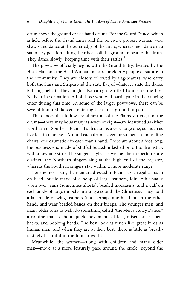drum above the ground or use hand drums. For the Gourd Dance, which is held before the Grand Entry and the powwow proper, women wear shawls and dance at the outer edge of the circle, whereas men dance in a stationary position, lifting their heels off the ground in beat to the drum. They dance slowly, keeping time with their rattles.<sup>3</sup>

The powwow officially begins with the Grand Entry, headed by the Head Man and the Head Woman, mature or elderly people of stature in the community. They are closely followed by flag-bearers, who carry both the Stars and Stripes and the state flag of whatever state the dance is being held in.They might also carry the tribal banner of the host Native tribe or nation. All of those who will participate in the dancing enter during this time. At some of the larger powwows, there can be several hundred dancers, entering the dance ground in pairs.

The dances that follow are almost all of the Plains variety, and the drums—there may be as many as seven or eight—are identified as either Northern or Southern Plains. Each drum is a very large one, as much as five feet in diameter. Around each drum, seven or so men sit on folding chairs, one drumstick in each man's hand. These are about a foot long, the business end made of stuffed buckskin lashed onto the drumstick with a rawhide strip. The singers' styles, as well as their repertoire, are distinct; the Northern singers sing at the high end of the register, whereas the Southern singers stay within a more moderate range.

For the most part, the men are dressed in Plains-style regalia: roach on head, bustle made of a hoop of large feathers, loincloth usually worn over jeans (sometimes shorts), beaded moccasins, and a cuff on each ankle of large tin bells, making a sound like Christmas. They hold a fan made of wing feathers (and perhaps another item in the other hand) and wear beaded bands on their biceps. The younger men, and many older ones as well, do something called ''the Men's Fancy Dance,'' a routine that is about quick movements of feet, raised knees, bent backs, and bobbing heads. The best look as much like great birds as human men, and when they are at their best, there is little as breathtakingly beautiful in the human world.

Meanwhile, the women—along with children and many older men—move at a more leisurely pace around the circle. Beyond the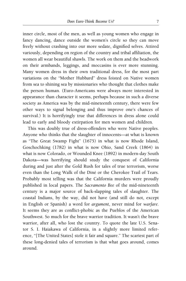inner circle, most of the men, as well as young women who engage in fancy dancing, dance outside the women's circle so they can move freely without crashing into our more sedate, dignified selves. Attired variously, depending on region of the country and tribal affiliation, the women all wear beautiful shawls. The work on them and the beadwork on their armbands, leggings, and moccasins is ever more stunning. Many women dress in their own traditional dress, for the most part variations on the ''Mother Hubbard'' dress foisted on Native women from sea to shining sea by missionaries who thought that clothes make the person human. (Euro-Americans were always more interested in appearance than character it seems, perhaps because in such a diverse society as America was by the mid-nineteenth century, there were few other ways to signal belonging and thus improve one's chances of survival.) It is horrifyingly true that differences in dress alone could lead to early and bloody extirpation for men women and children.

This was doubly true of dress-offenders who were Native peoples. Anyone who thinks that the slaughter of innocents—at what is known as ''The Great Swamp Fight'' (1675) in what is now Rhode Island, Goschochking (1782) in what is now Ohio, Sand Creek (1864) in what is now Colorado, or Wounded Knee (1892) in modern-day South Dakota—was horrifying should study the conquest of California during and just after the Gold Rush for tales of true terrorism, worse even than the Long Walk of the Diné or the Cherokee Trail of Tears. Probably most telling was that the California murders were proudly published in local papers. The Sacramento Bee of the mid-nineteenth century is a major source of back-slapping tales of slaughter. The coastal Indians, by the way, did not have (and still do not, except in English or Spanish) a word for argument, never mind for warfare. It seems they are as conflict-phobic as the Pueblos of the American Southwest. So much for the brave warrior tradition. It wasn't the brave warrior, after all, who lost the country. To quote the late U.S. Senator S. I. Haiakawa of California, in a slightly more limited reference, ''[The United States] stole it fair and square.'' The scariest part of these long-denied tales of terrorism is that what goes around, comes around.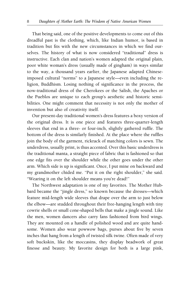That being said, one of the positive developments to come out of this dreadful past is the clothing, which, like Indian humor, is based in tradition but fits with the new circumstances in which we find ourselves. The history of what is now considered ''traditional'' dress is instructive. Each clan and nation's women adapted the original plain, poor white woman's dress (usually made of gingham) in ways similar to the way, a thousand years earlier, the Japanese adapted Chineseimposed cultural ''norms'' to a Japanese style—even including the religion, Buddhism. Losing nothing of significance in the process, the now-traditional dress of the Cherokees or the Salish, the Apaches or the Pueblos are unique to each group's aesthetic and historic sensibilities. One might comment that necessity is not only the mother of invention but also of creativity itself.

Our present-day traditional women's dress features a boxy version of the original dress. It is one piece and features three-quarter-length sleeves that end in a three- or four-inch, slightly gathered ruffle. The bottom of the dress is similarly finished. At the place where the ruffles join the body of the garment, rickrack of matching colors is sewn. The underdress, usually print, is thus accented. Over this basic underdress is the traditional manta, a straight piece of fabric that is fashioned so that one edge fits over the shoulder while the other goes under the other arm. Which side is up is significant. Once, I put mine on backward and my grandmother chided me. "Put it on the right shoulder," she said. ''Wearing it on the left shoulder means you're dead!''

The Northwest adaptation is one of my favorites. The Mother Hubbard became the ''jingle dress,'' so known because the dresses—which feature mid-length wide sleeves that drape over the arm to just below the elbow—are studded throughout their free-hanging length with tiny cowrie shells or small cone-shaped bells that make a jingle sound. Like the men, women dancers also carry fans fashioned from bird wings. They are mounted on a handle of polished wood and are quite handsome. Women also wear powwow bags, purses about five by seven inches that hang from a length of twisted silk twine. Often made of very soft buckskin, like the moccasins, they display beadwork of great finesse and beauty. My favorite design for both is a large pink,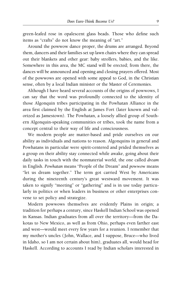green-leafed rose in opalescent glass beads. Those who define such items as "crafts" do not know the meaning of "art."

Around the powwow dance proper, the drums are arranged. Beyond them, dancers and their families set up lawn chairs where they can spread out their blankets and other gear: baby strollers, babies, and the like. Somewhere in this area, the MC stand will be erected; from there, the dances will be announced and opening and closing prayers offered. Most of the powwows are opened with some appeal to God, in the Christian sense, often by a local Indian minister or the Master of Ceremonies.

Although I have heard several accounts of the origins of powwows, I can say that the word was profoundly connected to the identity of those Algonquin tribes participating in the Powhatan Alliance in the area first claimed by the English at James Fort (later known and valorized as Jamestown). The Powhatan, a loosely allied group of Southern Algonquin-speaking communities or tribes, took the name from a concept central to their way of life and consciousness.

We modern people are matter-based and pride ourselves on our ability as individuals and nations to reason. Algonquins in general and Powhatans in particular were spirit-centered and prided themselves as a group on their ability stay connected while awake, going about their daily tasks in touch with the nonmaterial world, the one called dream in English. Powhatan means ''People of the Dream'' and powwow means "let us dream together." The term got carried West by Americans during the nineteenth century's great westward movement. It was taken to signify ''meeting'' or ''gathering'' and is in use today particularly in politics or when leaders in business or other enterprises convene to set policy and strategize.

Modern powwows themselves are evidently Plains in origin; a tradition for perhaps a century, since Haskell Indian School was opened in Kansas. Indian graduates from all over the territory—from the Dakotas to New Mexico, as well as from Ohio, perhaps even farther east and west—would meet every few years for a reunion. I remember that my mother's uncles (John, Wallace, and I suppose, Bruce—who lived in Idaho, so I am not certain about him), graduates all, would head for Haskell. According to accounts I read by Indian scholars interested in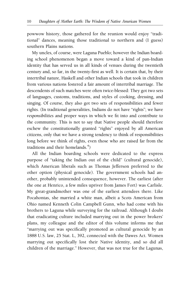powwow history, those gathered for the reunion would enjoy ''traditional'' dances, meaning those traditional to northern and (I guess) southern Plains nations.

My uncles, of course, were Laguna Pueblo; however the Indian boarding school phenomenon began a move toward a kind of pan-Indian identity that has served us in all kinds of venues during the twentieth century and, so far, in the twenty-first as well. It is certain that, by their intertribal nature, Haskell and other Indian schools that took in children from various nations fostered a fair amount of intertribal marriage. The descendents of such matches were often twice-blessed: They got two sets of languages, customs, traditions, and styles of cooking, dressing, and singing. Of course, they also got two sets of responsibilities and fewer rights. (In traditional generalities, Indians do not have "rights"; we have responsibilities and proper ways in which we fit into and contribute to the community. This is not to say that Native people should therefore eschew the constitutionally granted "rights" enjoyed by all American citizens, only that we have a strong tendency to think of responsibilities long before we think of rights, even those who are raised far from the traditions and their homelands.<sup>4</sup>)

All the Indian boarding schools were dedicated to the express purpose of ''taking the Indian out of the child'' (cultural genocide), which American liberals such as Thomas Jefferson preferred to the other option (physical genocide). The government schools had another, probably unintended consequence, however. The earliest (after the one at Henrico, a few miles upriver from James Fort) was Carlisle. My great-grandmother was one of the earliest attendees there. Like Pocahontas, she married a white man, albeit a Scots American from Ohio named Kenneth Colin Campbell Gunn, who had come with his brothers to Laguna while surveying for the railroad. Although I doubt that eradicating culture included marrying out in the power brokers' plans, my colleague and the editor of this volume informs me that ''marrying out was specifically promoted as cultural genocide by an 1888 U.S. law, 25 Stat. L, 392, connected with the Dawes Act. Women marrying out specifically lost their Native identity, and so did all children of the marriage.'' However, that was not true for the Lagunas,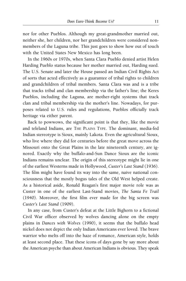nor for other Pueblos. Although my great-grandmother married out, neither she, her children, nor her grandchildren were considered nonmembers of the Laguna tribe. This just goes to show how out of touch with the United States New Mexico has long been.

In the 1960s or 1970s, when Santa Clara Pueblo denied artist Helen Harding Pueblo status because her mother married out, Harding sued. The U.S. Senate and later the House passed an Indian Civil Rights Act of sorts that acted effectively as a guarantee of tribal rights to children and grandchildren of tribal members. Santa Clara was and is a tribe that tracks tribal and clan membership via the father's line; the Keres Pueblos, including the Laguna, are mother-right systems that track clan and tribal membership via the mother's line. Nowadays, for purposes related to U.S. rules and regulations, Pueblos officially track heritage via either parent.

Back to powwows, the significant point is that they, like the movie and teleland Indians, are THE PLAINS TYPE. The dominant, media-fed Indian stereotype is Sioux, mainly Lakota. Even the agricultural Sioux, who live where they did for centuries before the great move across the Missouri onto the Great Plains in the late nineteenth century, are ignored. Exactly why the buffalo-and-Sun Dance Sioux are the iconic Indians remains unclear. The origin of this stereotype might lie in one of the earliest Westerns made in Hollywood, Custer's Last Stand (1936). The film might have found its way into the same, naive national consciousness that the mostly bogus tales of the Old West helped create. As a historical aside, Ronald Reagan's first major movie role was as Custer in one of the earliest Last-Stand movies, The Santa Fe Trail (1940). Moreover, the first film ever made for the big screen was Custer's Last Stand (1909).

In any case, from Custer's defeat at the Little Bighorn to a fictional Civil War officer observed by wolves dancing alone on the empty plains in Dances with Wolves (1990), it seems that the buffalo head nickel does not depict the only Indian Americans ever loved. The brave warrior who melts off into the haze of romance, American style, holds at least second place. That these icons of days gone by say more about the American psyche than about American Indians is obvious. They speak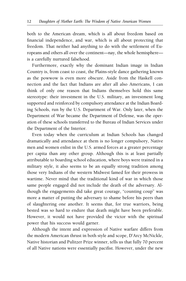both to the American dream, which is all about freedom based on financial independence, and war, which is all about protecting that freedom. That neither had anything to do with the settlement of Europeans and others all over the continent—nay, the whole hemisphere is a carefully nurtured falsehood.

Furthermore, exactly why the dominant Indian image in Indian Country is, from coast to coast, the Plains-style dance gathering known as the powwow is even more obscure. Aside from the Haskell connection and the fact that Indians are after all also Americans, I can think of only one reason that Indians themselves hold this same stereotype: their investment in the U.S. military, an investment long supported and reinforced by compulsory attendance at the Indian Boarding Schools, run by the U.S. Department of War. Only later, when the Department of War became the Department of Defense, was the operation of these schools transferred to the Bureau of Indian Services under the Department of the Interior.

Even today when the curriculum at Indian Schools has changed dramatically and attendance at them is no longer compulsory, Native men and women enlist in the U.S. armed forces at a greater percentage per capita than any other group. Although this is at least partially attributable to boarding school education, where boys were trained in a military style, it also seems to be an equally strong tradition among those very Indians of the western Midwest famed for their prowess in wartime. Never mind that the traditional kind of war in which those same people engaged did not include the death of the adversary. Although the engagements did take great courage, ''counting coup'' was more a matter of putting the adversary to shame before his peers than of slaughtering one another. It seems that, for true warriors, being bested was so hard to endure that death might have been preferable. However, it would not have provided the victor with the spiritual power that his success would garner.

Although the intent and expression of Native warfare differs from the modern American thrust in both style and scope, D'Arcy McNickle, Native historian and Pulitzer Prize winner, tells us that fully 70 percent of all Native nations were essentially pacifist. However, under the new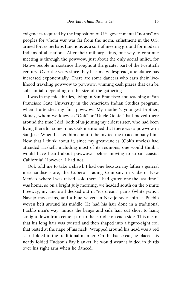exigencies required by the imposition of U.S. governmental ''norms'' on peoples for whom war was far from the norm, enlistment in the U.S. armed forces perhaps functions as a sort of meeting ground for modern Indians of all nations. After their military stints, one way to continue meeting is through the powwow, just about the only social milieu for Native people in existence throughout the greater part of the twentieth century. Over the years since they became widespread, attendance has increased exponentially. There are some dancers who earn their livelihood traveling powwow to powwow, winning cash prizes that can be substantial, depending on the size of the gathering.

I was in my mid-thirties, living in San Francisco and teaching at San Francisco State University in the American Indian Studies program, when I attended my first powwow. My mother's youngest brother, Sidney, whom we knew as "Ook" or "Uncle Ookie," had moved there around the time I did, both of us joining my eldest sister, who had been living there for some time. Ook mentioned that there was a powwow in San Jose. When I asked him about it, he invited me to accompany him. Now that I think about it, since my great-uncles (Ook's uncles) had attended Haskell, including most of its reunions, one would think I would have heard about powwows before moving to urban coastal California! However, I had not.

Ook told me to take a shawl. I had one because my father's general merchandise store, the Cubero Trading Company in Cubero, New Mexico, where I was raised, sold them. I had gotten one the last time I was home, so on a bright July morning, we headed south on the Nimitz Freeway, my uncle all decked out in "ice cream" pants (white jeans), Navajo moccasins, and a blue velveteen Navajo-style shirt, a Pueblo woven belt around his middle. He had his hair done in a traditional Pueblo men's way, minus the bangs and side hair cut short to hang straight down from center part to the earlobe on each side. This meant that his long hair was twisted and then shaped into a figure-eight coil that rested at the nape of his neck. Wrapped around his head was a red scarf folded in the traditional manner. On the back seat, he placed his neatly folded Hudson's Bay blanket; he would wear it folded in thirds over his right arm when he danced.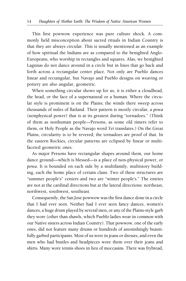This first powwow experience was pure culture shock. A commonly held misconception about sacred rituals in Indian Country is that they are always circular. This is usually mentioned as an example of how spiritual the Indians are as compared to the benighted Anglo-Europeans, who worship in rectangles and squares. Alas, we benighted Lagunas do not dance around in a circle but in lines that go back and forth across a rectangular center place. Not only are Pueblo dances linear and rectangular, but Navajo and Pueblo designs on weaving or pottery are also angular, geometric.

When something circular shows up for us, it is either a cloudhead, the head, or the face of a supernatural or a human. Where the circular style is prominent is on the Plains; the winds there sweep across thousands of miles of flatland. Their pattern is mostly circular, a powa (nonphysical power) that is at its greatest during ''tornadoes.'' (Think of them as nonhuman people—Persons, as some old timers refer to them, or Holy People as the Navajo word Yei translates.) On the Great Plains, circularity is to be revered; the tornadoes are proof of that. In the eastern Rockies, circular patterns are eclipsed by linear or multifaceted geometric ones.

As major Persons have rectangular shapes around them, our home dance ground—which is blessed—is a place of non-physical power, or powa. It is bounded on each side by a multifamily, multistory building, each the home place of certain clans. Two of these structures are "summer people's" centers and two are "winter people's." The entries are not at the cardinal directions but at the lateral directions: northeast, northwest, southwest, southeast.

Consequently, the San Jose powwow was the first dance done in a circle that I had ever seen. Neither had I ever seen fancy dances, women's dances, a huge drum played by several men, or any of the Plains-style garb they wore (other than shawls, which Pueblo ladies wear in common with our Native sisters across Indian Country). That powwow, one of the early ones, did not feature many drums or hundreds of astonishingly beautifully garbed participants. Most of us were in jeans or dresses, and even the men who had bustles and headpieces wore them over their jeans and shirts. Many wore tennis shoes in lieu of moccasins. There was frybread,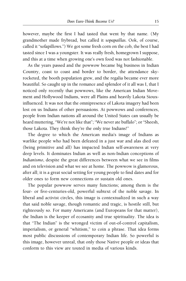however, maybe the first I had tasted that went by that name. (My grandmother made frybread, but called it sopapaillas. Ook, of course, called it ''sofapillows.'') We got some fresh corn on the cob, the best I had tasted since I was a youngster. It was really fresh, homegrown I suppose, and this at a time when growing one's own food was not fashionable.

As the years passed and the powwow became big business in Indian Country, coast to coast and border to border, the attendance skyrocketed, the booth population grew, and the regalia became ever more beautiful. So caught up in the romance and splendor of it all was I, that I noticed only recently that powwows, like the American Indian Movement and Hollywood Indians, were all Plains and heavily Lakota Siouxinfluenced. It was not that the omnipresence of Lakota imagery had been lost on us Indians of other persuasions. At powwows and conferences, people from Indian nations all around the United States can usually be heard muttering, "We're not like that"; "We never ate buffalo"; or "Sheesh, those Lakota. They think they're the only true Indians!''

The degree to which the American media's image of Indians as warlike people who had been defeated in a just war and alas died out (being primitive and all) has impacted Indian self-awareness at very deep levels. It dominates Indian as well as non-Indian conceptions of Indianismo, despite the great differences between what we see in films and on television and what we see at home. The powwow is glamorous, after all; it is a great social setting for young people to find dates and for older ones to form new connections or sustain old ones.

The popular powwow serves many functions; among them is the four- or five-centuries-old, powerful subtext of the noble savage. In liberal and activist circles, this image is contextualized in such a way that said noble savage, though romantic and tragic, is hostile still, but righteously so. For many Americans (and Europeans for that matter), the Indian is the keeper of ecosanity and true spirituality. The idea is that ''The Indian'' is the wronged victim of out-of-control capitalism, imperialism, or general ''whitism,'' to coin a phrase. That idea forms most public discussions of contemporary Indian life. So powerful is this image, however unreal, that only those Native people or ideas that conform to this view are touted in media of various kinds.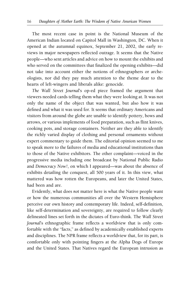The most recent case in point is the National Museum of the American Indian located on Capitol Mall in Washington, DC. When it opened at the autumnal equinox, September 21, 2002, the early reviews in major newspapers reflected outrage. It seems that the Native people—who sent articles and advice on how to mount the exhibits and who served on the committees that finalized the opening exhibits—did not take into account either the notions of ethnographers or archeologists, nor did they pay much attention to the theme dear to the hearts of left-wingers and liberals alike: genocide.

The Wall Street Journal's op-ed piece framed the argument that viewers needed cards telling them what they were looking at. It was not only the name of the object that was wanted, but also how it was defined and what it was used for. It seems that ordinary Americans and visitors from around the globe are unable to identify pottery, bows and arrows, or various implements of food preparation, such as flint knives, cooking pots, and storage containers. Neither are they able to identify the richly varied display of clothing and personal ornaments without expert commentary to guide them. The editorial opinion seemed to me to speak more to the failures of media and educational institutions than to those of the Native exhibitors. The other complaint—voiced in the progressive media including one broadcast by National Public Radio and Democracy Now!, on which I appeared—was about the absence of exhibits detailing the conquest, all 500 years of it. In this view, what mattered was how rotten the Europeans, and later the United States, had been and are.

Evidently, what does not matter here is what the Native people want or how the numerous communities all over the Western Hemisphere perceive our own history and contemporary life. Indeed, self-definition, like self-determination and sovereignty, are required to follow clearly delineated lines set forth in the dictates of Euro-think. The Wall Street Journal's ethnographic frame reflects a worldview that is only comfortable with the ''facts,'' as defined by academically established experts and disciplines. The NPR frame reflects a worldview that, for its part, is comfortable only with pointing fingers at the Alpha Dogs of Europe and the United States. That Natives regard the European intrusion as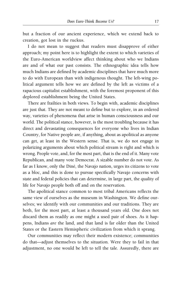but a fraction of our ancient experience, which we extend back to creation, got lost in the ruckus.

I do not mean to suggest that readers must disapprove of either approach; my point here is to highlight the extent to which varieties of the Euro-American worldview affect thinking about who we Indians are and of what our past consists. The ethnographic idea tells how much Indians are defined by academic disciplines that have much more to do with European than with indigenous thought. The left-wing political argument tells how we are defined by the left as victims of a rapacious capitalist establishment, with the foremost proponent of this deplored establishment being the United States.

There are frailties in both views. To begin with, academic disciplines are just that. They are not meant to define but to explore, in an ordered way, varieties of phenomena that arise in human consciousness and our world. The political stance, however, is the most troubling because it has direct and devastating consequences for everyone who lives in Indian Country, for Native people are, if anything, about as apolitical as anyone can get, at least in the Western sense. That is, we do not engage in polarizing arguments about which political stream is right and which is wrong. People vote, and, for the most part, that is the end of it. Many vote Republican, and many vote Democrat. A sizable number do not vote. As far as I know, only the Diné, the Navajo nation, urges its citizens to vote as a bloc, and this is done to pursue specifically Navajo concerns with state and federal policies that can determine, in large part, the quality of life for Navajo people both off and on the reservation.

The apolitical stance common to most tribal Americans reflects the same view of ourselves as the museum in Washington. We define ourselves; we identify with our communities and our traditions. They are both, for the most part, at least a thousand years old. One does not discard them as readily as one might a used pair of shoes. As it happens, Indians are the land, and that land is far older than the United States or the Eastern Hemispheric civilization from which it sprang.

Our communities may reflect their modern existence; communities do that—adjust themselves to the situation. Were they to fail in that adjustment, no one would be left to tell the tale. Assuredly, there are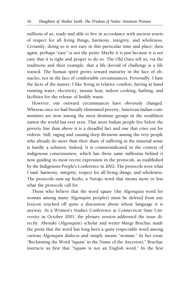millions of us, ready and able to live in accordance with ancient tenets of respect for all living things, harmony, integrity, and wholeness. Certainly, doing so is not easy in this particular time and place; then again, perhaps "easy" is not the point. Maybe it is just because it is not easy that it is right and proper to do so. The Old Ones tell us, via the traditions and their example, that a life devoid of challenge is a life wasted. The human spirit grows toward maturity in the face of obstacles, not in the face of comfortable circumstances. Personally, I hate the facts of the matter; I like living in relative comfort, having at hand running water, electricity, instant heat, indoor cooking, bathing, and facilities for the release of bodily waste.

However, our outward circumstances have obviously changed. Whereas once we had literally eliminated poverty, American Indian communities are now among the most destitute groups in the wealthiest nation the world has ever seen. That more Indian people live below the poverty line than above it is a dreadful fact and one that cries out for redress. Still, raging and causing deep divisions among the very people who already do more than their share of suffering in the material sense is hardly a solution. Indeed, it is counterindicated in the context of indigenous consciousness, which has those same millennia behind it now guiding its most recent expression in the protocols, as established by the Indigenous People's Conference in 2002. The protocols were what I said: harmony, integrity, respect for all living things, and wholeness. The protocols sum up *hozho*, a Navajo word that means more or less what the protocols call for.

Those who believe that the word squaw (the Algonquin word for woman among many Algonquin peoples) must be deleted from any lexicon touched off quite a discussion about whose language it is anyway. At a Women's Studies Conference at Connecticut State University in October 2001, the plenary session addressed the issue directly. Abenaki (Algonquin) scholar and writer Marge Bruchac made the point that the word has long been a quite respectable word among various Algonquin dialects and simply meant ''woman.'' In her essay ''Reclaiming the Word 'Squaw' in the Name of the Ancestors,'' Bruchac instructs us first that ''Squaw is not an English word.'' In the first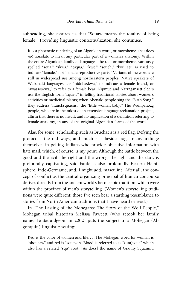subheading, she assures us that ''Squaw means the totality of being female.'' Providing linguistic contextualizaton, she continues,

It is a phoenetic rendering of an Algonkian word, or morpheme, that does not translate to mean any particular part of a woman's anatomy. Within the entire Algonkian family of languages, the root or morpheme, variously spelled "squa," "skwa," "esqua," "kwe," "squeh," "kw" etc. is used to indicate "female," not "female reproductive parts." Variants of the word are still in widespread use among northeastern peoples. Native speakers of Wabanaki languages use ''nidobaskwa,'' to indicate a female friend, or "awassoskwa," to refer to a female bear; Nipmuc and Narragansett elders use the English form ''squaw'' in telling traditional stories about women's activities or medicinal plants; when Abenaki people sing the ''Birth Song,'' they address ''nuncksquassis,'' the ''little woman baby.'' The Wampanoag people, who are in the midst of an extensive language reclamation project, affirm that there is no insult, and no implication of a definition referring to female anatomy, in any of the original Algonkian forms of the word.<sup>5</sup>

Alas, for some, scholarship such as Bruchac's is a red flag. Defying the protocols, the old ways, and much else besides rage, many indulge themselves in pelting Indians who provide objective information with hate mail, which, of course, is my point. Although the battle between the good and the evil, the right and the wrong, the light and the dark is profoundly captivating, said battle is also profoundly Eastern Hemisphere, Indo-Germanic, and, I might add, masculine. After all, the concept of conflict as the central organizing principal of human concourse derives directly from the ancient world's heroic epic tradition, which were within the province of men's storytelling. (Women's storytelling traditions were quite different; those I've seen bear a startling resemblance to stories from North American traditions that I have heard or read.)

In ''The Lasting of the Mohegans: The Story of the Wolf People,'' Mohegan tribal historian Melissa Fawcett (who retook her family name, Tantaquidgeon, in 2002) puts the subject in a Mohegan (Algonquin) linguistic setting:

Red is the color of women and life. ... The Mohegan word for woman is "shquaaw" and red is "squayoh" Blood is referred to as "(um)sque" which also has a related ''squ'' root. [As does] the name of Granny Squannit,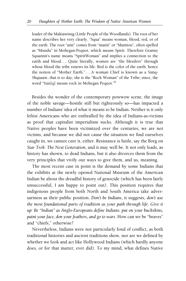leader of the Makiawisug (Little People of the Woodlands). The root of her name describes her very clearly. ''Squa'' means woman, blood, red, or of the earth. The root "anit" comes from "manit" or "Manitou", often spelled as ''Mundu'' in Mohegan-Pequot, which means Spirit. Therefore Granny Squannit's name means ''SpiritWoman'' and implies a connection to the earth and blood.... Quite literally, women are "the bleeders" through whose blood the tribe renews its life. Red is the color of the earth, hence the notion of ''Mother Earth.'' ... A woman Chief is known as a Sunq-Shquaaw, that is to day, she is the ''Rock Woman'' of the Tribe; since, the word "Sun[q] means rock in Mohegan Pequot."<sup>6</sup>

Besides the wonder of the contemporary powwow scene, the image of the noble savage—hostile still but righteously so—has impacted a number of Indians' idea of what it means to be Indian. Neither is it only leftist Americans who are enthralled by the idea of Indians-as-victims as proof that capitalist imperialism sucks. Although it is true that Native peoples have been victimized over the centuries, we are not victims, and because we did not cause the situation we find ourselves caught in, we cannot cure it, either. Resistance is futile, say the Borg on Star Trek: The Next Generation, and it may well be. It not only leads, as history has shown, to dead Indians, but it also divorces them from the very principles that vivify our ways to give them, and us, meaning.

The most recent case in point is the demand by some Indians that the exhibits at the newly opened National Museum of the American Indian be about the dreadful history of genocide (which has been fairly unsuccessful, I am happy to point out). This position requires that indigenous people from both North and South America take adversariness as their public position. Don't be Indians, it suggests, don't use the most foundational parts of tradition as your path through life. Give it up: Be ''Indian'' as Anglo-Europeans define Indians: put on your buckskins, paint your face, don your feathers, and go to wars. How can we be ''braves'' and ''chiefs,'' otherwise?

Nevertheless, Indians were not particularly fond of conflict, as both traditional histories and ancient traditions show, nor are we defined by whether we look and act like Hollywood Indians (which hardly anyone does, or for that matter, ever did). To my mind, what defines Native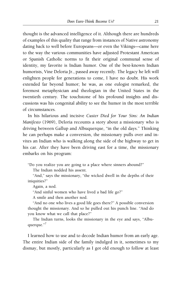thought is the advanced intelligence of it. Although there are hundreds of examples of this quality that range from instances of Native astronomy dating back to well before Europeans—or even the Vikings—came here to the way the various communities have adjusted Protestant American or Spanish Catholic norms to fit their original communal sense of identity, my favorite is Indian humor. One of the best-known Indian humorists, Vine Deloria Jr., passed away recently. The legacy he left will enlighten people for generations to come, I have no doubt. His work extended far beyond humor; he was, as one eulogist remarked, the foremost metaphysician and theologian in the United States in the twentieth century. The touchstone of his profound insights and discussions was his congenital ability to see the humor in the most terrible of circumstances.

In his hilarious and incisive Custer Died for Your Sins: An Indian Manifesto (1969), Deloria recounts a story about a missionary who is driving between Gallup and Albuquerque, ''in the old days.'' Thinking he can perhaps make a conversion, the missionary pulls over and invites an Indian who is walking along the side of the highway to get in his car. After they have been driving east for a time, the missionary embarks on his program:

''Do you realize you are going to a place where sinners abound?''

The Indian nodded his assent.

"And," says the missionary, "the wicked dwell in the depths of their iniquities?''

Again, a nod.

''And sinful women who have lived a bad life go?''

A smile and then another nod.

"And no one who lives a good life goes there?" A possible conversion thought the missionary. And so he pulled out his punch line. ''And do you know what we call that place?''

The Indian turns, looks the missionary in the eye and says, ''Albuquerque." $\prime$ 

I learned how to use and to decode Indian humor from an early age. The entire Indian side of the family indulged in it, sometimes to my dismay, but mostly, particularly as I got old enough to follow at least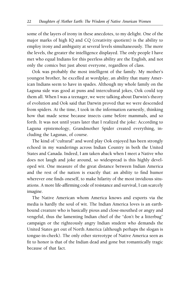some of the layers of irony in these anecdotes, to my delight. One of the major marks of high IQ and CQ (creativity quotient) is the ability to employ irony and ambiguity at several levels simultaneously. The more the levels, the greater the intelligence displayed. The only people I have met who equal Indians for this peerless ability are the English, and not only the comics but just about everyone, regardless of class.

Ook was probably the most intelligent of the family. My mother's youngest brother, he excelled at wordplay, an ability that many American Indians seem to have in spades. Although my whole family on the Laguna side was good at puns and intercultural jokes, Ook could top them all. When I was a teenager, we were talking about Darwin's theory of evolution and Ook said that Darwin proved that we were descended from spiders. At the time, I took in the information earnestly, thinking how that made sense because insects came before mammals, and so forth. It was not until years later that I realized the joke: According to Laguna epistemology, Grandmother Spider created everything, including the Lagunas, of course.

The kind of ''cultural'' and word play Ook enjoyed has been strongly echoed in my wanderings across Indian Country in both the United States and Canada. Indeed, I am taken aback when I meet a Native who does not laugh and joke around, so widespread is this highly developed wit. One measure of the great distance between Indian America and the rest of the nation is exactly that: an ability to find humor wherever one finds oneself, to make hilarity of the most invidious situations. A more life-affirming code of resistance and survival, I can scarcely imagine.

The Native American whom America knows and exports via the media is hardly the soul of wit. The Indian America loves is an earthbound creature who is basically pious and close-mouthed or angry and vengeful, thus the lamenting Indian chief of the ''don't be a litterbug'' campaign or the righteously angry Indian student who demands the United States get out of North America (although perhaps the slogan is tongue-in-cheek). The only other stereotype of Native America seen as fit to honor is that of the Indian dead and gone but romantically tragic because of that fact.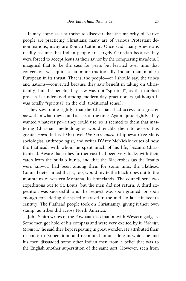It may come as a surprise to discover that the majority of Native people are practicing Christians; many are of various Protestant denominations, many are Roman Catholic. Once said, many Americans readily assume that Indian people are largely Christian because they were forced to accept Jesus as their savior by the conquering invaders. I imagined that to be the case for years but learned over time that conversion was quite a bit more traditionally Indian than modern European in its thrust. That is, the people—or I should say, the tribes and nations—converted because they saw benefit in taking on Christianity, but the benefit they saw was not ''spiritual'', as that rarefied process is understood among modern-day practitioners (although it was totally "spiritual" in the old, traditional sense).

They saw, quite rightly, that the Christians had access to a greater powa than what they could access at the time. Again, quite rightly, they wanted whatever powa they could use, so it seemed to them that mastering Christian methodologies would enable them to access this greater powa. In his 1936 novel The Surrounded, Chippewa-Cree Metis sociologist, anthropologist, and writer D'Arcy McNickle writes of how the Flathead, with whom he spent much of his life, became Christianized. Aware that tribes further east had been very lucky with their catch from the buffalo hunts, and that the Blackrobes (as the Jesuits were known) had been among them for some time, the Flathead Council determined that it, too, would invite the Blackrobes out to the mountains of western Montana, its homelands. The council sent two expeditions out to St. Louis, but the men did not return. A third expedition was successful, and the request was soon granted, or soon enough considering the speed of travel in the mid- to late-nineteenth century. The Flathead people took on Christianity, giving it their own stamp, as tribes did across North America.

John Smith writes of the Powhatan fascination with Western gadgets. Some men got hold of his compass and were very excited by it. ''Manitt, Manitou,'' he said they kept repeating in great wonder. He attributed their response to ''superstition''and recounted an anecdote in which he and his men dissuaded some other Indian men from a belief that was to the English another superstition of the same sort. However, seen from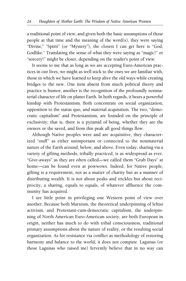a traditional point of view, and given both the basic assumptions of those people at that time and the meaning of the word(s), they were saying "Divine," "Spirit" (or "Mystery"), the closest I can get here is "God, Godlike.'' Translating the sense of what they were saying as ''magic!'' or "sorcery!" might be closer, depending on the reader's point of view.

It seems to me that as long as we are accepting Euro-American practices in our lives, we might as well stick to the ones we are familiar with, those in which we have learned to keep alive the old ways while creating bridges to the new. One item absent from much political theory and practice is humor; another is the recognition of the profoundly nonmaterial character of life on planet Earth. In both regards, it bears a powerful kinship with Protestantism. Both concentrate on social organization, opposition to the status quo, and material acquisition. The two, ''democratic capitalism'' and Protestantism, are founded on the principle of exclusivity; that is, there is a pyramid of being, whether they are the owners or the saved, and from this peak all good things flow.

Although Native peoples were and are acquisitive, they characterized "stuff" as either unimportant or connected to the nonmaterial nature of the Earth around, below, and above. Even today, sharing via a variety of gifting methods, tribally practiced, is as widespread as ever. ''Give-aways'' as they are often called—we called them ''Grab Days'' at home—can be found even at powwows. Indeed, for Native people, gifting is a requirement, not as a matter of charity but as a manner of distributing wealth. It is not about peaks and trickles but about reciprocity, a sharing, equals to equals, of whatever affluence the community has acquired.

I see little point in privileging one Western point of view over another. Because both Marxism, the theoretical underpinning of leftist activism, and Protestant-cum-democratic capitalism, the underpinning of North American Euro-American society, are both European in origin, neither has much to do with tribal consciousness, traditional primary assumptions about the nature of reality, or the resulting social organization. As for resistance via conflict as methodology of restoring harmony and balance to the world, it does not compute. Lagunas (or those Lagunas who raised me) fervently believe that in no way can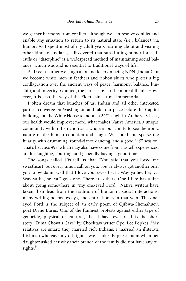we garner harmony from conflict, although we can resolve conflict and enable any situation to return to its natural state (i.e., balance) via humor. As I spent most of my adult years learning about and visiting other kinds of Indians, I discovered that substituting humor for fisticuffs or ''discipline'' is a widespread method of maintaining social balance, which was and is essential to traditional ways of life.

As I see it, either we laugh a lot and keep on being NDN (Indian), or we become white men in feathers and ribbon shirts who prefer a big conflagration over the ancient ways of peace, harmony, balance, kinship, and integrity. Granted, the latter is by far the more difficult. However, it is also the way of the Elders since time immemorial.

I often dream that bunches of us, Indian and all other interested parties, converge on Washington and take our place before the Capitol building and the White House to mount a 24/7 laugh-in. At the very least, our health would improve; more, what makes Native America a unique community within the nation as a whole is our ability to see the ironic nature of the human condition and laugh. We could intersperse the hilarity with drumming, round-dance dancing, and a good "49" session. That's because 49s, which may also have come from Haskell experiences, are for laughing, courting, and generally having a good time.

The songs called 49s tell us that. ''You said that you loved me sweetheart, but every time I call on you, you've always got another one; you know damn well that I love you, sweetheart. Way-ya hey hey ya. Way-ya he, he, ya,'' goes one. There are others. One I like has a line about going somewhere in ''my one-eyed Ford.'' Native writers have taken their lead from the tradition of humor in social interactions, many writing poems, essays, and entire books in that vein. The oneeyed Ford is the subject of an early poem of Ojibwa-Chemahuevi poet Diane Burns. One of the funniest protests against either type of genocide, physical or cultural, that I have ever read is the short story ''Zuma Chowt's Cave'' by Chocktaw writer Opel Lee Popkes. ''My relatives are smart; they married rich Indians. I married an illiterate Irishman who gave my oil rights away,'' jokes Popkes's mom when her daughter asked her why their branch of the family did not have any oil rights.<sup>8</sup>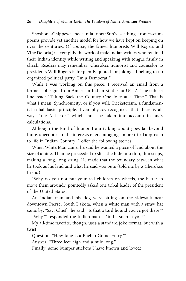Shoshone-Chippewa poet nila northSun's scathing ironies-cumpoems provide yet another model for how we have kept on keeping on over the centuries. Of course, the famed humorists Will Rogers and Vine Deloria Jr. exemplify the work of male Indian writers who retained their Indian identity while writing and speaking with tongue firmly in cheek. Readers may remember: Cherokee humorist and counselor to presidents Will Rogers is frequently quoted for joking: ''I belong to no organized political party. I'm a Democrat!''

While I was working on this piece, I received an email from a former colleague from American Indian Studies at UCLA. The subject line read: ''Taking Back the Country One Joke at a Time.'' That is what I mean: Synchronicity, or if you will, Tricksterism, a fundamental tribal basic principle. Even physics recognizes that there is always "the X factor," which must be taken into account in one's calculations.

Although the kind of humor I am talking about goes far beyond funny anecdotes, in the interests of encouraging a more tribal approach to life in Indian Country, I offer the following stories:

When White Man came, he said he wanted a piece of land about the size of a hide. Then he proceeded to slice the hide into thin, thin strips, making a long, long string. He made that the boundary between what he took as his land and what he said was ours (told me by a Cherokee friend).

''Why do you not put your red children on wheels, the better to move them around,'' pointedly asked one tribal leader of the president of the United States.

An Indian man and his dog were sitting on the sidewalk near downtown Pierre, South Dakota, when a white man with a straw hat came by. "Say, Chief," he said. "Is that a turd hound you've got there?"

''Why?'' responded the Indian man. ''Did he snap at you?''

My all-time favorite, though, uses a standard joke format, but with a twist:

Question: ''How long is a Pueblo Grand Entry?''

Answer: ''Three feet high and a mile long.''

Finally, some bumper stickers I have known and loved: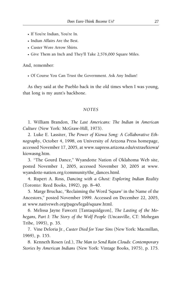- If You're Indian, You're In.
- Indian Affairs Are the Best.
- Custer Wore Arrow Shirts.
- Give Them an Inch and They'll Take 2,576,000 Square Miles.

And, remember:

Of Course You Can Trust the Government. Ask Any Indian!

As they said at the Pueblo back in the old times when I was young, that long is my aunt's backbone.

#### NOTES

1. William Brandon, The Last Americans: The Indian in American Culture (New York: McGraw-Hill, 1973).

2. Luke E. Lassiter, The Power of Kiowa Song: A Collaborative Ethnography, October 4, 1998, on University of Arizona Press homepage, accessed November 17, 2005, at www.uapress.arizona.edu/extras/kiowa/ kiowasng.htm.

3. ''The Gourd Dance,'' Wyandotte Nation of Oklahoma Web site, posted November 1, 2005, accessed November 30, 2005 at www. wyandotte-nation.org /community/the\_dances.html.

4. Rupert A. Ross, Dancing with a Ghost: Exploring Indian Reality (Toronto: Reed Books, 1992), pp. 8–40.

5. Marge Bruchac, ''Reclaiming the Word 'Squaw' in the Name of the Ancestors,'' posted November 1999. Accessed on December 22, 2005, at www.nativeweb.org/pages/legal/squaw.html.

6. Melissa Jayne Fawcett [Tantaquidgeon], The Lasting of the Mohegans, Part I: The Story of the Wolf People (Uncasville, CT: Mohegan Tribe, 1995), p. 35.

7. Vine Deloria Jr., Custer Died for Your Sins (New York: Macmillan, 1969), p. 155.

8. Kenneth Rosen (ed.), The Man to Send Rain Clouds: Contemporary Stories by American Indians (New York: Vintage Books, 1975), p. 175.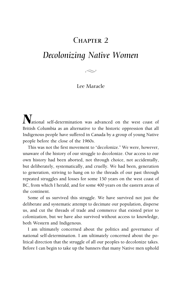# $CHAPTFR$  2

# Decolonizing Native Women

 $\leftarrow$ 

#### Lee Maracle

 $\sum$ ational self-determination was advanced on the west coast of British Columbia as an alternative to the historic oppression that all Indigenous people have suffered in Canada by a group of young Native people before the close of the 1960s.

This was not the first movement to "decolonize." We were, however, unaware of the history of our struggle to decolonize. Our access to our own history had been aborted, not through choice, not accidentally, but deliberately, systematically, and cruelly. We had been, generation to generation, striving to hang on to the threads of our past through repeated struggles and losses for some 150 years on the west coast of BC, from which I herald, and for some 400 years on the eastern areas of the continent.

Some of us survived this struggle. We have survived not just the deliberate and systematic attempt to decimate our population, disperse us, and cut the threads of trade and commerce that existed prior to colonization, but we have also survived without access to knowledge, both Western and Indigenous.

I am ultimately concerned about the politics and governance of national self-determination. I am ultimately concerned about the political direction that the struggle of all our peoples to decolonize takes. Before I can begin to take up the banners that many Native men uphold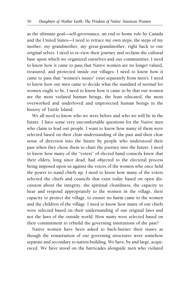as the ultimate goal—self-governance, an end to home rule by Canada and the United States—I need to retrace my own steps, the steps of my mother, my grandmother, my great-grandmother, right back to our original selves. I need to re-view their journey and reclaim the cultural base upon which we organized ourselves and our communities. I need to know how it came to pass that Native women are no longer valued, treasured, and protected inside our villages. I need to know how it came to pass that ''women's issues'' exist separately from men's. I need to know how our men came to decide what the standard of normal for women ought to be. I need to know how it came to be that our women are the most violated human beings, the least educated, the most overworked and underloved and unprotected human beings in the history of Turtle Island.

We all need to know who we were before and who we will be in the future. I have some very uncomfortable questions for the Native men who claim to lead our people. I want to know how many of them were selected based on their clear understanding of the past and their clear sense of direction into the future by people who understood their past when they chose them to chart the journey into the future. I need to know how many of the ''voters'' of elected band councils knew that their elders, long since dead, had objected to the electoral process being imposed upon us against the voices of the women who once held the power to stand chiefs up. I need to know how many of the voters selected the chiefs and councils that exist today based on open discussion about the integrity, the spiritual cleanliness, the capacity to hear and respond appropriately to the women in the village, their capacity to protect the village, to ensure no harm came to the women and the children of the village. I need to know how many of our chiefs were selected based on their understanding of our original laws and not the laws of the outside world. How many were selected based on their commitment to rebuild the governing institutions of the past?

Native women have been asked to back-burner their issues as though the rematriation of our governing structures were somehow separate and secondary to nation building. We have, by and large, acquiesced. We have stood on the barricades alongside men who violated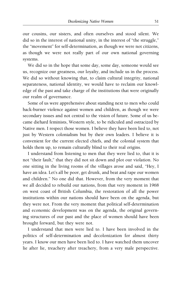our cousins, our sisters, and often ourselves and stood silent. We did so in the interest of national unity, in the interest of ''the struggle,'' the ''movement'' for self-determination, as though we were not citizens, as though we were not really part of our own national governing systems.

We did so in the hope that some day, some day, someone would see us, recognize our greatness, our loyalty, and include us in the process. We did so without knowing that, to claim cultural integrity, national separateness, national identity, we would have to reclaim our knowledge of the past and take charge of the institutions that were originally our realm of governance.

Some of us were apprehensive about standing next to men who could back-burner violence against women and children, as though we were secondary issues and not central to the vision of future. Some of us became diehard feminists, Western style, to be ridiculed and ostracized by Native men. I respect those women. I believe they have been lied to, not just by Western colonialism but by their own leaders. I believe it is convenient for the current elected chiefs, and the colonial system that holds them up, to remain culturally blind to their real origins.

I understand from listening to men that they were lied to, that it is not ''their fault,'' that they did not sit down and plot our violation. No one sitting in the living rooms of the villages arose and said, ''Hey, I have an idea. Let's all be poor, get drunk, and beat and rape our women and children.'' No one did that. However, from the very moment that we all decided to rebuild our nations, from that very moment in 1968 on west coast of British Columbia, the restoration of all the power institutions within our nations should have been on the agenda, but they were not. From the very moment that political self-determination and economic development was on the agenda, the original governing structures of our past and the place of women should have been brought forward, but they were not.

I understand that men were lied to. I have been involved in the politics of self-determination and decolonization for almost thirty years. I know our men have been lied to. I have watched them uncover lie after lie, treachery after treachery, from a very male perspective.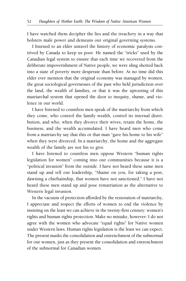I have watched them decipher the lies and the treachery in a way that bolsters male power and demeans our original governing systems.

I listened to an elder unravel the history of economic paralysis contrived by Canada to keep us poor. He named the ''tricks'' used by the Canadian legal system to ensure that each time we recovered from the deliberate impoverishment of Native people, we were sling shotted back into a state of poverty more desperate than before. At no time did this elder ever mention that the original economy was managed by women, the great sociological governesses of the past who held jurisdiction over the land, the wealth of families, or that it was the uprooting of this matriarchal system that opened the door to inequity, shame, and violence in our world.

I have listened to countless men speak of the matriarchy from which they come, who control the family wealth, control its internal distribution, and who, when they divorce their wives, retain the home, the business, and the wealth accumulated. I have heard men who come from a matriarchy say that this or that man ''gave his home to his wife'' when they were divorced. In a matriarchy, the home and the aggregate wealth of the family are not his to give.

I have listened to countless men oppose Western ''human rights legislation for women'' coming into our communities because it is a ''political invasion'' from the outside. I have not heard these same men stand up and tell our leadership, ''Shame on you, for taking a post, dawning a chieftainship, that women have not sanctioned.'' I have not heard these men stand up and pose rematriation as the alternative to Western legal invasion.

In the vacuum of protection afforded by the restoration of matriarchy, I appreciate and respect the efforts of women to end the violence by insisting on the least we can achieve in the twenty-first century: women's rights and human rights protection. Make no mistake, however: I do not agree with the women who advocate ''equal rights'' for Native women under Western laws. Human rights legislation is the least we can expect. The present masks the consolidation and entrenchment of the subnormal for our women, just as they present the consolidation and entrenchment of the subnormal for Canadian women.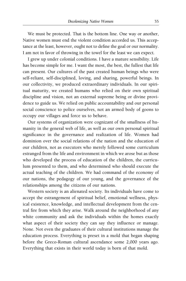We must be protected. That is the bottom line. One way or another, Native women must end the violent condition accorded us. This acceptance at the least, however, ought not to define the goal or our normality. I am not in favor of throwing in the towel for the least we can expect.

I grew up under colonial conditions. I have a mature sensibility. Life has become simple for me. I want the most, the best, the fullest that life can present. Our cultures of the past created human beings who were self-reliant, self-disciplined, loving, and sharing, powerful beings. In our collectivity, we produced extraordinary individuals. In our spiritual maturity, we created humans who relied on their own spiritual discipline and vision, not an external supreme being or divine providence to guide us. We relied on public accountability and our personal social conscience to police ourselves, not an armed body of goons to occupy our villages and force us to behave.

Our systems of organization were cognizant of the smallness of humanity in the general web of life, as well as our own personal spiritual significance in the governance and realization of life. Women had dominion over the social relations of the nation and the education of our children, not as executors who merely followed some curriculum estranged from the life and environment in which we arose but as those who developed the process of education of the children, the curriculum presented to them, and who determined who should execute the actual teaching of the children. We had command of the economy of our nations, the pedagogy of our young, and the governance of the relationships among the citizens of our nations.

Western society is an alienated society. Its individuals have come to accept the estrangement of spiritual belief, emotional wellness, physical existence, knowledge, and intellectual development from the central fire from which they arise. Walk around the neighborhood of any white community and ask the individuals within the homes exactly what aspect of their society they can say they influence or manage. None. Not even the graduates of their cultural institutions manage the education process. Everything is preset in a mold that began shaping before the Greco-Roman cultural ascendance some 2,000 years ago. Everything that exists in their world today is born of that mold.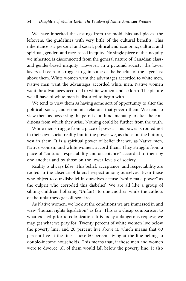We have inherited the castings from the mold, bits and pieces, the leftovers, the guidelines with very little of the cultural benefits. This inheritance is a personal and social, political and economic, cultural and spiritual, gender- and race-based inequity. No single piece of the inequity we inherited is disconnected from the general nature of Canadian classand gender-based inequity. However, in a pyramid society, the lower layers all seem to struggle to gain some of the benefits of the layer just above them. White women want the advantages accorded to white men, Native men want the advantages accorded white men, Native women want the advantages accorded to white women, and so forth. The picture we all have of white men is distorted to begin with.

We tend to view them as having some sort of opportunity to alter the political, social, and economic relations that govern them. We tend to view them as possessing the permission fundamentally to alter the conditions from which they arise. Nothing could be further from the truth.

White men struggle from a place of power. This power is rooted not in their own social reality but in the power we, as those on the bottom, vest in them. It is a spiritual power of belief that we, as Native men, Native women, and white women, accord them. They struggle from a place of ''cultural respectability and acceptance'' accorded to them by one another and by those on the lower levels of society.

Reality is always false. This belief, acceptance, and respectability are rooted in the absence of lateral respect among ourselves. Even those who object to our disbelief in ourselves accuse "white male power" as the culprit who corroded this disbelief. We are all like a group of sibling children, hollering "Unfair!" to one another, while the authors of the unfairness get off scot-free.

As Native women, we look at the conditions we are immersed in and view ''human rights legislation'' as fair. This is a cheap comparison to what existed prior to colonization. It is today a dangerous request; we may get what we pray for. Twenty percent of white women live below the poverty line, and 20 percent live above it, which means that 60 percent live at the line. Those 60 percent living at the line belong to double-income households. This means that, if those men and women were to divorce, all of them would fall below the poverty line. It also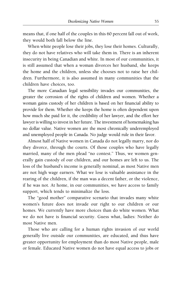means that, if one half of the couples in this 60 percent fall out of work, they would both fall below the line.

When white people lose their jobs, they lose their homes. Culturally, they do not have relatives who will take them in. There is an inherent insecurity in being Canadian and white. In most of our communities, it is still assumed that when a woman divorces her husband, she keeps the home and the children, unless she chooses not to raise her children. Furthermore, it is also assumed in many communities that the children have choices, too.

The more Canadian legal sensibility invades our communities, the greater the corrosion of the rights of children and women. Whether a woman gains custody of her children is based on her financial ability to provide for them. Whether she keeps the home is often dependent upon how much she paid for it, the credibility of her lawyer, and the effort her lawyer is willing to invest in her future. The investment of homemaking has no dollar value. Native women are the most chronically underemployed and unemployed people in Canada. No judge would rule in their favor.

Almost half of Native women in Canada do not legally marry, nor do they divorce, through the courts. Of those couples who have legally married, many of the men plead ''no contest.'' Thus, we women generally gain custody of our children, and our homes are left to us. The loss of the husband's income is generally nominal, as most Native men are not high wage earners. What we lose is valuable assistance in the rearing of the children, if the man was a decent father, or the violence, if he was not. At home, in our communities, we have access to family support, which tends to minimalize the loss.

The ''good mother'' comparative scenario that invades many white women's future does not invade our right to our children or our homes. We currently have more choices than do white women. What we do not have is financial security. Guess what, ladies: Neither do most Native men.

Those who are calling for a human rights invasion of our world generally live outside our communities, are educated, and thus have greater opportunity for employment than do most Native people, male or female. Educated Native women do not have equal access to jobs or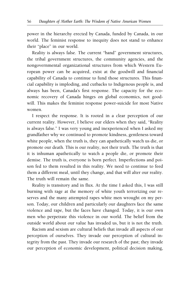power in the hierarchy erected by Canada, funded by Canada, in our world. The feminist response to inequity does not stand to enhance their ''place'' in our world.

Reality is always false. The current ''band'' government structures, the tribal government structures, the community agencies, and the nongovernmental organizational structures from which Western European power can be acquired, exist at the goodwill and financial capability of Canada to continue to fund those structures. This financial capability is imploding, and cutbacks to Indigenous people is, and always has been, Canada's first response. The capacity for the economic recovery of Canada hinges on global economics, not goodwill. This makes the feminist response power-suicide for most Native women.

I respect the response. It is rooted in a clear perception of our current reality. However, I believe our elders when they said, ''Reality is always false.'' I was very young and inexperienced when I asked my grandfather why we continued to promote kindness, gentleness toward white people, when the truth is, they can apathetically watch us die, or promote our death. This is our reality, not their truth. The truth is that it is inhuman apathetically to watch a people die, or promote their demise. The truth is, everyone is born perfect. Imperfections and poison fed to them resulted in this reality. We need to continue to feed them a different meal, until they change, and that will alter our reality. The truth will remain the same.

Reality is transitory and in flux. At the time I asked this, I was still burning with rage at the memory of white youth terrorizing our reserves and the many attempted rapes white men wrought on my person. Today, our children and particularly our daughters face the same violence and rape, but the faces have changed. Today, it is our own men who perpetrate this violence in our world. The belief from the outside world about our value has invaded us, but it is not the truth.

Racism and sexism are cultural beliefs that invade all aspects of our perception of ourselves. They invade our perception of cultural integrity from the past. They invade our research of the past; they invade our perception of economic development, political decision making,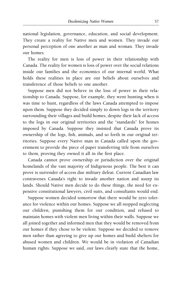national legislation, governance, education, and social development. They create a reality for Native men and women. They invade our personal perception of one another as man and woman. They invade our homes.

The reality for men is loss of power in their relationship with Canada. The reality for women is loss of power over the social relations inside our families and the economics of our internal world. What holds these realities in place are our beliefs about ourselves and transference of those beliefs to one another.

Suppose men did not believe in the loss of power in their relationship to Canada. Suppose, for example, they went hunting when it was time to hunt, regardless of the laws Canada attempted to impose upon them. Suppose they decided simply to down logs in the territory surrounding their villages and build homes, despite their lack of access to the logs in our original territories and the ''standards'' for homes imposed by Canada. Suppose they insisted that Canada prove its ownership of the logs, fish, animals, and so forth in our original territories. Suppose every Native man in Canada called upon the government to provide the piece of paper transferring title from ourselves to them, proving they owned it all in the first place.

Canada cannot prove ownership or jurisdiction over the original homelands of the vast majority of Indigenous people. The best it can prove is surrender of access due military defeat. Current Canadian law contravenes Canada's right to invade another nation and usurp its lands. Should Native men decide to do these things, the need for expensive constitutional lawyers, civil suits, and consultants would end.

Suppose women decided tomorrow that there would be zero tolerance for violence within our homes. Suppose we all stopped neglecting our children, punishing them for our condition, and refused to maintain homes with violent men living within their walls. Suppose we all joined together and informed men that they would be removed from our homes if they chose to be violent. Suppose we decided to remove men rather than agreeing to give up our homes and build shelters for abused women and children. We would be in violation of Canadian human rights. Suppose we said, our laws clearly state that the home,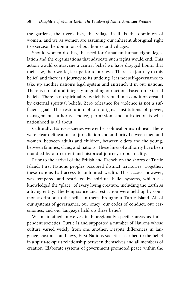the gardens, the river's fish, the village itself, is the dominion of women, and we as women are assuming our inherent aboriginal right to exercise the dominion of our homes and villages.

Should women do this, the need for Canadian human rights legislation and the organizations that advocate such rights would end. This action would contravene a central belief we have dragged home: that their law, their world, is superior to our own. There is a journey to this belief, and there is a journey to its undoing. It is not self-governance to take up another nation's legal system and entrench it in our nations. There is no cultural integrity in guiding our actions based on external beliefs. There is no spirituality, which is rooted in a condition created by external spiritual beliefs. Zero tolerance for violence is not a sufficient goal. The restoration of our original institutions of power, management, authority, choice, permission, and jurisdiction is what nationhood is all about.

Culturally, Native societies were either colineal or matrilineal. There were clear delineations of jurisdiction and authority between men and women, between adults and children, between elders and the young, between families, clans, and nations. These lines of authority have been muddied by our current and historical journey to our reality.

Prior to the arrival of the British and French on the shores of Turtle Island, First Nations peoples occupied distinct territories. Together, these nations had access to unlimited wealth. This access, however, was tempered and restricted by spiritual belief systems, which acknowledged the ''place'' of every living creature, including the Earth as a living entity. The temperance and restriction were held up by common ascription to the belief in them throughout Turtle Island. All of our systems of governance, our oracy, our codes of conduct, our ceremonies, and our language held up these beliefs.

We maintained ourselves in bioregionally specific areas as independent societies. Turtle Island supported a number of Nations whose culture varied widely from one another. Despite differences in language, customs, and laws, First Nations societies ascribed to the belief in a spirit-to-spirit relationship between themselves and all members of creation. Elaborate systems of government promoted peace within the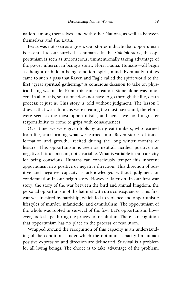nation, among themselves, and with other Nations, as well as between themselves and the Earth.

Peace was not seen as a given. Our stories indicate that opportunism is essential to our survival as humans. In the Stoh:loh story, this opportunism is seen as unconscious, unintentionally taking advantage of the power inherent in being a spirit. Flora, Fauna, Humans—all begin as thought or hidden being, emotion, spirit, mind. Eventually, things came to such a pass that Raven and Eagle called the spirit world to the first "great spiritual gathering." A conscious decision to take on physical being was made. From this came creation. Stone alone was innocent in all of this, so it alone does not have to go through the life, death process; it just is. This story is told without judgment. The lesson I draw is that we as humans were creating the most havoc and, therefore, were seen as the most opportunistic, and hence we hold a greater responsibility to come to grips with consequences.

Over time, we were given tools by our great thinkers, who learned from life, transforming what we learned into ''Raven stories of transformation and growth,'' recited during the long winter months of leisure. This opportunism is seen as neutral, neither positive nor negative. It is a constant, not a variable. What is variable is our capacity for being conscious. Humans can consciously temper this inherent opportunism in a positive or negative direction. This direction of positive and negative capacity is acknowledged without judgment or condemnation in our origin story. However, later on, in our first war story, the story of the war between the bird and animal kingdom, the personal opportunism of the bat met with dire consequences. This first war was inspired by hardship, which led to violence and opportunistic lifestyles of murder, infanticide, and cannibalism. The opportunism of the whole was rooted in survival of the few. Bat's opportunism, however, took shape during the process of resolution. There is recognition that opportunism has no place in the process of resolution.

Wrapped around the recognition of this capacity is an understanding of the conditions under which the optimum capacity for human positive expression and direction are delineated. Survival is a problem for all living beings. The choice is to take advantage of the problem,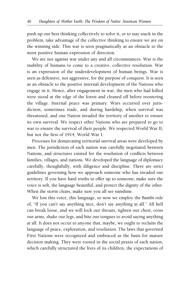push up our best thinking collectively to solve it, or to stay stuck in the problem, take advantage of the collective thinking to ensure we are on the winning side. This war is seen pragmatically as an obstacle to the most positive human expression of direction.

We are not against war under any and all circumstances. War is the inability of humans to come to a creative, collective resolution. War is an expression of the underdevelopment of human beings. War is seen as defensive, not aggressive, for the purpose of conquest. It is seen as an obstacle to the positive internal development of the Nations who engage in it. Hence, after engagement in war, the men who had killed were stood at the edge of the forest and cleaned off before reentering the village. Internal peace was primary. Wars occurred over jurisdiction, sometimes trade, and during hardship, when survival was threatened, and one Nation invaded the territory of another to ensure its own survival. We respect other Nations who are prepared to go to war to ensure the survival of their people. We respected World War II, but not the first of 1914, World War I.

Processes for demarcating territorial survival areas were developed by men. The jurisdiction of each nation was carefully negotiated between Nations, and structures existed for the resolution of conflicts between families, villages, and nations. We developed the language of diplomacy carefully, thoughtfully, with diligence and discipline. There are strict guidelines governing how we approach someone who has invaded our territory. If you have hard truths to offer up to someone, make sure the voice is soft, the language beautiful, and protect the dignity of the other. When the storm clears, make sure you all see sunshine.

We lost this voice, this language, so now we employ the Bambi rule of, ''If you can't say anything nice, don't say anything at all.'' All hell can break loose, and we will lock our throats, tighten our chest, cross our arms, shake our legs, and bite our tongues to avoid saying anything at all. It does not occur to anyone that, maybe, we ought to reclaim the language of peace, exploration, and resolution. The laws that governed First Nations were recognized and embraced as the basis for mature decision making. They were rooted in the social praxis of each nation, which carefully structured the lives of its children, the expectations of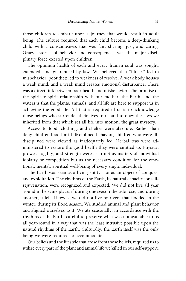those children to embark upon a journey that would result in adult being. The culture required that each child become a deep-thinking child with a consciousness that was fair, sharing, just, and caring. Oracy—stories of behavior and consequence—was the major disciplinary force exerted upon children.

The optimum health of each and every human soul was sought, extended, and guaranteed by law. We believed that ''illness'' led to misbehavior, poor diet; led to weakness of resolve. A weak body houses a weak mind, and a weak mind creates emotional disturbance. There was a direct link between poor health and misbehavior. The promise of the spirit-to-spirit relationship with our mother, the Earth, and the waters is that the plants, animals, and all life are here to support us in achieving the good life. All that is required of us is to acknowledge those beings who surrender their lives to us and to obey the laws we inherited from that which set all life into motion, the great mystery.

Access to food, clothing, and shelter were absolute. Rather than deny children food for ill-disciplined behavior, children who were illdisciplined were viewed as inadequately fed. Herbal teas were administered to restore the good health they were entitled to. Physical prowess, agility, and strength were seen not as matters of individual idolatry or competition but as the necessary condition for the emotional, mental, spiritual well-being of every single individual.

The Earth was seen as a living entity, not as an object of conquest and exploitation. The rhythms of the Earth, its natural capacity for selfrejuvenation, were recognized and expected. We did not live all year 'roundin the same place, if during one season the tide rose, and during another, it fell. Likewise we did not live by rivers that flooded in the winter, during its flood season. We studied animal and plant behavior and aligned ourselves to it. We ate seasonally, in accordance with the rhythms of the Earth, careful to preserve what was not available to us all year-round in a way that was the least intrusive possible upon the natural rhythms of the Earth. Culturally, the Earth itself was the only being we were required to accommodate.

Our beliefs and the lifestyle that arose from those beliefs, required us to utilize every part of the plant and animal life we killed in our self-support.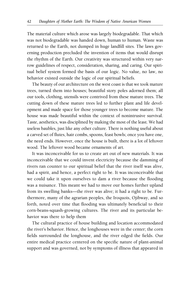The material culture which arose was largely biodegradable. That which was not biodegradable was handed down, human to human. Waste was returned to the Earth, not dumped in huge landfill sites. The laws governing production precluded the invention of items that would disrupt the rhythm of the Earth. Our creativity was structured within very narrow guidelines of respect, consideration, sharing, and caring. Our spiritual belief system formed the basis of our logic. No value, no law, no behavior existed outside the logic of our spiritual beliefs.

The beauty of our architecture on the west coast is that we took mature trees, turned them into houses; beautiful story poles adorned them; all our tools, clothing, utensils were contrived from these mature trees. The cutting down of these mature trees led to further plant and life development and made space for those younger trees to become mature. The house was made beautiful within the context of nonintrusive survival. Taste, aesthetics, was disciplined by making the most of the least. We had useless baubles, just like any other culture. There is nothing useful about a carved set of flutes, hair combs, spoons, feast bowls; once you have one, the need ends. However, once the house is built, there is a lot of leftover wood. The leftover wood became ornaments of art.

It was inconceivable for us to create art out of new materials. It was inconceivable that we could invent electricity because the damming of rivers ran counter to our spiritual belief that the river itself was alive, had a spirit, and hence, a perfect right to be. It was inconceivable that we could take it upon ourselves to dam a river because the flooding was a nuisance. This meant we had to move our homes further upland from its swelling banks—the river was alive; it had a right to be. Furthermore, many of the agrarian peoples, the Iroquois, Ojibway, and so forth, noted over time that flooding was ultimately beneficial to their corn-beans-squash-growing cultures. The river and its particular behavior was there to help them

The cultural practice of house building and location accommodated the river's behavior. Hence, the longhouses were in the center; the corn fields surrounded the longhouse, and the river edged the fields. Our entire medical practice centered on the specific nature of plant-animal support and was governed, not by symptoms of illness that appeared in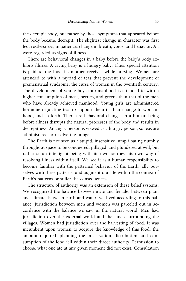the decrepit body, but rather by those symptoms that appeared before the body became decrepit. The slightest change in character was first fed; restlessness, impatience, change in breath, voice, and behavior: All were regarded as signs of illness.

There are behavioral changes in a baby before the baby's body exhibits illness. A crying baby is a hungry baby. Thus, special attention is paid to the food its mother receives while nursing. Women are attended to with a myriad of teas that prevent the development of premenstrual syndrome, the curse of women in the twentieth century. The development of young boys into manhood is attended to with a higher consumption of meat, berries, and greens than that of the men who have already achieved manhood. Young girls are administered hormone-regulating teas to support them in their change to womanhood, and so forth. There are behavioral changes in a human being before illness disrupts the natural processes of the body and results in decrepitness. An angry person is viewed as a hungry person, so teas are administered to resolve the hunger.

The Earth is not seen as a stupid, insensitive lump floating numbly throughout space to be conquered, pillaged, and plundered at will, but rather as an intelligent being with its own journey, its own way of resolving illness within itself. We see it as a human responsibility to become familiar with the patterned behavior of the Earth, ally ourselves with these patterns, and augment our life within the context of Earth's patterns or suffer the consequences.

The structure of authority was an extension of these belief systems. We recognized the balance between male and female, between plant and climate, between earth and water; we lived according to this balance. Jurisdiction between men and women was parceled out in accordance with the balance we saw in the natural world. Men had jurisdiction over the external world and the lands surrounding the villages. Women had jurisdiction over the harvesting of food. It was incumbent upon women to acquire the knowledge of this food, the amount required; planning the preservation, distribution, and consumption of the food fell within their direct authority. Permission to choose what one ate at any given moment did not exist. Consultation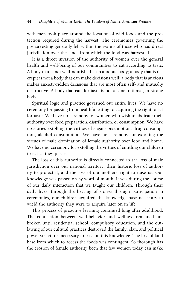with men took place around the location of wild foods and the protection required during the harvest. The ceremonies governing the preharvesting generally fell within the realms of those who had direct jurisdiction over the lands from which the food was harvested.

It is a direct invasion of the authority of women over the general health and well-being of our communities to eat according to taste. A body that is not well-nourished is an anxious body; a body that is decrepit is not a body that can make decisions well; a body that is anxious makes anxiety-ridden decisions that are most often self- and mutually destructive. A body that eats for taste is not a sane, rational, or strong body.

Spiritual logic and practice governed our entire lives. We have no ceremony for passing from healthful eating to acquiring the right to eat for taste. We have no ceremony for women who wish to abdicate their authority over food preparation, distribution, or consumption. We have no stories extolling the virtues of sugar consumption, drug consumption, alcohol consumption. We have no ceremony for extolling the virtues of male domination of female authority over food and home. We have no ceremony for extolling the virtues of entitling our children to eat as they please.

The loss of this authority is directly connected to the loss of male jurisdiction over our national territory, their historic loss of authority to protect it, and the loss of our mothers' right to raise us. Our knowledge was passed on by word of mouth. It was during the course of our daily interaction that we taught our children. Through their daily lives, through the hearing of stories through participation in ceremonies, our children acquired the knowledge base necessary to wield the authority they were to acquire later on in life.

This process of proactive learning continued long after adulthood. The connection between well-behavior and wellness remained unbroken until residential school, compulsory education, and the outlawing of our cultural practices destroyed the family, clan, and political power structures necessary to pass on this knowledge. The loss of land base from which to access the foods was contingent. So thorough has the erosion of female authority been that few women today can make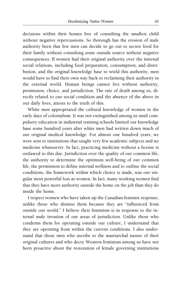decisions within their homes free of consulting the smallest child without negative repercussions. So thorough has the erosion of male authority been that few men can decide to go out to secure food for their family without consulting some outside source without negative consequences. If women had their original authority over the internal social relations, including food preparation, consumption, and distribution, and the original knowledge base to wield this authority, men would have to find their own way back to reclaiming their authority in the external world. Human beings cannot live without authority, permission, choice, and jurisdiction. The rate of death among us, directly related to our social condition and the absence of the above in our daily lives, attests to the truth of this.

White men appropriated the cultural knowledge of women in the early days of colonialism. It was not extinguished among us until compulsory education in industrial training schools limited our knowledge base some hundred years after white men had written down much of our original medical knowledge. For almost one hundred years, we were sent to institutions that taught very few academic subjects and no medicine whatsoever. In fact, practicing medicine without a license is outlawed to this day. Jurisdiction over the quality of our common life, the authority to determine the optimum well-being of our common life, the permission to define internal wellness and to outline the social conditions, the framework within which choice is made, was our singular most powerful loss as women. In fact, many working women find that they have more authority outside the home on the job than they do inside the home.

I respect women who have taken up the Canadian feminist response, unlike those who dismiss them because they are ''influenced from outside our world.'' I believe their feminism is in response to the internal male invasion of our areas of jurisdiction. Unlike those who condemn them for operating outside our culture, I understand that they are operating from within the current conditions. I also understand that those men who ascribe to the matriarchal nature of their original cultures and who decry Western feminism among us have not been proactive about the restoration of female governing institutions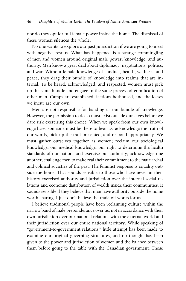nor do they opt for full female power inside the home. The dismissal of these women silences the whole.

No one wants to explore our past jurisdiction if we are going to meet with negative results. What has happened is a strange commingling of men and women around original male power, knowledge, and authority. Men know a great deal about diplomacy, negotiations, politics, and war. Without female knowledge of conduct, health, wellness, and peace, they drag their bundle of knowledge into realms that are internal. To be heard, acknowledged, and respected, women must pick up the same bundle and engage in the same process of enmification of other men. Camps are established, factions hothoused, and the losses we incur are our own.

Men are not responsible for handing us our bundle of knowledge. However, the permission to do so must exist outside ourselves before we dare risk exercising this choice. When we speak from our own knowledge base, someone must be there to hear us, acknowledge the truth of our words, pick up the trail presented, and respond appropriately. We must gather ourselves together as women; reclaim our sociological knowledge, our medical knowledge, our right to determine the health standards of our nations and exercise our authority; acknowledge one another, challenge men to make real their commitment to the matriarchal and colineal societies of the past. The feminist response is equality outside the home. That sounds sensible to those who have never in their history exercised authority and jurisdiction over the internal social relations and economic distribution of wealth inside their communities. It sounds sensible if they believe that men have authority outside the home worth sharing. I just don't believe the trade-off works for us.

I believe traditional people have been reclaiming culture within the narrow band of male preponderance over us, not in accordance with their own jurisdiction over our national relations with the external world and their jurisdiction over our entire national territory. While speaking of ''government-to-government relations,'' little attempt has been made to examine our original governing structures, and no thought has been given to the power and jurisdiction of women and the balance between them before going to the table with the Canadian government. Those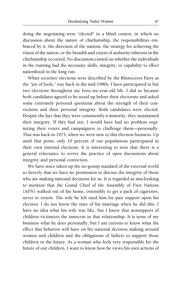doing the negotiating were ''elected'' in a blind contest, in which no discussion about the nature of chieftainship, the responsibilities embraced by it, the direction of the nations, the strategy for achieving the vision of the nation, or the breadth and extent of authority inherent in the chieftainship occurred. No discussion existed on whether the individuals in the running had the necessary skills, integrity, or capability to effect nationhood in the long run.

White societies' elections were described by the Rhinoceros Party as the ''joy of fools,'' way back in the mid-1980s. I have participated in but two elections throughout my forty-six-year-old life. I did so because both candidates agreed to be stood up before their electorate and asked some extremely personal questions about the strength of their convictions and their personal integrity. Both candidates were elected. Despite the fact that they were consistently a minority, they maintained their integrity. If they had not, I would have had no problem organizing their voters and campaigners to challenge them—personally. That was back in 1973, when we were new to this election business. Up until that point, only 10 percent of our populations participated in their own internal elections. It is interesting to note that there is a general reluctance to revive the practice of open discussions about integrity and personal conviction.

We have since taken up the no-gossip standard of the external world so fiercely that we have no permission to discuss the integrity of those who are making national decisions for us. It is regarded as muckraking to mention that the Grand Chief of the Assembly of First Nations (AFN) walked out of his home, ostensibly to get a pack of cigarettes, never to return. The wife he left sued him for past support upon his election. I do not know the state of his marriage when he did this. I have no idea what his wife was like, but I know that nonsupport of children victimizes the innocent in that relationship. It is none of my business what he does personally, but I am curious to know what the effect that behavior will have on his national decision making around women and children and the obligations of fathers to support those children in the future. As a woman who feels very responsible for the future of our children, I want to know how he views his own actions of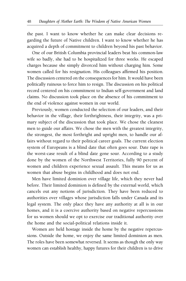the past. I want to know whether he can make clear decisions regarding the future of Native children. I want to know whether he has acquired a depth of commitment to children beyond his past behavior.

One of our British Columbia provincial leaders beat his common-law wife so badly, she had to be hospitalized for three weeks. He escaped charges because she simply divorced him without charging him. Some women called for his resignation. His colleagues affirmed his position. The discussion centered on the consequences for him. It would have been politically ruinous to force him to resign. The discussion on his political record centered on his commitment to Indian self-government and land claims. No discussion took place on the absence of his commitment to the end of violence against women in our world.

Previously, women conducted the selection of our leaders, and their behavior in the village, their forthrightness, their integrity, was a primary subject of the discussion that took place. We chose the cleanest men to guide our affairs. We chose the men with the greatest integrity, the strongest, the most forthright and upright men, to handle our affairs without regard to their political career goals. The current election system of Europeans is a blind date that often goes sour. Date rape is the worst-case result of a blind date gone sour. According to a study done by the women of the Northwest Territories, fully 90 percent of women and children experience sexual assault. This means for us as women that abuse begins in childhood and does not end.

Men have limited dominion over village life, which they never had before. Their limited dominion is defined by the external world, which cancels out any notions of jurisdiction. They have been reduced to authorities over villages whose jurisdiction falls under Canada and its legal system. The only place they have any authority at all is in our homes, and it is a coercive authority based on negative repercussions for us women should we opt to exercise our traditional authority over the home and the social-political relations inside it.

Women are held hostage inside the home by the negative repercussions. Outside the home, we enjoy the same limited dominion as men. The roles have been somewhat reversed. It seems as though the only way women can establish healthy, happy futures for their children is to drive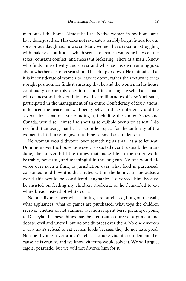men out of the home. Almost half the Native women in my home area have done just that. This does not re-create a terribly bright future for our sons or our daughters, however. Many women have taken up struggling with male sexist attitudes, which seems to create a war zone between the sexes, constant conflict, and incessant bickering. There is a man I know who finds himself witty and clever and who has his own running joke about whether the toilet seat should be left up or down. He maintains that it is inconsiderate of women to leave it down, rather than return it to its upright position. He finds it amusing that he and the women in his house continually debate this question. I find it amusing myself that a man whose ancestors held dominion over five million acres of New York state, participated in the management of an entire Confederacy of Six Nations, influenced the peace and well-being between this Confederacy and the several dozen nations surrounding it, including the United States and Canada, would sell himself so short as to quibble over a toilet seat. I do not find it amusing that he has so little respect for the authority of the women in his house to govern a thing so small as a toilet seat.

No woman would divorce over something as small as a toilet seat. Dominion over the house, however, is exacted over the small, the mundane, the uneventful little things that make life in the outer world bearable, powerful, and meaningful in the long run. No one would divorce over such a thing as jurisdiction over what food is purchased, consumed, and how it is distributed within the family. In the outside world this would be considered laughable: I divorced him because he insisted on feeding my children Kool-Aid, or he demanded to eat white bread instead of white corn.

No one divorces over what paintings are purchased, hung on the wall, what appliances, what or games are purchased, what toys the children receive, whether or not summer vacation is spent berry picking or going to Disneyland. These things may be a constant source of argument and debate, civil and uncivil, but no one divorces over them. No one divorces over a man's refusal to eat certain foods because they do not taste good. No one divorces over a man's refusal to take vitamin supplements because he is cranky, and we know vitamins would solve it. We will argue, cajole, persuade, but we will not divorce him for it.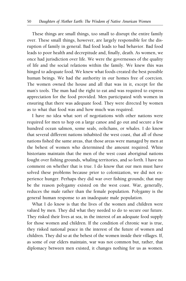These things are small things, too small to disrupt the entire family over. These small things, however, are largely responsible for the disruption of family in general. Bad food leads to bad behavior. Bad food leads to poor health and decrepitude and, finally, death. As women, we once had jurisdiction over life. We were the governesses of the quality of life and the social relations within the family. We knew this was hinged to adequate food. We knew what foods created the best possible human beings. We had the authority in our homes free of coercion. The women owned the house and all that was in it, except for the man's tools. The man had the right to eat and was required to express appreciation for the food provided. Men participated with women in ensuring that there was adequate food. They were directed by women as to what that food was and how much was required.

I have no idea what sort of negotiations with other nations were required for men to hop on a large canoe and go out and secure a few hundred ocean salmon, some seals, oolichans, or whales. I do know that several different nations inhabited the west coast, that all of those nations fished the same areas, that those areas were managed by men at the behest of women who determined the amount required. White historians maintain that the men of the west coast aboriginal nations fought over fishing grounds, whaling territories, and so forth. I have no comment on whether that is true. I do know that our men must have solved these problems because prior to colonization, we did not experience hunger. Perhaps they did war over fishing grounds; that may be the reason polygamy existed on the west coast. War, generally, reduces the male rather than the female population. Polygamy is the general human response to an inadequate male population.

What I do know is that the lives of the women and children were valued by men. They did what they needed to do to secure our future. They risked their lives at sea, in the interest of an adequate food supply for those women and children. If the condition of chronic war is true, they risked national peace in the interest of the future of women and children. They did so at the behest of the women inside their villages. If, as some of our elders maintain, war was not common but, rather, that diplomacy between men existed, it changes nothing for us as women.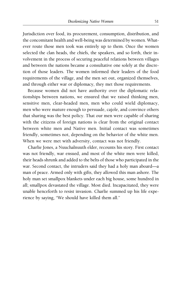Jurisdiction over food, its procurement, consumption, distribution, and the concomitant health and well-being was determined by women. Whatever route those men took was entirely up to them. Once the women selected the clan heads, the chiefs, the speakers, and so forth, their involvement in the process of securing peaceful relations between villages and between the nations became a consultative one solely at the discretion of those leaders. The women informed their leaders of the food requirements of the village, and the men set out, organized themselves, and through either war or diplomacy, they met those requirements.

Because women did not have authority over the diplomatic relationships between nations, we ensured that we raised thinking men, sensitive men, clear-headed men, men who could wield diplomacy, men who were mature enough to persuade, cajole, and convince others that sharing was the best policy. That our men were capable of sharing with the citizens of foreign nations is clear from the original contact between white men and Native men. Initial contact was sometimes friendly, sometimes not, depending on the behavior of the white men. When we were met with adversity, contact was not friendly.

Charlie Jones, a Nuuchalnuuth elder, recounts his story. First contact was not friendly, war ensued, and most of the white men were killed, their heads shrunk and added to the belts of those who participated in the war. Second contact, the intruders said they had a holy man aboard—a man of peace. Armed only with gifts, they allowed this man ashore. The holy man set smallpox blankets under each big house, some hundred in all; smallpox devastated the village. Most died. Incapacitated, they were unable henceforth to resist invasion. Charlie summed up his life experience by saying, ''We should have killed them all.''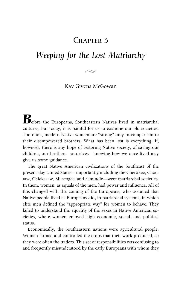### $CHAPTFR$ <sup>3</sup>

## Weeping for the Lost Matriarchy

 $\leftarrow$ 

Kay Givens McGowan

Before the Europeans, Southeastern Natives lived in matriarchal cultures, but today, it is painful for us to examine our old societies. Too often, modern Native women are ''strong'' only in comparison to their disempowered brothers. What has been lost is everything. If, however, there is any hope of restoring Native society, of saving our children, our brothers—ourselves—knowing how we once lived may give us some guidance.

The great Native American civilizations of the Southeast of the present-day United States—importantly including the Cherokee, Choctaw, Chickasaw, Muscogee, and Seminole—were matriarchal societies. In them, women, as equals of the men, had power and influence. All of this changed with the coming of the Europeans, who assumed that Native people lived as Europeans did, in patriarchal systems, in which elite men defined the ''appropriate way'' for women to behave. They failed to understand the equality of the sexes in Native American societies, where women enjoyed high economic, social, and political status.

Economically, the Southeastern nations were agricultural people. Women farmed and controlled the crops that their work produced, so they were often the traders. This set of responsibilities was confusing to and frequently misunderstood by the early Europeans with whom they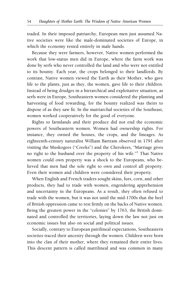traded. In their imposed patriarchy, European men just assumed Native societies were like the male-dominated societies of Europe, in which the economy rested entirely in male hands.

Because they were farmers, however, Native women performed the work that low-status men did in Europe, where the farm work was done by serfs who never controlled the land and who were not entitled to its bounty. Each year, the crops belonged to their landlords. By contrast, Native women viewed the Earth as their Mother, who gave life to the plants, just as they, the women, gave life to their children. Instead of being drudges in a hierarchical and exploitative situation, as serfs were in Europe, Southeastern women considered the planting and harvesting of food rewarding, for the bounty realized was theirs to dispose of as they saw fit. In the matriarchal societies of the Southeast, women worked cooperatively for the good of everyone.

Rights to farmlands and their produce did not end the economic powers of Southeastern women. Women had ownership rights. For instance, they owned the houses, the crops, and the lineages. As eighteenth-century naturalist William Bartram observed in 1791 after visiting the Muskogees (''Creeks'') and the Cherokees, ''Marriage gives no right to the husband over the property of his wife."<sup>1</sup> That Native women could own property was a shock to the Europeans, who believed that men had the sole right to own and control all property. Even their women and children were considered their property.

When English and French traders sought skins, furs, corn, and other products, they had to trade with women, engendering apprehension and uncertainty in the Europeans. As a result, they often refused to trade with the women, but it was not until the mid-1700s that the heel of British oppression came to rest firmly on the backs of Native women. Being the greatest power in the "colonies" by 1763, the British dominated and controlled the territories, laying down the law not just on economic issues but also on social and political issues.

Socially, contrary to European patrilineal expectations, Southeastern societies traced their ancestry through the women. Children were born into the clan of their mother, where they remained their entire lives. This descent pattern is called matrilineal and was common in many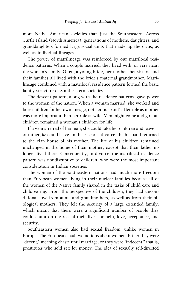more Native American societies than just the Southeastern. Across Turtle Island (North America), generations of mothers, daughters, and granddaughters formed large social units that made up the clans, as well as individual lineages.

The power of matrilineage was reinforced by our matrilocal residence patterns. When a couple married, they lived with, or very near, the woman's family. Often, a young bride, her mother, her sisters, and their families all lived with the bride's maternal grandmother. Matrilineage combined with a matrilocal residence pattern formed the basic family structure of Southeastern societies.

The descent pattern, along with the residence patterns, gave power to the women of the nation. When a woman married, she worked and bore children for her own lineage, not her husband's. Her role as mother was more important than her role as wife. Men might come and go, but children remained a woman's children for life.

If a woman tired of her man, she could take her children and leave or rather, he could leave. In the case of a divorce, the husband returned to the clan house of his mother. The life of his children remained unchanged in the home of their mother, except that their father no longer lived there. Consequently, in divorce, the matrilocal residence pattern was nondisruptive to children, who were the most important consideration in Indian societies.

The women of the Southeastern nations had much more freedom than European women living in their nuclear families because all of the women of the Native family shared in the tasks of child care and childrearing. From the perspective of the children, they had unconditional love from aunts and grandmothers, as well as from their biological mothers. They felt the security of a large extended family, which meant that there were a significant number of people they could count on the rest of their lives for help, love, acceptance, and security.

Southeastern women also had sexual freedom, unlike women in Europe. The Europeans had two notions about women. Either they were ''decent,'' meaning chaste until marriage, or they were ''indecent,'' that is, prostitutes who sold sex for money. The idea of sexually self-directed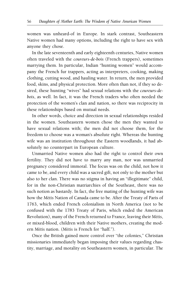women was unheard-of in Europe. In stark contrast, Southeastern Native women had many options, including the right to have sex with anyone they chose.

In the late seventeenth and early eighteenth centuries, Native women often traveled with the coureurs-de-bois (French trappers), sometimes marrying them. In particular, Indian ''hunting women'' would accompany the French fur trappers, acting as interpreters, cooking, making clothing, cutting wood, and hauling water. In return, the men provided food, skins, and physical protection. More often than not, if they so desired, these hunting ''wives'' had sexual relations with the coureurs-debois, as well. In fact, it was the French traders who often needed the protection of the women's clan and nation, so there was reciprocity in these relationships based on mutual needs.

In other words, choice and direction in sexual relationships resided in the women. Southeastern women chose the men they wanted to have sexual relations with; the men did not choose them, for the freedom to choose was a woman's absolute right. Whereas the hunting wife was an institution throughout the Eastern woodlands, it had absolutely no counterpart in European culture.

Unmarried Native women also had the right to control their own fertility. They did not have to marry any man, nor was unmarried pregnancy considered immoral. The focus was on the child, not how it came to be, and every child was a sacred gift, not only to the mother but also to her clan. There was no stigma in having an ''illegitimate'' child, for in the non-Christian matriarchies of the Southeast, there was no such notion as bastardy. In fact, the free mating of the hunting wife was how the Métis Nation of Canada came to be. After the Treaty of Paris of 1763, which ended French colonialism in North America (not to be confused with the 1783 Treaty of Paris, which ended the American Revolution), many of the French returned to France, leaving their Métis, or mixed-blood, children with their Native mothers, creating the modern Métis nation. (Métis is French for "half.").

Once the British gained more control over ''the colonies,'' Christian missionaries immediately began imposing their values regarding chastity, marriage, and morality on Southeastern women, in particular. The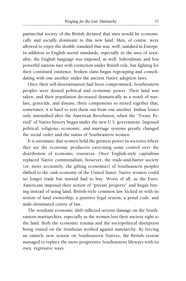patriarchal society of the British dictated that men would be economically and socially dominant in this new land. Men, of course, were allowed to enjoy the double standard that was, well, standard in Europe. In addition to English moral standards, especially in the area of sexuality, the English language was imposed, as well. Subordinate and less powerful nations met with extinction under British rule, but fighting for their continued existence, broken clans began regrouping and consolidating with one another under the ancient Native adoption laws.

Once their self-determination had been compromised, Southeastern peoples were denied political and economic power. Their land was taken, and their population decreased dramatically as a result of warfare, genocide, and disease, three components so mixed together that, sometimes, it is hard to sort them out from one another. Indian losses only intensified after the American Revolution, when the ''Treaty Period'' of Native history began under the new U.S. government. Imposed political, religious, economic, and marriage systems greatly changed the social order and the status of Southeastern women.

It is axiomatic that women hold the greatest power in societies where they are the economic producers exercising some control over the distribution of economic resources. Once English-style capitalism replaced Native communalism, however, the trade-and-barter society (or, more accurately, the gifting economies) of Southeastern peoples shifted to the cash economy of the United States. Native women could no longer trade but instead had to buy. Worst of all, as the Euro-Americans imposed their notion of ''private property'' and began buying instead of using land, British-style common law kicked in with its notion of land ownership, a punitive legal system, a penal code, and male-dominated courts of law.

The resultant economic shift inflicted serious damage on the Southeastern matriarchies, especially as the women lost their ancient right to the land. Both the economic trauma and the sociopolitical disruption being visited on the Southeast worked against matriarchy. By forcing an entirely new system on Southeastern Natives, the British system managed to replace the more progressive Southeastern lifeways with its own, regressive ways.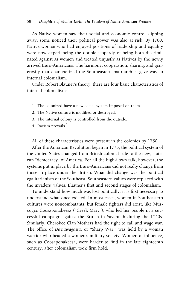As Native women saw their social and economic control slipping away, some noticed their political power was also at risk. By 1700, Native women who had enjoyed positions of leadership and equality were now experiencing the double jeopardy of being both discriminated against as women and treated unjustly as Natives by the newly arrived Euro-Americans. The harmony, cooperation, sharing, and generosity that characterized the Southeastern matriarchies gave way to internal colonialism.

Under Robert Blauner's theory, there are four basic characteristics of internal colonialism:

- 1. The colonized have a new social system imposed on them.
- 2. The Native culture is modified or destroyed.
- 3. The internal colony is controlled from the outside.
- 4. Racism prevails.<sup>2</sup>

All of these characteristics were present in the colonies by 1750.

After the American Revolution began in 1775, the political system of the United States changed from British colonial rule to the new, staterun ''democracy'' of America. For all the high-flown talk, however, the systems put in place by the Euro-Americans did not really change from those in place under the British. What did change was the political egalitarianism of the Southeast. Southeastern values were replaced with the invaders' values, Blauner's first and second stages of colonialism.

To understand how much was lost politically, it is first necessary to understand what once existed. In most cases, women in Southeastern cultures were noncombatants, but female fighters did exist, like Muscogee Coosaponakeesa (''Creek Mary''), who led her people in a successful campaign against the British in Savannah during the 1750s. Similarly, Cherokee Clan Mothers had the right to call and wage war. The office of Da'nawagasta, or "Sharp War," was held by a woman warrior who headed a women's military society. Women of influence, such as Coosaponakeesa, were harder to find in the late eighteenth century, after colonialism took firm hold.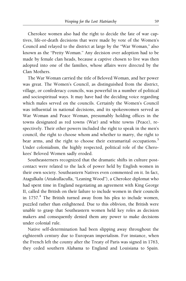Cherokee women also had the right to decide the fate of war captives, life-or-death decisions that were made by vote of the Women's Council and relayed to the district at large by the ''War Woman,'' also known as the ''Pretty Woman.'' Any decision over adoption had to be made by female clan heads, because a captive chosen to live was then adopted into one of the families, whose affairs were directed by the Clan Mothers.

The War Woman carried the title of Beloved Woman, and her power was great. The Women's Council, as distinguished from the district, village, or confederacy councils, was powerful in a number of political and sociospiritual ways. It may have had the deciding voice regarding which males served on the councils. Certainly the Women's Council was influential in national decisions, and its spokeswomen served as War Woman and Peace Woman, presumably holding offices in the towns designated as red towns (War) and white towns (Peace), respectively. Their other powers included the right to speak in the men's council, the right to choose whom and whether to marry, the right to bear arms, and the right to choose their extramarital occupations.<sup>3</sup> Under colonialism, the highly respected, political role of the Cherokees' Beloved Women sadly eroded.

Southeasterners recognized that the dramatic shifts in culture postcontact were related to the lack of power held by English women in their own society. Southeastern Natives even commented on it. In fact, Atagulkalu (Attakullaculla, ''Leaning Wood''), a Cherokee diplomat who had spent time in England negotiating an agreement with King George II, called the British on their failure to include women in their councils in 1757.<sup>4</sup> The British turned away from his plea to include women, puzzled rather than enlightened. Due to this oblivion, the British were unable to grasp that Southeastern women held key roles as decision makers and consequently denied them any power to make decisions under colonial rule.

Native self-determination had been slipping away throughout the eighteenth century due to European imperialism. For instance, when the French left the county after the Treaty of Paris was signed in 1763, they ceded southern Alabama to England and Louisiana to Spain.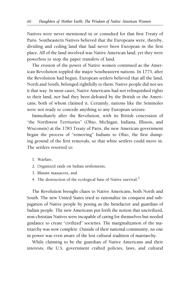Natives were never mentioned in or consulted for that first Treaty of Paris. Southeastern Natives believed that the Europeans were, thereby, dividing and ceding land that had never been European in the first place. All of the land involved was Native American land, yet they were powerless to stop the paper transfers of land.

The erosion of the power of Native women continued as the American Revolution toppled the major Southeastern nations. In 1775, after the Revolution had begun, European settlers believed that all the land, North and South, belonged rightfully to them. Native people did not see it that way. In most cases, Native Americans had not relinquished rights to their land, nor had they been defeated by the British or the Americans, both of whom claimed it. Certainly, nations like the Seminoles were not ready to concede anything to any European seizure.

Immediately after the Revolution, with its British concession of ''the Northwest Territories'' (Ohio, Michigan, Indiana, Illinois, and Wisconsin) at the 1783 Treaty of Paris, the new American government began the process of ''removing'' Indians to Ohio, the first dumping ground of the first removals, so that white settlers could move in. The settlers resorted to:

- 1. Warfare,
- 2. Organized raids on Indian settlements,
- 3. Blatant massacres, and
- 4. The destruction of the ecological base of Native survival.<sup>5</sup>

The Revolution brought chaos to Native Americans, both North and South. The new United States tried to rationalize its conquest and subjugation of Native people by posing as the benefactor and guardian of Indian people. The new Americans put forth the notion that uncivilized, non-christian Natives were incapable of caring for themselves but needed guidance to create ''civilized'' societies. The marginalization of the matriarchy was now complete. Outside of their national community, no one in power was even aware of the lost cultural tradition of matriarchy.

While claiming to be the guardian of Native Americans and their interests, the U.S. government crafted policies, laws, and cultural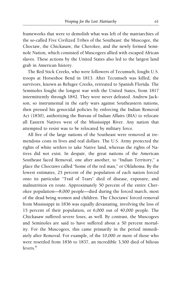frameworks that were to demolish what was left of the matriarchies of the so-called Five Civilized Tribes of the Southeast: the Muscogee, the Choctaw, the Chickasaw, the Cherokee, and the newly formed Seminole Nation, which consisted of Muscogees allied with escaped African slaves. These actions by the United States also led to the largest land grab in American history.

The Red Stick Creeks, who were followers of Tecumseh, fought U.S. troops at Horseshoe Bend in 1813. After Tecumseh was killed, the survivors, known as Refugee Creeks, retreated to Spanish Florida. The Seminoles fought the longest war with the United States, from 1817 intermittently through 1842. They were never defeated. Andrew Jackson, so instrumental in the early wars against Southeastern nations, then pressed his genocidal policies by enforcing the Indian Removal Act (1830), authorizing the Bureau of Indian Affairs (BIA) to relocate all Eastern Natives west of the Mississippi River. Any nation that attempted to resist was to be relocated by military force.

All five of the large nations of the Southeast were removed at tremendous costs in lives and real dollars. The U.S. Army protected the rights of white settlers to take Native land, whereas the rights of Natives did not exist. In despair, the great nations of the American Southeast faced Removal, one after another, to ''Indian Territory,'' a place the Choctaws called ''home of the red man,'' or Oklahoma. By the lowest estimates, 25 percent of the population of each nation forced onto its particular ''Trail of Tears'' died of disease, exposure, and malnutrition en route. Approximately 50 percent of the entire Cherokee population—8,000 people—died during the forced march, most of the dead being women and children. The Choctaws' forced removal from Mississippi in 1836 was equally devastating, involving the loss of 15 percent of their population, or 6,000 out of 40,000 people. The Chickasaw suffered severe loses, as well. By contrast, the Muscogees and Seminoles are said to have suffered about a 50 percent mortality. For the Muscogees, this came primarily in the period immediately after Removal. For example, of the 10,000 or more of those who were resettled from 1836 to 1837, an incredible 3,500 died of bilious fevers.<sup>6</sup>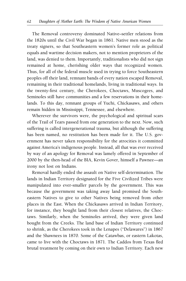The Removal controversy dominated Native–settler relations from the 1820s until the Civil War began in 1861. Native men stood as the treaty signers, so that Southeastern women's former role as political equals and wartime decision makers, not to mention proprietors of the land, was denied to them. Importantly, traditionalists who did not sign remained at home, cherishing older ways that recognized women. Thus, for all of the federal muscle used in trying to force Southeastern peoples off their land, remnant bands of every nation escaped Removal, remaining in their traditional homelands, living in traditional ways. In the twenty-first century, the Cherokees, Choctaws, Muscogees, and Seminoles still have communities and a few reservations in their homelands. To this day, remnant groups of Yuchi, Chickasaws, and others remain hidden in Mississippi, Tennessee, and elsewhere.

Wherever the survivors were, the psychological and spiritual scars of the Trail of Tears passed from one generation to the next. Now, such suffering is called intergenerational trauma, but although the suffering has been named, no restitution has been made for it. The U.S. government has never taken responsibility for the atrocities it committed against America's indigenous people. Instead, all that was ever received by way of an apology for Removal was lamely offered in September of 2000 by the then-head of the BIA, Kevin Gover, himself a Pawnee—an irony not lost on Indians.

Removal hardly ended the assault on Native self-determination. The lands in Indian Territory designated for the Five Civilized Tribes were manipulated into ever-smaller parcels by the government. This was because the government was taking away land promised the Southeastern Natives to give to other Natives being removed from other places in the East. When the Chickasaws arrived in Indian Territory, for instance, they bought land from their closest relatives, the Choctaws. Similarly, when the Seminoles arrived, they were given land bought from the Creeks. The land base of Indian Territory continued to shrink, as the Cherokees took in the Lenapes (''Delawares'') in 1867 and the Shawnees in 1870. Some of the Catawbas, or eastern Lakotas, came to live with the Choctaws in 1871. The Caddos from Texas fled brutal treatment by coming on their own to Indian Territory. Each new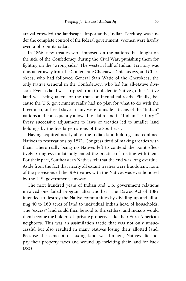arrival crowded the landscape. Importantly, Indian Territory was under the complete control of the federal government. Women were hardly even a blip on its radar.

In 1866, new treaties were imposed on the nations that fought on the side of the Confederacy during the Civil War, punishing them for fighting on the ''wrong side.'' The western half of Indian Territory was thus taken away from the Confederate Choctaws, Chickasaws, and Cherokees, who had followed General Stan Watie of the Cherokees, the only Native General in the Confederacy, who led his all-Native division. Even as land was stripped from Confederate Natives, other Native land was being taken for the transcontinental railroads. Finally, because the U.S. government really had no plan for what to do with the Freedmen, or freed slaves, many were to made citizens of the ''Indian'' nations and consequently allowed to claim land in "Indian Territory."<sup>7</sup> Every successive adjustment to laws or treaties led to smaller land holdings by the five large nations of the Southeast.

Having acquired nearly all of the Indian land holdings and confined Natives to reservations by 1871, Congress tired of making treaties with them. There really being no Natives left to contend the point effectively, Congress unilaterally ended the practice of treating with them. For their part, Southeastern Natives felt that the end was long overdue. Aside from the fact that nearly all extant treaties were fraudulent, none of the provisions of the 364 treaties with the Natives was ever honored by the U.S. government, anyway.

The next hundred years of Indian and U.S. government relations involved one failed program after another. The Dawes Act of 1887 intended to destroy the Native communities by dividing up and allotting 40 to 160 acres of land to individual Indian head of households. The ''excess'' land could then be sold to the settlers, and Indians would then become the holders of ''private property,'' like their Euro-American neighbors. This was an assimilation tactic that was not only unsuccessful but also resulted in many Natives losing their allotted land. Because the concept of taxing land was foreign, Natives did not pay their property taxes and wound up forfeiting their land for back taxes.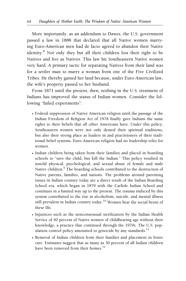More importantly, as an addendum to Dawes, the U.S. government passed a law in 1888 that declared that all Native women marrying Euro-American men had de facto agreed to abandon their Native identity.<sup>8</sup> Not only they but all their children lost their right to be Natives and live as Natives. This law hit Southeastern Native women very hard. A primary tactic for separating Natives from their land was for a settler man to marry a woman from one of the Five Civilized Tribes. He thereby gained her land because, under Euro-American law, the wife's property passed to her husband.

From 1871 until the present, then, nothing in the U.S. treatment of Indians has improved the status of Indian women. Consider the following "failed experiments":

- Federal suppression of Native American religion until the passage of the Indian Freedom of Religion Act of 1978 finally gave Indians the same rights to their beliefs that all other Americans have. Under this policy, Southeastern women were not only denied their spiritual traditions, but also their strong place as leaders in and practitioners of their traditional belief systems. Euro-American religion had no leadership roles for women.
- Indian children being taken from their families and placed in boarding schools to "save the child, but kill the Indian." This policy resulted in untold physical, psychological, and sexual abuse of female and male Native children.<sup>9</sup> The boarding schools contributed to the destruction of Native parents, families, and nations. The problems around parenting issues in Indian country today are a direct result of the Indian Boarding School era, which began in 1879 with the Carlisle Indian School and continues in a limited way up to the present. The trauma induced by this system contributed to the rise in alcoholism, suicide, and mental illness still prevalent in Indian country today.<sup>10</sup> Women bear the social brunt of these ills.
- Injustices such as the nonconsensual sterilization by the Indian Health Service of 40 percent of Native women of childbearing age without their knowledge, a practice that continued through the 1970s. The U.S. population control policy amounted to genocide by any standards. $^{11}$
- Removal of Indian children from their families and placement in foster care. Estimates suggest that as many as 30 percent of all Indian children have been removed from their homes.<sup>12</sup>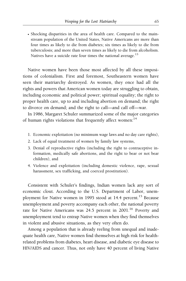Shocking disparities in the area of health care. Compared to the mainstream population of the United States, Native Americans are more than four times as likely to die from diabetes; six times as likely to die from tuberculosis; and more than seven times as likely to die from alcoholism. Natives have a suicide rate four times the national average. $^{13}$ 

Native women have been those most affected by all these impositions of colonialism. First and foremost, Southeastern women have seen their matriarchy destroyed. As women, they once had all the rights and powers that American women today are struggling to obtain, including economic and political power; spiritual equality; the right to proper health care, up to and including abortion on demand; the right to divorce on demand; and the right to call—and call off—war.

In 1986, Margaret Schuler summarized some of the major categories of human rights violations that frequently affect women:<sup>14</sup>

- 1. Economic exploitation (no minimum wage laws and no day care rights),
- 2. Lack of equal treatment of women by family law systems,
- 3. Denial of reproductive rights (including the right to contraceptive information, medically safe abortions, and the right to bear or not bear children), and
- 4. Violence and exploitation (including domestic violence, rape, sexual harassment, sex trafficking, and coerced prostitution).

Consistent with Schuler's findings, Indian women lack any sort of economic clout. According to the U.S. Department of Labor, unemployment for Native women in 1995 stood at 14.4 percent.<sup>15</sup> Because unemployment and poverty accompany each other, the national poverty rate for Native Americans was  $24.5$  percent in  $2001$ .<sup>16</sup> Poverty and unemployment tend to entrap Native women when they find themselves in violent and abusive situations, as they very often do.

Among a population that is already reeling from unequal and inadequate health care, Native women find themselves at high risk for healthrelated problems from diabetes, heart disease, and diabetic eye disease to HIV/AIDS and cancer. Thus, not only have 40 percent of living Native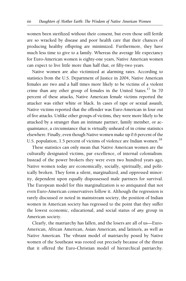women been sterilized without their consent, but even those still fertile are so wracked by disease and poor health care that their chances of producing healthy offspring are minimized. Furthermore, they have much less time to give to a family. Whereas the average life expectancy for Euro-American women is eighty-one years, Native American women can expect to live little more than half that, or fifty-two years.

Native women are also victimized at alarming rates. According to statistics from the U.S. Department of Justice in 2004, Native American females are two and a half times more likely to be victims of a violent crime than any other group of females in the United States.<sup>17</sup> In 70 percent of these attacks, Native American female victims reported the attacker was either white or black. In cases of rape or sexual assault, Native victims reported that the offender was Euro-American in four out of five attacks. Unlike other groups of victims, they were more likely to be attacked by a stranger than an intimate partner, family member, or acquaintance, a circumstance that is virtually unheard of in crime statistics elsewhere. Finally, even though Native women make up 0.6 percent of the U.S. population, 1.5 percent of victims of violence are Indian women.<sup>18</sup>

These statistics can only mean that Native American women are the culturally designated victims, par excellence, of internal colonialism. Instead of the power brokers they were even two hundred years ago, Native women today are economically, socially, spiritually, and politically broken. They form a silent, marginalized, and oppressed minority, dependent upon equally dispossessed male partners for survival. The European model for this marginalization is so antiquated that not even Euro-American conservatives follow it. Although the regression is rarely discussed or noted in mainstream society, the position of Indian women in American society has regressed to the point that they suffer the lowest economic, educational, and social status of any group in American society.

Clearly, the matriarchy has fallen, and the losers are all of us—Euro-American, African American, Asian American, and latino/a, as well as Native American. The vibrant model of matriarchy posed by Native women of the Southeast was rooted out precisely because of the threat that it offered the Euro-Christian model of hierarchical patriarchy.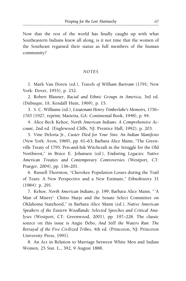Now that the rest of the world has finally caught up with what Southeastern Indians knew all along, is it not time that the women of the Southeast regained their status as full members of the human community?

## NOTES

1. Mark Van Doren (ed.), Travels of William Bartram (1791; New York: Dover, 1955), p. 252.

2. Robert Blauner, Racial and Ethnic Groups in America, 3rd ed. (Dubuque, IA: Kendall Hunt, 1969), p. 15.

3. S. C. Williams (ed.), Lieutenant Henry Timberlake's Memoirs, 1756– 1765 (1927, reprint; Marietta, GA: Continental Book, 1948), p. 94.

4. Alice Beck Kehoe, North American Indians: A Comprehensive Account, 2nd ed. (Englewood Cliffs, NJ: Prentice Hall, 1992), p. 203.

5. Vine Deloria Jr., Custer Died for Your Sins: An Indian Manifesto (New York: Avon, 1969), pp. 61–63; Barbara Alice Mann, ''The Greenville Treaty of 1795: Pen-and-Ink Witchcraft in the Struggle for the Old Northwest,'' in Bruce E. Johansen (ed.), Enduring Legacies: Native American Treaties and Contemporary Controversies (Westport, CT: Praeger, 2004), pp. 136–201.

6. Russell Thornton, ''Cherokee Population Losses during the Trail of Tears: A New Perspective and a New Estimate,'' Ethnohistory 31 (1984): p. 291.

7. Kehoe, North American Indians, p. 199; Barbara Alice Mann, '' 'A Man of Misery': Chitto Harjo and the Senate Select Committee on Oklahoma Statehood,'' in Barbara Alice Mann (ed.), Native American Speakers of the Eastern Woodlands: Selected Speeches and Critical Analyses (Westport, CT: Greenwood, 2001), pp. 197–228. The classic source on this issue is Angie Debo, And Still the Waters Run: The Betrayal of the Five Civilized Tribes, 4th ed. (Princeton, NJ: Princeton University Press, 1991).

8. An Act in Relation to Marriage between White Men and Indian Women, 25 Stat. L., 392, 9 August 1888.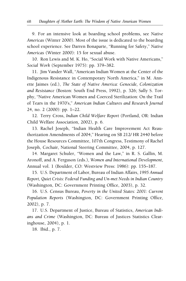9. For an intensive look at boarding school problems, see Native Americas (Winter 2000). Most of the issue is dedicated to the boarding school experience. See Darren Bonaparte, ''Running for Safety,'' Native Americas (Winter 2000): 15 for sexual abuse.

10. Ron Lewis and M. K. Ho, ''Social Work with Native Americans,'' Social Work (September 1975): pp. 379–382.

11. Jim Vander Wall, ''American Indian Women at the Center of the Indigenous Resistance in Contemporary North America," in M. Annette Jaimes (ed.), The State of Native America: Genocide, Colonization and Resistance (Boston: South End Press, 1992), p. 326; Sally S. Torphy, ''Native American Women and Coerced Sterilization: On the Trail of Tears in the 1970's,'' American Indian Cultures and Research Journal 24, no. 2 (2000): pp. 1–22.

12. Terry Cross, Indian Child Welfare Report (Portland, OR: Indian Child Welfare Association, 2002), p. 6.

13. Rachel Joseph, ''Indian Health Care Improvement Act Reauthorization Amendments of 2004,'' Hearing on SB 212/ HR 2440 before the House Resources Committee, 107th Congress, Testimony of Rachel Joseph, Cochair, National Steering Committee, 2004, p. 127.

14. Margaret Schuler, ''Women and the Law,'' in R. S. Gallin, M. Aronoff, and A. Ferguson (eds.), Women and International Development, Annual vol. 1 (Boulder, CO: Westview Press: 1986): pp. 155–187.

15. U.S. Department of Labor, Bureau of Indian Affairs, 1995 Annual Report, Quiet Crisis: Federal Funding and Un-met Needs in Indian Country (Washington, DC: Government Printing Office, 2003), p. 32.

16. U.S. Census Bureau, Poverty in the United States: 2001: Current Population Reports (Washington, DC: Government Printing Office, 2002), p. 7.

17. U.S. Department of Justice, Bureau of Statistics, American Indians and Crime (Washington, DC: Bureau of Justices Statistics Clearinghouse, 2004), p. 1.

18. Ibid., p. 7.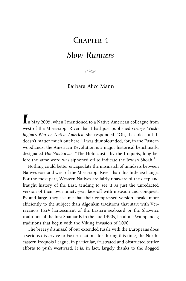## $CHAPTFR$  4 Slow Runners

 $\sim$ 

Barbara Alice Mann

In May 2005, when I mentioned to a Native American colleague from west of the Mississippi River that I had just published George Washington's War on Native America, she responded, "Oh, that old stuff. It doesn't matter much out here.'' I was dumbfounded, for, in the Eastern woodlands, the American Revolution is a major historical benchmark, designated Hanotaká:nyas, "The Holocaust," by the Iroquois, long before the same word was siphoned off to indicate the Jewish Shoah.<sup>1</sup>

Nothing could better encapsulate the mismatch of mindsets between Natives east and west of the Mississippi River than this little exchange. For the most part, Western Natives are fairly unaware of the deep and fraught history of the East, tending to see it as just the unredacted version of their own ninety-year face-off with invasion and conquest. By and large, they assume that their compressed version speaks more efficiently to the subject than Algonkin traditions that start with Verrazano's 1524 harrassment of the Eastern seaboard or the Shawnee traditions of the first Spaniards in the late 1490s, let alone Wampanoag traditions that begin with the Viking invasion of 1000.

The breezy dismissal of our extended tussle with the Europeans does a serious disservice to Eastern nations for during this time, the Northeastern Iroquois League, in particular, frustrated and obstructed settler efforts to push westward. It is, in fact, largely thanks to the dogged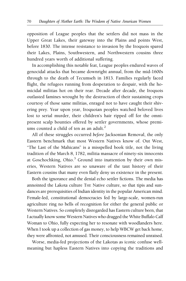opposition of League peoples that the settlers did not mass in the Upper Great Lakes, their gateway into the Plains and points West, before 1830. The intense resistance to invasion by the Iroquois spared their Lakes, Plains, Southwestern, and Northwestern cousins three hundred years worth of additional suffering.

In accomplishing this notable feat, League peoples endured waves of genocidal attacks that became downright annual, from the mid-1600s through to the death of Tecumseh in 1813. Families regularly faced flight, the refugees running from desperation to despair, with the homicidal militias hot on their rear. Decade after decade, the Iroquois outlasted famines wrought by the destruction of their sustaining crops courtesy of those same militias, enraged not to have caught their shivering prey. Year upon year, Iroquoian peoples watched beloved lives lost to serial murder, their children's hair ripped off for the omnipresent scalp bounties offered by settler governments, whose premiums counted a child of ten as an adult.<sup>2</sup>

All of these struggles occurred before Jacksonian Removal, the only Eastern benchmark that most Western Natives know of. Out West, ''The Last of the Mahicans'' is a misspelled book title, not the living tradition of the March 8, 1782, militia massacre of ninety-six innocents at Goschochking, Ohio. $3$  Ground into inattention by their own miseries, Western Natives are so unaware of the taut history of their Eastern cousins that many even flatly deny us existence in the present.

Both the ignorance and the denial echo settler fictions. The media has annointed the Lakota culture THE Native culture, so that tipis and sundances are prerequisities of Indian identity in the popular American mind. Female-led, constitutional democracies fed by large-scale, women-run agriculture ring no bells of recognition for either the general public or Western Natives. So completely disregarded has Eastern culture been, that I actually know some Western Natives who dragged the White Buffalo Calf Woman to Ohio, fully expecting her to resonate with woodlanders here. When I took up a collection of gas money, to help WBCW get back home, they were affronted, not amused. Their consciousness remained unraised.

Worse, media-fed projections of the Lakotas as iconic confuse wellmeaning but hapless Eastern Natives into copying the traditions and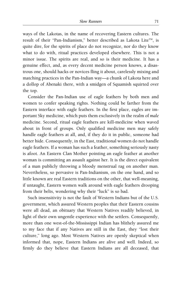ways of the Lakotas, in the name of recovering Eastern cultures. The result of their "Pan-Indianism," better described as Lakota Lite™, is quite dire, for the spirits of place do not recognize, nor do they know what to do with, ritual practices developed elsewhere. This is not a minor issue. The spirits are real, and so is their medicine. It has a genuine effect, and, as every decent medicine person knows, a disastrous one, should hacks or novices fling it about, carelessly mixing and matching practices in the Pan-Indian way—a chunk of Lakota here and a dollop of Abenaki there, with a smidgen of Squamish squirted over the top.

Consider the Pan-Indian use of eagle feathers by both men and women to confer speaking rights. Nothing could be farther from the Eastern interface with eagle feathers. In the first place, eagles are important Sky medicine, which puts them exclusively in the realm of male medicine. Second, ritual eagle feathers are kill-medicine when waved about in front of groups. Only qualified medicine men may safely handle eagle feathers at all, and, if they do it in public, someone had better hide. Consequently, in the East, traditional women do not handle eagle feathers. If a woman has such a feather, something seriously nasty is afoot. An Eastern Clan Mother pointing an eagle feather at another woman is committing an assault against her. It is the direct equivalent of a man publicly throwing a bloody menstrual rag on another man. Nevertheless, so pervasive is Pan-Indianism, on the one hand, and so little known are real Eastern traditions on the other, that well-meaning, if untaught, Eastern women walk around with eagle feathers drooping from their belts, wondering why their "luck" is so bad.

Such insensitivity is not the fault of Western Indians but of the U.S. government, which assured Western peoples that their Eastern cousins were all dead, an obituary that Western Natives readily believed, in light of their own ungentle experience with the settlers. Consequently, more than one west-of-the-Mississippi Indian has blithely assured me to my face that if any Natives are still in the East, they ''lost their culture,'' long ago. Most Western Natives are openly skeptical when informed that, nope, Eastern Indians are alive and well. Indeed, so firmly do they believe that Eastern Indians are all deceased, that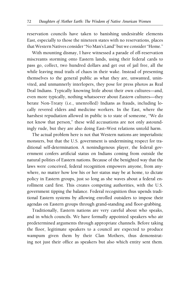reservation councils have taken to banishing undesirable elements East, especially to those the nineteen states with no reservations, places that Western Natives consider ''No Man's Land'' but we consider ''Home.''

With mounting dismay, I have witnessed a parade of off-reservation miscreants storming onto Eastern lands, using their federal cards to pass go, collect, two hundred dollars and get out of jail free, all the while leaving mud trails of chaos in their wake. Instead of presenting themselves to the general public as what they are, unwanted, uninvited, and unmannerly interlopers, they pose for press photos as Real Deal Indians. Typically knowing little about their own cultures—and, even more typically, nothing whatsoever about Eastern cultures—they berate Non-Treaty (i.e., unenrolled) Indians as frauds, including locally revered elders and medicine workers. In the East, where the harshest repudiation allowed in public is to state of someone, ''We do not know that person,'' these wild accusations are not only astoundingly rude, but they are also doing East–West relations untold harm.

The actual problem here is not that Western nations are imperialistic monsters, but that the U.S. government is undermining respect for traditional self-determination. A nonindigenous player, the federal government confers artificial status on Indians coming from outside the natural polities of Eastern nations. Because of the benighted way that the laws were conceived, federal recognition empowers anyone, from anywhere, no matter how low his or her status may be at home, to dictate policy in Eastern groups, just so long as she waves about a federal enrollment card first. This creates competing authorities, with the U.S. government tipping the balance. Federal recognition thus upends traditional Eastern systems by allowing enrolled outsiders to impose their agendas on Eastern groups through grand-standing and floor-grabbing.

Traditionally, Eastern nations are very careful about who speaks, and in which councils. We have formally appointed speakers who air predetermined arguments through appropriate channels. Before taking the floor, legitimate speakers to a council are expected to produce wampum given them by their Clan Mothers, thus demonstrating not just their office as speakers but also which entity sent them.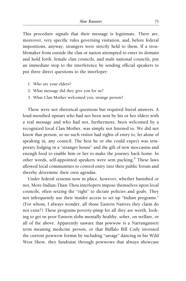This procedure signals that their message is legitimate. There are, moreover, very specific rules governing visitation, and, before federal impositions, anyway, strangers were strictly held to them. If a troublemaker from outside the clan or nation attempted to enter its domain and hold forth, female clan councils, and male national councils, put an immediate stop to the interference by sending official speakers to put three direct questions to the interloper:

- 1. Who are your elders?
- 2. What message did they give you for us?
- 3. What Clan Mother welcomed you, strange person?

These were not rhetorical questions but required literal answers. A loud-mouthed upstart who had not been sent by his or her elders with a real message and who had not, furthermore, been welcomed by a recognized local Clan Mother, was simply not listened to. We did not know that person, so no such visitor had rights of entry to, let alone of speaking in, any council. The best he or she could expect was temporary lodging in a ''stranger house'' and the gift of new moccasins and enough food to enable him or her to make the journey back home. In other words, self-appointed speakers were sent packing.<sup>4</sup> These laws allowed local communities to control entry into their public forum and thereby determine their own agendas.

Under federal systems now in place, however, whether banished or not, More-Indian-Than-Thou interlopers impose themselves upon local councils, often seizing the ''right'' to dictate policies and goals. They not infrequently use their insider access to set up ''Indian programs.'' (For whom, I always wonder, all those Eastern Natives they claim do not exist?) These programs poverty-pimp for all they are worth, looking to get us poor Eastern slobs mentally healthy, sober, on welfare, or all of the above. Apparently uaware that powwow is a Narrangansett term meaning medicine person, or that Buffalo Bill Cody invented the current powwow format by including ''savage'' dancing in his Wild West Show, they fundraise through powwows that always showcase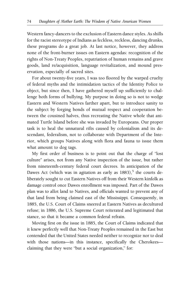Western fancy-dancers to the exclusion of Eastern dance styles. As shills for the racist stereotype of Indians as feckless, reckless, dancing drunks, these programs do a great job. At last notice, however, they address none of the front-burner issues on Eastern agendas: recognition of the rights of Non-Treaty Peoples, repatriation of human remains and grave goods, land re/acquisition, language revitalization, and mound preservation, especially of sacred sites.

For about twenty-five years, I was too floored by the warped cruelty of federal myths and the intimidation tactics of the Identity Police to object, but since then, I have gathered myself up sufficiently to challenge both forms of bullying. My purpose in doing so is not to wedge Eastern and Western Natives farther apart, but to introduce sanity to the subject by forging bonds of mutual respect and cooperation between the cousined halves, thus recreating the Native whole that animated Turtle Island before she was invaded by Europeans. Our proper task is to heal the unnatural rifts caused by colonialism and its descendant, federalism, not to collaborate with Department of the Interior, which groups Natives along with flora and fauna to issue them what amount to dog tags.

My first order of business is to point out that the charge of ''lost culture'' arises, not from any Native inspection of the issue, but rather from nineteenth-century federal court decrees. In anticipation of the Dawes Act (which was in agitation as early as  $1883$ ),<sup>5</sup> the courts deliberately sought to cut Eastern Natives off from their Western kinfolk as damage control once Dawes enrollment was imposed. Part of the Dawes plan was to allot land to Natives, and officials wanted to prevent any of that land from being claimed east of the Mississippi. Consequently, in 1885, the U.S. Court of Claims sneered at Eastern Natives as decultured refuse; in 1886, the U.S. Supreme Court reiterated and legitimated that stance, so that it became a common federal refrain.

Moving first on the issue in 1885, the Court of Claims indicated that it knew perfectly well that Non-Treaty Peoples remained in the East but contended that the United States needed neither to recognize nor to deal with those nations—in this instance, specifically the Cherokees claiming that they were ''but a social organization,'' for: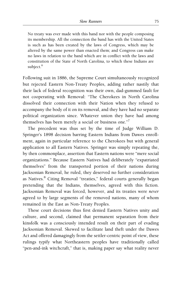No treaty was ever made with this band nor with the people composing its membership. All the connection the band has with the United States is such as has been created by the laws of Congress, which may be altered by the same power than enacted them; and Congress can make no laws in relation to the band which are in conflict with the laws and constitution of the State of North Carolina, to which these Indians are subject.<sup>6</sup>

Following suit in 1886, the Supreme Court simultaneously recognized but rejected Eastern Non-Treaty Peoples, adding rather nastily that their lack of federal recognition was their own, dad-gummed fault for not cooperating with Removal: ''The Cherokees in North Carolina dissolved their connection with their Nation when they refused to accompany the body of it on its removal, and they have had no separate political organization since. Whatever union they have had among themselves has been merely a social or business one.''<sup>7</sup>

The precedent was thus set by the time of Judge William D. Springer's 1898 decision barring Eastern Indians from Dawes enrollment, again in particular reference to the Cherokees but with general application to all Eastern Natives. Springer was simply repeating the, by then commonplace, assertion that Eastern nations were ''mere social organizations.'' Because Eastern Natives had deliberately ''expatriated themselves'' from the transported portion of their nations during Jacksonian Removal, he ruled, they deserved no further consideration as Natives.<sup>8</sup> Citing Removal "treaties," federal courts generally began pretending that the Indians, themselves, agreed with this fiction. Jacksonian Removal was forced, however, and its treaties were never agreed to by large segments of the removed nations, many of whom remained in the East as Non-Treaty Peoples.

These court decisions thus first denied Eastern Natives unity and culture, and second, claimed that permanent separation from their kinsfolk was a consciously intended result on their part of evading Jacksonian Removal. Skewed to facilitate land theft under the Dawes Act and offered damagingly from the settler-centric point of view, these rulings typify what Northeastern peoples have traditionally called "pen-and-ink witchcraft," that is, making paper say what reality never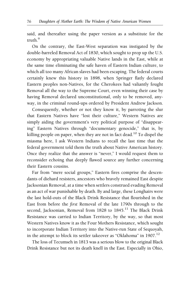said, and thereafter using the paper version as a substitute for the  $t$ ruth $\frac{9}{5}$ 

On the contrary, the East-West separation was instigated by the double-barreled Removal Act of 1830, which sought to prop up the U.S. economy by appropriating valuable Native lands in the East, while at the same time eliminating the safe haven of Eastern Indian culture, to which all too many African slaves had been escaping. The federal courts certainly knew this history in 1898, when Springer flatly declared Eastern peoples non-Natives, for the Cherokees had valiantly fought Removal all the way to the Supreme Court, even winning their case by having Removal declared unconstitutional, only to be removed, anyway, in the criminal round-ups ordered by President Andrew Jackson.

Consequently, whether or not they know it, by parroting the slur that Eastern Natives have ''lost their culture,'' Western Natives are simply aiding the government's very political purpose of ''disappearing'' Eastern Natives through ''documentary genocide,'' that is, by killing people on paper, when they are not in fact dead.<sup>10</sup> To dispel the miasma here, I ask Western Indians to recall the last time that the federal government told them the truth about Native American history. Once they realize that the answer is ''never,'' I would request them to reconsider echoing that deeply flawed source any further concerning their Eastern cousins.

Far from ''mere social groups,'' Eastern fires comprise the descendants of diehard resisters, ancestors who bravely remained East despite Jacksonian Removal, at a time when settlers construed evading Removal as an act of war punishable by death. By and large, these Longhairs were the last hold-outs of the Black Drink Resistance that flourished in the East from before the first Removal of the late 1790s through to the second, Jacksonian, Removal from 1828 to 1845.<sup>11</sup> The Black Drink Resistance was carried to Indian Territory, by the way, so that most Western Natives know it as the Four Mothers Resistance, which sought to incorporate Indian Territory into the Native-run State of Sequoyah, in the attempt to block its settler takeover as "Oklahoma" in  $1907$ <sup>12</sup>

The loss of Tecumseh in 1813 was a serious blow to the original Black Drink Resistance but not its death knell in the East. Especially in Ohio,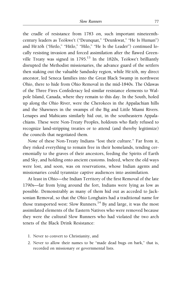the cradle of resistance from 1783 on, such important nineteenthcentury leaders as Teökwe't ("Deunquat," "Deunkwat," "He Is Human") and Hë:töh ("Hetlo," "Hitlo," "Hilo," "He Is the Leader") continued locally resisting invasion and forced assimilation after the flawed Greenville Treaty was signed in  $1795$ .<sup>13</sup> In the 1820s, Teökwe't brilliantly disrupted the Methodist missionaries, the advance guard of the settlers then staking out the valuable Sandusky region, while Hë:töh, my direct ancestor, led Seneca families into the Great Black Swamp in northwest Ohio, there to hide from Ohio Removal in the mid-1840s. The Odawas of the Three Fires Confederacy led similar resistance elements to Walpole Island, Canada, where they remain to this day. In the South, holed up along the Ohio River, were the Cherokees in the Appalachian hills and the Shawnees in the swamps of the Big and Little Miami Rivers. Lenapes and Mahicans similarly hid out, in the southeastern Appalachians. These were Non-Treaty Peoples, holdouts who flatly refused to recognize land-stripping treaties or to attend (and thereby legitimize) the councils that negotiated them.

None of these Non-Treaty Indians ''lost their culture.'' Far from it, they risked everything to remain free in their homelands, tending ceremonially to the graves of their ancestors, feeding the Spirits of Earth and Sky, and holding onto ancient customs. Indeed, where the old ways were lost, and soon, was on reservations, whose Indian agents and missionaries could tyrannize captive audiences into assimilation.

At least in Ohio—the Indian Territory of the first Removal of the late 1790s—far from lying around the fort, Indians were lying as low as possible. Demonstrably as many of them hid out as acceded to Jacksonian Removal, so that the Ohio Longhairs had a traditional name for those transported west: Slow Runners.<sup>14</sup> By and large, it was the most assimilated elements of the Eastern Natives who were removed because they were the cultural Slow Runners who had violated the two arch tenets of the Black Drink Resistance:

- 1. Never to convert to Christianity, and
- 2. Never to allow their names to be ''made dead bugs on bark,'' that is, recorded on missionary or governmental lists.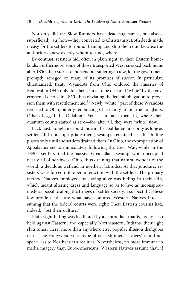Not only did the Slow Runners have dead-bug names, but also superficially, anyhow—they converted to Christianity. Both deeds made it easy for the settlers to round them up and ship them out, because the authorities knew exactly whom to find, where.

By contrast, resisters hid, often in plain sight, in their Eastern homelands. Furthermore, some of those transported West sneaked back home after 1850, their stories of horrendous suffering in tow, for the government promptly reneged on many of its promises of succor. In particular, christianized, treaty Wyandots from Ohio endured the miseries of Removal in 1845 only, for their pains, to be declared ''white'' by the governmental decree in 1855, thus obviating the federal obligation to provision them with resettlement aid.<sup>15</sup> Newly "white," part of these Wyandots returned to Ohio, bitterly renouncing Christianity to join the Longhairs. Others begged the Oklahoma Senecas to take them in, where their quantum counts started at zero—for, after all, they were ''white'' now.

Back East, Longhairs could hide in the coal-laden hills only as long as settlers did not appropriate them; swamps remained feasible hiding places only until the settlers drained them. In Ohio, the expropriation of Appalachia set to immediately following the Civil War, while in the 1890s, settlers tiled the massive Great Black Swamp, which occupied nearly all of northwest Ohio, thus draining that natural wonder of the world, a decidous wetland in northern latitudes. At that juncture, resisters were forced into open interaction with the settlers. The primary method Natives employed for staying alive was hiding in their skin, which meant altering dress and language so as to live as inconspicuously as possible along the fringes of settler society. I suspect that these low-profile tactics are what have confused Western Natives into assuming that the federal courts were right: Their Eastern cousins had, indeed, ''lost their culture.''

Plain-sight hiding was facilitated by a central fact that is, today, also held against Eastern, and especially Northeastern, Indians: their light skin tones. Here, more than anywhere else, popular illusion disfigures truth. The Hollywood stereotype of dark-skinned ''savages'' could not speak less to Northeastern realities. Nevertheless, no more immune to media imagery than Euro-Americans, Western Natives assume that, if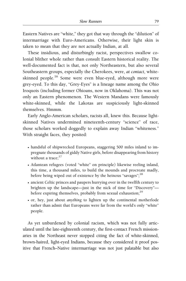Eastern Natives are "white," they got that way through the "dilution" of intermarriage with Euro-Americans. Otherwise, their light skin is taken to mean that they are not actually Indian, at all.

These insidious, and disturbingly racist, perspectives swallow colonial blither whole rather than consult Eastern historical reality. The well-documented fact is that, not only Northeastern, but also several Southeastern groups, especially the Cherokees, were, at contact, whiteskinned people.<sup>16</sup> Some were even blue-eyed, although more were grey-eyed. To this day, ''Grey-Eyes'' is a lineage name among the Ohio Iroquois (including former Ohioans, now in Oklahoma). This was not only an Eastern phenomenon. The Western Mandans were famously white-skinned, while the Lakotas are suspiciously light-skinned themselves. Hmmm.

Early Anglo-American scholars, racists all, knew this. Because lightskinned Natives undermined nineteenth-century ''science'' of race, those scholars worked doggedly to explain away Indian ''whiteness.'' With straight faces, they posited:

- handsful of shipwrecked Europeans, staggering 500 miles inland to impregnate thousands of giddy Native girls, before disappearing from history without a trace:<sup>17</sup>
- Atlantean refugees (voted ''white'' on principle) likewise reeling inland, this time, a thousand miles, to build the mounds and procreate madly, before being wiped out of existence by the heinous "savages"; $^{18}$
- ancient Celtic princes and paupers hurrying over in the twelfth century to brighten up the landscape—just in the nick of time for ''Discovery'' before expiring themselves, probably from sexual exhaustion;<sup>19</sup>
- or, hey, just about anything to lighten up the continental motherlode rather than admit that Europeans were far from the world's only ''white'' people.

As yet unburdened by colonial racism, which was not fully articulated until the late-eighteenth century, the first-contact French missionaries in the Northeast never stopped citing the fact of white-skinned, brown-haired, light-eyed Indians, because they considered it proof positive that French–Native intermarriage was not just palatable but also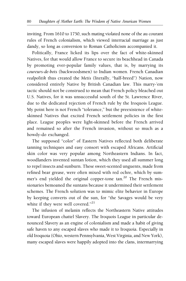inviting. From 1610 to 1750, such mating violated none of the au courant rules of French colonialism, which viewed interracial marriage as just dandy, so long as conversion to Roman Catholicism accompanied it.

Politically, France licked its lips over the fact of white-skinned Natives, for that would allow France to secure its beachhead in Canada by promoting ever-popular family values, that is, by marrying its coureurs-de-bois (backwoodsmen) to Indian women. French Canadian realpolitik thus created the Metis (literally, "half-breed") Nation, now considered entirely Native by British Canadian law. This marry-'em tactic should not be construed to mean that French policy bleached out U.S. Natives, for it was unsuccessful south of the St. Lawrence River, due to the dedicated rejection of French rule by the Iroquois League. My point here is not French ''tolerance,'' but the preexistence of whiteskinned Natives that excited French settlement policies in the first place. League peoples were light-skinned before the French arrived and remained so after the French invasion, without so much as a howdy-do exchanged.

The supposed ''color'' of Eastern Natives reflected both deliberate tanning techniques and easy consort with escaped Africans. Artificial skin color was very popular among Northeastern Indians. In fact, woodlanders invented suntan lotion, which they used all summer long to repel insects and sunburn. These sweet-scented unguents, made from refined bear grease, were often mixed with red ochre, which by summer's end yielded the original copper-tone tan.<sup>20</sup> The French missionaries bemoaned the suntans because it undermined their settlement schemes. The French solution was to mimic elite behavior in Europe by keeping converts out of the sun, for ''the Savages would be very white if they were well covered." $21$ 

The infusion of melanin reflects the Northeastern Native attitudes toward European chattel Slavery. The Iroquois League in particular denounced Slavery as an engine of colonialism and made a habit of giving safe haven to any escaped slaves who made it to Iroquoia. Especially in old Iroquoia (Ohio, western Pennsylvania, West Virginia, and New York), many escaped slaves were happily adopted into the clans, intermarrying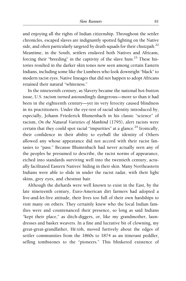and enjoying all the rights of Indian citizenship. Throughout the settler chronicles, escaped slaves are indignantly spotted fighting on the Native side, and often particularly targeted by death squads for their chutzpah. $^{22}$ Meantime, in the South, settlers enslaved both Natives and Africans, forcing their "breeding" in the captivity of the slave huts.<sup>23</sup> These histories resulted in the darker skin tones now seen among certain Eastern Indians, including some like the Lumbees who look downright ''black'' to modern racist eyes. Native lineages that did not happen to adopt Africans retained their natural ''whiteness.''

In the nineteenth century, as Slavery became the national hot-button issue, U.S. racism turned astoundingly dangerous—more so than it had been in the eighteenth century—yet its very ferocity caused blindness in its practitioners. Under the eye-test of racial identity introduced by, especially, Johann Friederick Blumenbach in his classic ''science'' of racism, On the Natural Varieties of Mankind (1795), alert racists were certain that they could spot racial "impurities" at a glance.<sup>24</sup> Ironically, their confidence in their ability to eyeball the identity of Others allowed any whose appearance did not accord with their racist fantasies to ''pass.'' Because Blumenbach had never actually seen any of the peoples he presumed to describe, the racist norms of appearance, etched into standards surviving well into the twentieth century, actually facilitated Eastern Natives' hiding in their skin. Many Northeastern Indians were able to slide in under the racist radar, with their light skins, grey eyes, and chestnut hair.

Although the diehards were well known to exist in the East, by the late nineteenth century, Euro-American dirt farmers had adopted a live-and-let-live attitude, their lives too full of their own hardships to visit many on others. They certainly knew who the local Indian families were and countenanced their presence, so long as said Indians "kept their place," as ditch-diggers, or, like my grandmother, laundresses and basket weavers. In a fine and lucrative bit of clowning, my great-great-grandfather, He:toh, moved furtively about the edges of settler communities from the 1860s to 1874 as an itinerant peddler, selling tombstones to the ''pioneers.'' This blinkered existence of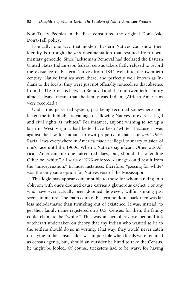Non-Treaty Peoples in the East constituted the original Don't-Ask-Don't-Tell policy.

Ironically, one way that modern Eastern Natives can show their identity is through the anti-documentation that resulted from documentary genocide. Since Jacksonian Removal had declared the Eastern United States Indian-rein, federal census takers flatly refused to record the existence of Eastern Natives from 1845 well into the twentieth century. Native families were there, and perfectly well known as Indians to the locals; they were just not officially noticed, so that absence from the U.S. Census between Removal and the mid-twentieth century almost always means that the family was Indian. (African Americans were recorded.)

Under this perverted system, just being recorded somewhere conferred the indubitable advantage of allowing Natives to exercise legal and civil rights as ''whites.'' For instance, anyone wishing to set up a farm in West Virginia had better have been ''white,'' because it was against the law for Indians to own property in that state until 1964. Racial laws everywhere in America made it illegal to marry outside of one's race until the 1960s. When a Native's significant Other was African American, no one raised red flags, but, should the offending Other be ''white,'' all sorts of KKK-enforced damage could result from the ''miscegenation.'' In most instances, therefore, ''passing for white'' was the only sane option for Natives east of the Mississippi.

This logic may appear contemptible to those for whom sinking into oblivion with one's doomed cause carries a glamorous cachet. For any who have ever actually been doomed, however, willful sinking just seems immature. The main coup of Eastern holdouts back then was far less melodramatic than twinkling out of existence. It was, instead, to get their family name registered on a U.S. Census, for then, the family could claim to be ''white.'' This was an act of reverse pen-and-ink witchcraft undertaken on theory that any Indian who wanted to lie to the settlers should do so in writing. That way, they would never catch on. Lying to the census taker was impossible when locals were retained as census agents, but, should an outsider be hired to take the Census, he might be fooled. Of course, tricksters had to be wary, for having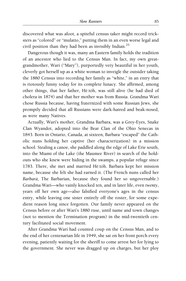discovered what was afoot, a spiteful census taker might record tricksters as ''colored'' or ''mulatto,'' putting them in an even worse legal and civil position than they had been as invisibly Indian.<sup>25</sup>

Dangerous though it was, many an Eastern family holds the tradition of an ancestor who lied to the Census Man. In fact, my own greatgrandmother, Warı´ (''Mary''), purportedly very beautiful in her youth, cleverly got herself up as a white woman to inveigle the outsider taking the 1880 Census into recording her family as ''white,'' in an entry that is riotously funny today for its complete lunacy. She affirmed, among other things, that her father, He∶tŏh, was still alive (he had died of cholera in 1874) and that her mother was from Russia. Grandma Warı´ chose Russia because, having fraternized with some Russian Jews, she promptly decided that all Russians were dark-haired and beak-nosed, as were many Natives.

Actually, Warı´'s mother, Grandma Barbara, was a Grey-Eyes, Snake Clan Wyandot, adopted into the Bear Clan of the Ohio Senecas in 1843. Born in Ontario, Canada, at sixteen, Barbara ''escaped'' the Catholic nuns holding her captive (her characterization) in a mission school. Stealing a canoe, she paddled along the edge of Lake Erie south, into the Miami of the Lake (the Maumee River) in search of the holdouts who she knew were hiding in the swamps, a popular refuge since 1783. There, she met and married He:töh. Barbara kept her mission name, because she felt she had earned it. (The French nuns called her Barbará, The Barbarian, because they found her so ungovernable.) Grandma Wari—who vainly knocked ten, and in later life, even twenty, years off her own age—also falsified everyone's ages in the census entry, while leaving one sister entirely off the roster, for some expedient reason long since forgotten. Our family never appeared on the Census before or after Warı´'s 1880 ruse, until name and town changes (not to mention the Termination program) in the mid-twentieth century facilitated social movement.

After Grandma Warí had counted coup on the Census Man, and to the end of her centenarian life in 1949, she sat on her front porch every evening, patiently waiting for the sheriff to come arrest her for lying to the government. She never was dragged up on charges, but her ploy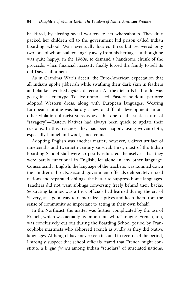backfired, by alerting social workers to her whereabouts. They duly packed her children off to the government kid prison called Indian Boarding School. Warí eventually located three but recovered only two, one of whom stalked angrily away from his heritage—although he was quite happy, in the 1960s, to demand a handsome chunk of the proceeds, when financial necessity finally forced the family to sell its old Dawes allotment.

As in Grandma Wari's deceit, the Euro-American expectation that all Indians spoke jibberish while swathing their dark skin in feathers and blankets worked against detection. All the diehards had to do, was go against stereotype. To live unmolested, Eastern holdouts perforce adopted Western dress, along with European languages. Wearing European clothing was hardly a new or difficult development. In another violation of racist stereotypes—this one, of the static nature of ''savagery''—Eastern Natives had always been quick to update their customs. In this instance, they had been happily using woven cloth, especially flannel and wool, since contact.

Adopting English was another matter, however, a direct artifact of nineteenth- and twentieth-century survival. First, most of the Indian Boarding School staff were so poorly educated themselves, that they were barely functional in English, let alone in any other language. Consequently, English, the language of the teachers, was rammed down the children's throats. Second, government officials deliberately mixed nations and separated siblings, the better to suppress home languages. Teachers did not want siblings conversing freely behind their backs. Separating families was a trick officials had learned during the era of Slavery, as a good way to demoralize captives and keep them from the sense of community so important to acting in their own behalf.

In the Northeast, the matter was further complicated by the use of French, which was actually its important ''white'' tongue. French, too, was conclusively cut out during the Boarding School period by Francophobe martinets who abhorred French as avidly as they did Native languages. Although I have never seen it stated in records of the period, I strongly suspect that school officials feared that French might constitute a lingua franca among Indian ''scholars'' of unrelated nations.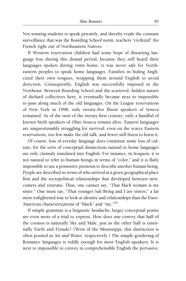Not wanting students to speak privately, and thereby evade the constant surveillance that was the Boarding School norm, teachers "civilized" the French right out of Northeastern Natives.

If Western reservation children had some hope of thwarting language loss during this dismal period, because they still heard their languages spoken during visits home, it was never safe for Northeastern peoples to speak home languages. Families in hiding Anglicized their own tongues, wrapping them around English to avoid detection. Consequently, English was successfully imposed in the Northeast. Between Boarding School and the scattered, hidden nature of diehard collectives here, it eventually became next to impossible to pass along much of the old languages. On the League reservations of New York in 1998, only twenty-five fluent speakers of Seneca remained. As of the turn of the twenty-first century, only a handful of known birth speakers of Ohio Seneca remain alive. Eastern languages are unquestionably struggling for survival; even on the scarce Eastern reservations, too few make the old talk, and fewer still listen to learn it.

Of course, loss of everday language does constitute some loss of culture, for the sorts of conceptual distinctions natural to home languages are only clumsily translated into English. For instance, in Iroquois, it is not natural to refer to human beings in terms of "color," and it is flatly impossible to use a possessive pronoun to describe another human being. People are described in terms of who arrived at a given geographical place first and the sociopolitical relationships that developed between newcomers and veterans. Thus, one cannot say, ''That black woman is my sister.'' One must say, ''That younger Salt Being and I are sisters,'' a far more enlightened way to look at identity and relationships than the Euro-American characterizations of "black" and "my."<sup>26</sup>

If simple grammar is a linguistic headache, larger conceptual points are even more of a trial to express. How does one convey that half of the cosmos is naturally Sky and Male, just as the other half is essentially Earth and Female? (West of the Mississippi, this distinction is often posited as Air and Water, respectively.) The simple gendering of Romance languages is riddle enough for most English speakers. It is next to impossible to convey in comprehensible English the pervasive,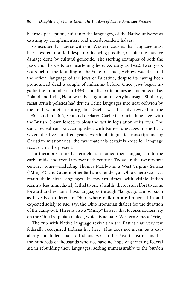bedrock perception, built into the languages, of the Native universe as existing by complementary and interdependent halves.

Consequently, I agree with our Western cousins that language must be recovered, nor do I despair of its being possible, despite the massive damage done by cultural genocide. The sterling examples of both the Jews and the Celts are heartening here. As early as 1922, twenty-six years before the founding of the State of Israel, Hebrew was declared the official language of the Jews of Palestine, despite its having been pronounced dead a couple of millennia before. Once Jews began ingathering in numbers in 1948 from diasporic homes as unconnected as Poland and India, Hebrew truly caught on in everyday usage. Similarly, racist British policies had driven Celtic languages into near oblivion by the mid-twentieth century, but Gaelic was heartily revived in the 1980s, and in 2005, Scotland declared Gaelic its official language, with the British Crown forced to bless the fact in legislation of its own. The same revival can be accomplished with Native languages in the East. Given the five hundred years' worth of linguistic transcriptions by Christian missionaries, the raw materials certainly exist for language recovery in the present.

Furthermore, some Eastern elders retained their languages into the early, mid-, and even late-twentieth century. Today, in the twenty-first century, some—including Thomas McElwain, a West Virginia Seneca (''Mingo''), and Grandmother Barbara Crandell, an Ohio Cherokee—yet retain their birth languages. In modern times, with visible Indian identity less immediately lethal to one's health, there is an effort to come forward and reclaim those languages through ''language camps'' such as have been offered in Ohio, where children are immersed in and expected solely to use, say, the Ohio Iroquoian dialect for the duration of the camp-out. There is also a ''Mingo'' listserv that focuses exclusively on the Ohio Iroquoian dialect, which is actually Western Seneca (Erie).

The rub with Native language revivals in the East is that very few federally recognized Indians live here. This does not mean, as is cavalierly concluded, that no Indians exist in the East; it just means that the hundreds of thousands who do, have no hope of garnering federal aid in rebuilding their languages, adding immeasurably to the burden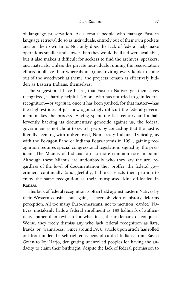of language preservation. As a result, people who manage Eastern language retrieval do so as individuals, entirely out of their own pockets and on their own time. Not only does the lack of federal help make operations smaller and slower than they would be if aid were available, but it also makes it difficult for seekers to find the archives, speakers, and materials. Unless the private individuals running the resuscitation efforts publicize their whereabouts (thus inviting every kook to come out of the woodwork at them), the projects remain as effectively hidden as Eastern Indians, themselves.

The suggestion I have heard, that Eastern Natives get themselves recognized, is hardly helpful. No one who has not tried to gain federal recognition—or regain it, once it has been yanked, for that matter—has the slightest idea of just how agonizingly difficult the federal government makes the process. Having spent the last century and a half fervently backing its documentary genocide against us, the federal government is not about to switch gears by conceding that the East is literally teeming with unRemoved, Non-Treaty Indians. Typically, as with the Pokagon Band of Indiana Potawatomis in 1994, gaining recognition requires special congressional legislation, signed by the president. The Miamis of Indiana form a more common case in point. Although these Miamis are undoubtedly who they say the are, regardless of the level of documentation they proffer, the federal government continually (and gleefully, I think) rejects their petition to enjoy the same recognition as their transported kin, off-loaded in Kansas.

This lack of federal recognition is often held against Eastern Natives by their Western cousins, but again, a sheer oblivion of history deforms perception. All too many Euro-Americans, not to mention ''carded'' Natives, mistakenly hallow federal enrollment as THE hallmark of authenticity, rather than revile it for what it is, the trademark of conquest. Worse, they freely dismiss any who lack federal recognition as liars, frauds, or ''wannabees.'' Since around 1970, article upon article has rolled out from under the self-righteous pens of carded Indians, from Rayna Green to Joy Harjo, denigrating unenrolled peoples for having the audacity to claim their birthright, despite the lack of federal permission to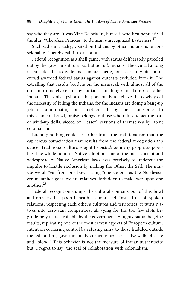say who they are. It was Vine Deloria Jr., himself, who first popularized the slur, "Cherokee Princess" to demean unrecognized Easterners.<sup>27</sup>

Such sadistic cruelty, visited on Indians by other Indians, is unconscionable. I hereby call it to account.

Federal recognition is a shell game, with status deliberately parceled out by the government to some, but not all, Indians. The cynical among us consider this a divide-and-conquer tactic, for it certainly pits an incrowd awarded federal status against outcasts excluded from it. The catcalling that results borders on the maniacal, with almost all of the din unfortunately set up by Indians launching stink bombs at other Indians. The only upshot of the potshots is to relieve the cowboys of the necessity of killing the Indians, for the Indians are doing a bang-up job of annihiliating one another, all by their lonesome. In this shameful brawl, praise belongs to those who refuse to act the part of wind-up dolls, sicced on ''lesser'' versions of themselves by latent colonialism.

Literally nothing could be farther from true traditionalism than the capricious ostracization that results from the federal recognition tap dance. Traditional culture sought to include as many people as possible. The whole point of Native adoption, one of the most ancient and widespread of Native American laws, was precisely to undercut the impulse to hostile exclusion by making the Other, the Self. The minute we all ''eat from one bowl'' using ''one spoon,'' as the Northeastern metaphor goes, we are relatives, forbidden to make war upon one another.<sup>28</sup>

Federal recognition dumps the cultural contents out of this bowl and crushes the spoon beneath its boot heel. Instead of soft-spoken relations, respecting each other's cultures and territories, it turns Natives into zero-sum competitors, all vying for the too few slots begrudgingly made available by the government. Haughty status-hogging results, replicating one of the most craven aspects of European culture. Intent on cornering control by refusing entry to those huddled outside the federal fort, governmentally created elites erect false walls of caste and ''blood.'' This behavior is not the measure of Indian authenticity but, I regret to say, the seal of collaboration with colonialism.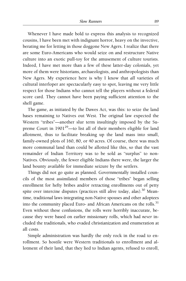Whenever I have made bold to express this analysis to recognized cousins, I have been met with indignant horror, heavy on the invective, berating me for letting in those doggone New Agers. I realize that there are some Euro-Americans who would seize on and restructure Native culture into an exotic pull-toy for the amusement of culture tourists. Indeed, I have met more than a few of these latter-day colonials, yet more of them were historians, archaeologists, and anthropologists than New Agers. My experience here is why I know that all varieties of cultural interloper are spectacularly easy to spot, leaving me very little respect for those Indians who cannot tell the players without a federal score card. They cannot have been paying sufficient attention to the shell game.

The game, as initiated by the Dawes Act, was this: to seize the land bases remaining to Natives out West. The original law expected the Western "tribes"—another slur term insultingly imposed by the Supreme Court in  $1901^{29}$ —to list all of their members eligible for land allotment, thus to facilitate breaking up the land mass into small, family-owned plots of 160, 80, or 40 acres. Of course, there was much more communal land than could be allotted like this, so that the vast remainder of Indian Territory was to be sold as ''surplus'' to non-Natives. Obviously, the fewer eligible Indians there were, the larger the land bounty available for immediate seizure by the settlers.

Things did not go quite as planned. Governmentally installed councils of the most assimilated members of those ''tribes'' began selling enrollment for hefty bribes and/or retracting enrollments out of petty spite over intercine disputes (practices still alive today, alas).<sup>30</sup> Meantime, traditional laws integrating non-Native spouses and other adoptees into the community placed Euro- and African Americans on the rolls.<sup>31</sup> Even without these confusions, the rolls were horribly inaccurate, because they were based on earlier missionary rolls, which had never included the traditionals, who evaded christianization and enumeration at all costs.

Simple administration was hardly the only rock in the road to enrollment. So hostile were Western traditionals to enrollment and allotment of their land, that they lied to Indian agents, refused to enroll,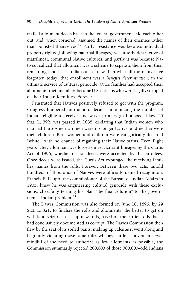mailed allotment deeds back to the federal government, hid each other out, and, when cornered, assumed the names of their enemies rather than be listed themselves. $32$  Partly, resistance was because individual property rights (following paternal lineages) was utterly destructive of matrilineal, communal Native cultures, and partly it was because Natives realized that allotment was a scheme to separate them from their remaining land base. Indians also knew then what all too many have forgotten today, that enrollment was a benefits determination, in the ultimate service of cultural genocide. Once families had accepted their allotments, their members became U.S.citizens who were legally stripped of their Indian identities. Forever.

Frustrated that Natives positively refused to get with the program, Congress lumbered into action. Because minimizing the number of Indians eligible to receive land was a primary goal, a special law, 25 Stat. L, 392, was passed in 1888, declaring that Indian women who married Euro-American men were no longer Native, and neither were their children. Both women and children were categorically declared "white," with no chance of regaining their Native status. Ever. Eight years later, allotment was forced on recalcitrant lineages by the Curtis Act of 1896, whether or not deeds were accepted by the enrollees. Once deeds were issued, the Curtis Act expunged the receiving families' names from the rolls. Forever. Between these two acts, untold hundreds of thousands of Natives were officially denied recognition. Francis E. Leupp, the commissioner of the Bureau of Indian Affairs in 1905, knew he was engineering cultural genocide with these exclusions, cheerfully terming his plan "the final solution" to the government's Indian problem.<sup>33</sup>

The Dawes Commission was also formed on June 10, 1896, by 29 Stat. L, 321, to finalize the rolls and allotments, the better to get on with land seizure. It set up new rolls, based on the earlier rolls that it had conclusively documented as corrupt. The Dawes Commission then flew by the seat of its soiled pants, making up rules as it went along and flagrantly violating those same rules whenever it felt convenient. Ever mindful of the need to authorize as few allotments as possible, the Commission summarily rejected 200,000 of those 300,000–odd Indians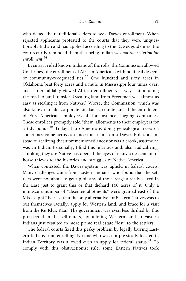who defied their traditional elders to seek Dawes enrollment. When rejected applicants protested to the courts that they were unquestionably Indian and had applied according to the Dawes guidelines, the courts curtly reminded them that being Indian was not the criterion for enrollment. 34

Even as it ruled known Indians off the rolls, the Commission allowed (for bribes) the enrollment of African Americans with no lineal descent or community-recognized ties.<sup>35</sup> One hundred and sixty acres in Oklahoma beat forty acres and a mule in Mississippi four times over, and settlers afflably viewed African enrollments as way station along the road to land transfer. (Stealing land from Freedmen was almost as easy as stealing it from Natives.) Worse, the Commission, which was also known to take corporate kickbacks, countenanced the enrollment of Euro-American employees of, for instance, logging companies. These enrollees promptly sold ''their'' allotments to their employers for a tidy bonus.<sup>36</sup> Today, Euro-Americans doing genealogical research sometimes come across an ancestor's name on a Dawes Roll and, instead of realizing that aforementioned ancestor was a crook, assume he was an Indian. Personally, I find this hilarious and, also, radicalizing. Thinking they are Native has opened the eyes of many a descendant of horse thieves to the histories and struggles of Native America.

When contested, the Dawes system was upheld in federal courts. Many challenges came from Eastern Indians, who found that the settlers were not about to get up off any of the acreage already seized in the East just to grant this or that diehard 160 acres of it. Only a minuscule number of ''absentee allotments'' were granted east of the Mississippi River, so that the only alternative for Eastern Natives was to out themselves racially, apply for Western land, and brace for a visit from the Ku Klux Klan. The government was even less thrilled by this prospect than the self-outers, for alloting Western land to Eastern Indians just resulted in more prime real estate ''lost'' to the settlers.

The federal courts fixed this pesky problem by legally barring Eastern Indians from enrolling. No one who was not physically located in Indian Territory was allowed even to apply for federal status.<sup>37</sup> To comply with this obstructionist rule, some Eastern Natives took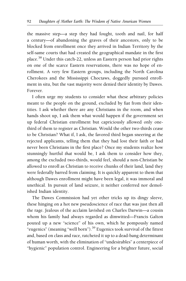the massive step—a step they had fought, tooth and nail, for half a century—of abandoning the graves of their ancestors, only to be blocked from enrollment once they arrived in Indian Territory by the self-same courts that had created the geographical mandate in the first place.<sup>38</sup> Under this catch-22, unless an Eastern person had prior rights on one of the scarce Eastern reservations, there was no hope of enrollment. A very few Eastern groups, including the North Carolina Cherokees and the Mississippi Choctaws, doggedly pursued enrollment in situ, but the vast majority were denied their identity by Dawes. Forever.

I often urge my students to consider what these arbitrary policies meant to the people on the ground, excluded by fiat from their identities. I ask whether there are any Christians in the room, and when hands shoot up, I ask them what would happen if the government set up federal Christian enrollment but capriciously allowed only onethird of them to register as Christian. Would the other two-thirds cease to be Christian? What if, I ask, the favored third began sneering at the rejected applicants, telling them that they had lost their faith or had never been Christians in the first place? Once my students realize how stunningly hurtful that would be, I ask them to consider how they, among the excluded two-thirds, would feel, should a non-Christian be allowed to enroll as Christian to receive chunks of their land, land they were federally barred from claiming. It is quickly apparent to them that although Dawes enrollment might have been legal, it was immoral and unethical. In pursuit of land seizure, it neither conferred nor demolished Indian identity.

The Dawes Commission had yet other tricks up its dingy sleeve, these hinging on a hot new pseudoscience of race that was just then all the rage. Jealous of the acclaim lavished on Charles Darwin—a cousin whom his family had always regarded as dimwitted—Francis Galton pouted up a new ''science'' of his own, which he pompously named "eugenics" (meaning "well born").<sup>39</sup> Eugenics took survival of the fittest and, based on class and race, ratcheted it up to a dead-bang determinant of human worth, with the elimination of ''undesirables'' a centerpiece of ''hygienic'' population control. Engineering for a brighter future, social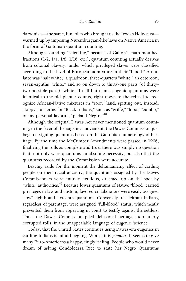darwinists—the same, fun folks who brought us the Jewish Holocaust warmed up by imposing Nuremburgian-like laws on Native America in the form of Galtonian quantum counting.

Although sounding ''scientific,'' because of Galton's math-mouthed fractions (1/2, 1/4, 1/8, 1/16, etc.), quantum counting actually derives from colonial Slavery, under which privileged slaves were classified according to the level of European admixture in their ''blood.'' A mulatto was "half white;" a quadroon, three-quarters "white;" an octoroon, seven-eighths ''white,'' and so on down to thirty-one parts (of thirtytwo possible parts) ''white.'' In all but name, eugenic quantums were identical to the old planter counts, right down to the refusal to recognize African-Native mixtures in ''roon'' land, spitting out, instead, sloppy slur terms for "Black Indians," such as "griffe," "lobo," "zambo," or my personal favorite, "piebald Negro."<sup>40</sup>

Although the original Dawes Act never mentioned quantum counting, in the fever of the eugenics movement, the Dawes Commission just began assigning quantums based on the Galtonian numerology of heritage. By the time the McCumber Amendments were passed in 1906, finalizing the rolls as complete and true, there was simply no question that, not only were quantums an absolute necessity, but also that the quantums recorded by the Commission were accurate.

Leaving aside for the moment the dehumanizing effect of carding people on their racial ancestry, the quantums assigned by the Dawes Commissioners were entirely fictitious, dreamed up on the spot by "white" authorities.<sup>41</sup> Because lower quantums of Native "blood" carried privileges in law and custom, favored collaborators were easily assigned ''low'' eighth and sixteenth quantums. Conversely, recalcitrant Indians, regardless of parentage, were assigned ''full-blood'' status, which neatly prevented them from appearing in court to testify against the settlers. Thus, the Dawes Commission piled delusional heritage atop utterly corrupted rolls, in the unappealable language of eugenic "science."

Today, that the United States continues using Dawes-era eugenics in carding Indians is mind-boggling. Worse, it is popular. It seems to give many Euro-Americans a happy, tingly feeling. People who would never dream of asking Condoleezza Rice to state her Negro Quantums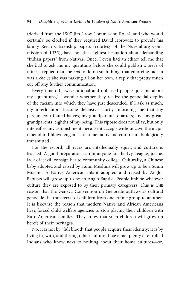(derived from the 1907 Jim Crow Commission Rolls), and who would certainly be clocked if they required David Horowitz to provide his family Reich Citizenship papers (courtesy of the Nuremburg Commission of 1935), have not the slightest hesitation about demanding ''Indian papers'' from Natives. Once, I even had an editor tell me that she had to ask me my quantums before she could publish a piece of mine. I replied that she had to do no such thing, that enforcing racism was a choice she was making all on her own, a reply that pretty much cut off any further communication.

Every time otherwise rational and unbiased people quiz me about my ''quantums,'' I wonder whether they realize the genocidal depths of the racism into which they have just descended. If I ask as much, my interlocutors become defensive, curtly informing me that my parents contributed halves; my grandparents, quarters; and my greatgrandparents, eighths of my being. This riposte does not allay, but only intensifies, my astonishment, because it accepts without cavil the major tenet of full-blown eugenics: that mentality and culture are biologically transmitted.

For the record, all races are intellectually equal, and culture is learned. A good preparation can fit anyone for the Ivy League, just as lack of it will consign her to community college. Culturally, a Chinese baby adopted and raised by Sunni Muslims will grow up to be a Sunni Muslim. A Native American infant adopted and raised by Anglo-Baptists will grow up to be an Anglo-Baptist. People imbibe whatever culture they are exposed to by their primary caregivers. This is THE reason that the Geneva Convention on Genocide outlaws as cultural genocide the transferral of children from one ethnic group to another. It is likewise the reason that modern Native and African Americans have forced child welfare agencies to stop placing their children with Euro-American families. They know that such children will grow up bereft of their heritages.

No, it is not by ''full blood'' that people acquire their identity; it is by living in, with, and through their culture. I have met plenty of enrolled Indians who know next to nothing about their home cultures—or,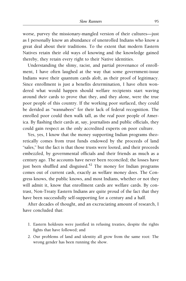worse, purvey the missionary-mangled version of their cultures—just as I personally know an abundance of unenrolled Indians who know a great deal about their traditions. To the extent that modern Eastern Natives retain their old ways of knowing and the knowledge gained thereby, they retain every right to their Native identities.

Understanding the slimy, racist, and partial provenance of enrollment, I have often laughed at the way that some government-issue Indians wave their quantum cards aloft, as their proof of legitimacy. Since enrollment is just a benefits determination, I have often wondered what would happen should welfare recipients start waving around their cards to prove that they, and they alone, were the true poor people of this country. If the working poor surfaced, they could be derided as ''wannabees'' for their lack of federal recognition. The enrolled poor could then walk tall, as the real poor people of America. By flashing their cards at, say, journalists and public officials, they could gain respect as the only accredited experts on poor culture.

Yes, yes, I know that the money supporting Indian programs theoretically comes from trust funds endowed by the proceeds of land "sales," but the fact is that those trusts were looted, and their proceeds embezzled, by governmental officials and their friends as much as a century ago. The accounts have never been reconciled; the losses have just been shuffled and disguised.<sup>42</sup> The money for Indian programs comes out of current cash, exactly as welfare money does. The Congress knows, the public knows, and most Indians, whether or not they will admit it, know that enrollment cards are welfare cards. By contrast, Non-Treaty Eastern Indians are quite proud of the fact that they have been successfully self-supporting for a century and a half.

After decades of thought, and an excruciating amount of research, I have concluded that:

- 1. Eastern holdouts were justified in refusing treaties, despite the rights fights that have followed; and
- 2. Our problems of land and identity all grow from the same root: The wrong gender has been running the show.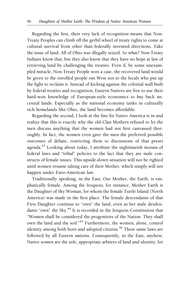Regarding the first, their very lack of recognition means that Non-Treaty Peoples can climb off the gerbil wheel of treaty rights to come at cultural survival from other than federally invented directions. Take the issue of land. All of Ohio was illegally seized. So what? Non-Treaty Indians know that, but they also know that they have no hope at law of retrieving land by challenging the treaties. Even if, by some unexampled miracle, Non-Treaty People won a case, the recovered land would be given to the enrolled people out West not to the locals who put up the fight to reclaim it. Instead of kicking against the colonial wall built by federal treaties and recognition, Eastern Natives are free to use their hard-won knowledge of European-style economics to buy back ancestral lands. Especially as the national economy tanks in culturally rich homelands like Ohio, the land becomes affordable.

Regarding the second, I look at the fine fix Native America is in and realize that this is exactly why the old Clan Mothers refused to let the men discuss anything that the women had not first canvassed thoroughly. In fact, the women even gave the men the preferred possible outcomes of debate, restricting them to discussions of that preset agenda. $43$  Looking about today, I attribute the nightmarish morass of federal laws and ''tribal'' policies to the fact that they are male constructs of female issues. This upside-down situation will not be righted until women resume taking care of their Mother, which simply will not happen under Euro-American law.

Traditionally speaking, in the East, Our Mother, the Earth, is emphatically female. Among the Iroquois, for instance, Mother Earth is the Daughter of Sky Woman, for whom the female Turtle Island (North America) was made in the first place. The female descendants of that First Daughter continue to ''own'' the land, even as her male desdendants "own" the Sky.<sup>44</sup> It is recorded in the Iroquois Constitution that ''Women shall be considered the progenitors of the Nation. They shall own the land and the soil."<sup>45</sup> Furthermore, the women, alone, control identity among both born and adopted citizens.<sup>46</sup> These same laws are followed by all Eastern nations. Consequently, in the East, anyhow, Native women are the sole, appropriate arbiters of land and identity, for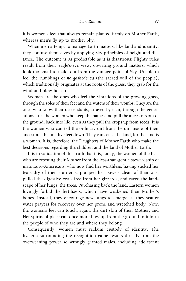it is women's feet that always remain planted firmly on Mother Earth, whereas men's fly up to Brother Sky.

When men attempt to manage Earth matters, like land and identity, they confuse themselves by applying Sky principles of height and distance. The outcome is as predictable as it is disastrous: Flighty rules result from their eagle's-eye view, obviating ground matters, which look too small to make out from the vantage point of Sky. Unable to feel the rumblings of ne gashedenza (the sacred will of the people), which traditionally originates at the roots of the grass, they grab for the wind and blow hot air.

Women are the ones who feel the vibrations of the growing grass, through the soles of their feet and the waters of their wombs. They are the ones who know their descendants, arrayed by clan, through the generations. It is the women who keep the names and pull the ancestors out of the ground, back into life, even as they pull the crops up from seeds. It is the women who can tell the ordinary dirt from the dirt made of their ancestors, the first five feet down. They can sense the land, for the land is a woman. It is, therefore, the Daughters of Mother Earth who make the best decisions regarding the children and the land of Mother Earth.

It is in validation of this truth that it is, today, the women of the East who are rescuing their Mother from the less-than-gentle stewardship of male Euro-Americans, who now find her worthless, having sucked her teats dry of their nutrients, pumped her bowels clean of their oils, pulled the digestive coals free from her gizzards, and razed the landscape of her lungs, the trees. Purchasing back the land, Eastern women lovingly forbid the fertilizers, which have weakened their Mother's bones. Instead, they encourage new lungs to emerge, as they scatter water prayers for recovery over her prone and wretched body. Now, the women's feet can touch, again, the dirt skin of their Mother, and Her spirits of place can once more flow up from the ground to inform the people of who they are and where they belong.

Consequently, women must reclaim custody of identity. The hysteria surrounding the recognition game results directly from the overweaning power so wrongly granted males, including adolescent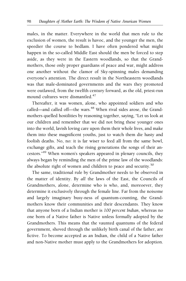males, in the matter. Everywhere in the world that men rule to the exclusion of women, the result is havoc, and the younger the men, the speedier the course to bedlam. I have often pondered what might happen in the so-called Middle East should the men be forced to step aside, as they were in the Eastern woodlands, so that the Grandmothers, those only proper guardians of peace and war, might address one another without the clamor of Sky-spinning males demanding everyone's attention. The direct result in the Northeastern woodlands was that male-dominated governments and the wars they promoted were outlawed, from the twelfth century forward, as the old, priest-run mound cultures were dismantled.<sup>47</sup>

Thereafter, it was women, alone, who appointed soldiers and who called—and called off—the wars.<sup>48</sup> When rival sides arose, the Grandmothers quelled hostilities by reasoning together, saying, ''Let us look at our children and remember that we did not bring these younger ones into the world, lavish loving care upon them their whole lives, and make them into these magnificent youths, just to watch them die hasty and foolish deaths. No, no: it is far wiser to feed all from the same bowl, exchange gifts, and teach the rising generations the songs of their ancestors.<sup>"49</sup> When women's speakers appeared in plenary councils, they always began by reminding the men of the prime law of the woodlands: the absolute right of women and children to peace and security.<sup>50</sup>

The same, traditional rule by Grandmother needs to be observed in the matter of identity. By all the laws of the East, the Councils of Grandmothers, alone, determine who is who, and, moreoever, they determine it exclusively through the female line. Far from the noisome and largely imaginary busy-ness of quantum-counting, the Grandmothers know their communities and their descendants. They know that anyone born of a Indian mother is 100 percent Indian, whereas no one born of a Native father is Native unless formally adopted by the Grandmothers. This means that the vaunted quantums of the federal government, shoved through the unlikely birth canal of the father, are fictive. To become accepted as an Indian, the child of a Native father and non-Native mother must apply to the Grandmothers for adoption.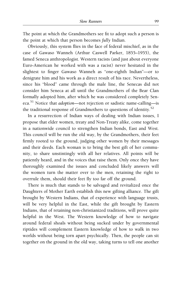The point at which the Grandmothers see fit to adopt such a person is the point at which that person becomes fully Indian.

Obviously, this system flies in the face of federal mischief, as in the case of Gawaso Wanneh (Arthur Caswell Parker, 1855–1955), the famed Seneca anthropologist. Western racists (and just about everyone Euro-American he worked with was a racist) never hesitated in the slightest to finger Gawaso Wanneh as ''one-eighth Indian''—or to denigrate him and his work as a direct result of his race. Nevertheless, since his ''blood'' came through the male line, the Senecas did not consider him Seneca at all until the Grandmothers of the Bear Clan formally adopted him, after which he was considered completely Seneca.<sup>51</sup> Notice that adoption—not rejection or sadistic name-calling—is the traditional response of Grandmothers to questions of identity.<sup>52</sup>

In a resurrection of Indian ways of dealing with Indian issues, I propose that elder women, treaty and Non-Treaty alike, come together in a nationwide council to strengthen Indian bonds, East and West. This council will be run the old way, by the Grandmothers, their feet firmly rooted to the ground, judging other women by their messages and their deeds. Each woman is to bring the best gift of her community, to share unstintingly with all her relatives. All points will be patiently heard, and in the voices that raise them. Only once they have thoroughly examined the issues and concluded likely answers will the women turn the matter over to the men, retaining the right to overrule them, should their feet fly too far off the ground.

There is much that stands to be salvaged and revitalized once the Daughters of Mother Earth establish this new gifting alliance. The gift brought by Western Indians, that of experience with language trusts, will be very helpful in the East, while the gift brought by Eastern Indians, that of retaining non-christianized traditions, will prove quite helpful in the West. The Western knowledge of how to navigate around federal shoals without being sucked under by governmental riptides will complement Eastern knowledge of how to walk in two worlds without being torn apart psychically. Then, the people can sit together on the ground in the old way, taking turns to tell one another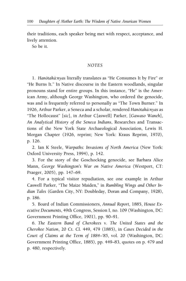their traditions, each speaker being met with respect, acceptance, and lively attention.

So be it.

## NOTES

1. Hanötaká: nyas literally translates as "He Consumes It by Fire" or "He Burns It." In Native discourse in the Eastern woodlands, singular pronouns stand for entire groups. In this instance, ''He'' is the American Army, although George Washington, who ordered the genocide, was and is frequently referred to personally as "The Town Burner." In 1926, Arthur Parker, a Seneca and a scholar, rendered Hanötaká:nyas as ''The Hollocaust'' [sic], in Arthur C[aswell] Parker, [Gawaso Waneh], An Analytical History of the Seneca Indians, Researches and Transactions of the New York State Archaeological Association, Lewis H. Morgan Chapter (1926, reprint; New York: Kraus Reprint, 1970), p. 126.

2. Ian K Steele, Warpaths: Invasions of North America (New York: Oxford University Press, 1994), p. 142.

3. For the story of the Goschocking genocide, see Barbara Alice Mann, George Washington's War on Native America (Westport, CT: Praeger, 2005), pp. 147–69.

4. For a typical visitor repudiation, see one example in Arthur Caswell Parker, "The Maize Maiden," in Rumbling Wings and Other Indian Tales (Garden City, NY: Doubleday, Doran and Company, 1928), p. 186.

5. Board of Indian Commissioners, Annual Report, 1885, House Executive Documents, 49th Congress, Session I, no. 109 (Washington, DC: Government Printing Office, 1901), pp. 90–91.

6. The Eastern Band of Cherokees v. The United States and the Cherokee Nation, 20 Ct. Cl. 449, 479 (1885), in Cases Decided in the Court of Claims at the Term of 1884–'85, vol. 20 (Washington, DC: Government Printing Office, 1885), pp. 449–83, quotes on p. 479 and p. 480, respectively.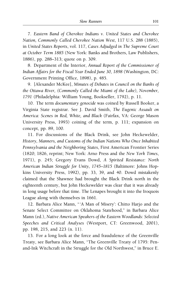7. Eastern Band of Cherokee Indians v. United States and Cherokee Nation, Commonly Called Cherokee Nation West, 117 U.S. 288 (1885), in United States Reports, vol. 117, Cases Adjudged in The Supreme Court at October Term 1885 (New York: Banks and Brothers, Law Publishers, 1886), pp. 288–313; quote on p. 309.

8. Department of the Interior, Annual Report of the Commissioner of Indian Affairs for the Fiscal Year Ended June 30, 1898 (Washington, DC: Government Printing Office, 1898), p. 485.

9. [Alexander McKee], Minutes of Debates in Council on the Banks of the Ottawa River, (Commonly Called the Miami of the Lake), November, 1791 (Philadelphia: William Young, Bookseller, 1792), p. 11.

10. The term documentary genocide was coined by Russell Booker, a Virginia State registrar. See J. David Smith, The Eugenic Assault on America: Scenes in Red, White, and Black (Fairfax, VA: George Mason University Press, 1993) coining of the term, p. 111; expansion on concept, pp. 89, 100.

11. For discussions of the Black Drink, see John Heckewelder, History, Manners, and Customs of the Indian Nations Who Once Inhabited Pennsylvania and the Neighboring States, First American Frontier Series (1820; 1826, reprint; New York: Arno Press and the New York Times, 1971), p. 245; Gregory Evans Dowd, A Spirited Resistance: North American Indian Struggle for Unity, 1745–1815 (Baltimore: Johns Hopkins University Press, 1992), pp. 33, 39, and 40. Dowd mistakenly claimed that the Shawnee had brought the Black Drink north in the eighteenth century, but John Heckewelder was clear that it was already in long usage before that time. The Lenapes brought it into the Iroquois League along with themselves in 1661.

12. Barbara Alice Mann, "'A Man of Misery': Chitto Harjo and the Senate Select Committee on Oklahoma Statehood,'' in Barbara Alice Mann (ed.), Native American Speakers of the Eastern Woodlands: Selected Speeches and Critical Analyses (Westport, CT: Greenwood, 2001), pp. 198, 215, and 223 (n. 11).

13. For a long look at the force and fraudulence of the Greenville Treaty, see Barbara Alice Mann, ''The Greenville Treaty of 1795: Penand-Ink Witchcraft in the Struggle for the Old Northwest,'' in Bruce E.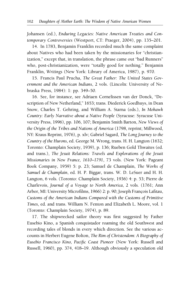Johansen (ed.), Enduring Legacies: Native American Treaties and Contemporary Controversies (Westport, CT: Praeger, 2004), pp. 135–201.

14. In 1783, Benjamin Franklin recorded much the same complaint about Natives who had been taken by the missionaries for ''christianization,'' except that, in translation, the phrase came out ''bad Runners'' who, post-christianization, were "totally good for nothing." Benjamin Franklin, Writings (New York: Library of America, 1987), p. 970.

15. Francis Paul Prucha, The Great Father: The United States Government and the American Indians, 2 vols. (Lincoln: University of Nebraska Press, 1984): 1: pp. 349–50.

16. See, for instance, see Adriaen Cornelissen van der Donck, ''Description of New Netherland,'' 1653; trans. Diederick Goedhuys, in Dean Snow, Charles T. Gehring, and William A. Starna (eds.), In Mohawk Country: Early Narrative about a Native People (Syracuse: Syracuse University Press, 1996), pp. 106, 107; Benjamin Smith Barton, New Views of the Origin of the Tribes and Nations of America (1798, reprint; Millwood, NY: Kraus Reprint, 1976), p. xlv; Gabriel Sagard, The Long Journey to the Country of the Hurons, ed. George M. Wrong, trans. H. H. Langton (1632; Toronto: Champlain Society, 1939), p. 136; Rueben Gold Thwaites (ed. and trans.), The Jesuit Relations: Travels and Explorations of the Jesuit Missionaries in New France, 1610–1791, 73 vols. (New York: Pageant Book Company, 1959) 5: p. 23; Samuel de Champlain, The Works of Samuel de Champlain, ed. H. P. Biggar, trans. W. D. LeSuer and H. H. Langton, 6 vols. (Toronto: Champlain Society, 1936) 4: p. 53; Pierre de Charlevois, Journal of a Voyage to North America, 2 vols. (1761; Ann Arbor, MI: University Microfilms, 1966) 2: p. 90; Joseph François Lafitau, Customs of the American Indians Compared with the Customs of Primitive Times, ed. and trans. William N. Fenton and Elizabeth L. Moore, vol. 1 (Toronto: Champlain Society, 1974), p. 89.

17. The shipwrecked sailor theory was first suggested by Father Eusebio Kino, a Spanish conquistador roaming the old Southwest and recording tales of blonds in every which direction. See the various accounts in Herbert Eugene Bolton, The Rim of Christendom: A Biography of Eusebio Francisco Kino, Pacific Coast Pioneer (New York: Russell and Russell, 1960), pp. 374, 418–19. Although obviously a speculation old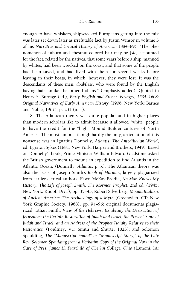enough to have whiskers, shipwrecked Europeans getting into the mix was later set down later as irrefutable fact by Justin Winsor in volume 3 of his Narrative and Critical History of America (1884–89): ''The phenomenon of auburn and chestnut-colored hair may be [sic] accounted for the fact, related by the natives, that some years before a ship, manned by whites, had been wrecked on the coast; and that some of the people had been saved, and had lived with them for several weeks before leaving in their boats, in which, however, they were lost. It was the descendants of these men, doubtless, who were found by the English having hair unlike the other Indians.'' (emphasis added). Quoted in Henry S. Burrage (ed.), Early English and French Voyages, 1534–1608: Original Narratives of Early American History (1906; New York: Barnes and Noble, 1967), p. 233 (n. 1).

18. The Atlantean theory was quite popular and in higher places than modern scholars like to admit because it allowed ''white'' people to have the credit for the ''high'' Mound Builder cultures of North America. The most famous, though hardly the only, articulation of this nonsense was in Ignatius Donnelly, Atlantis: The Antediluvian World, ed. Egerton Sykes (1881; New York: Harper and Brothers, 1949). Based on Donnelly's book, Prime Minister William Edward Gladstone asked the British government to mount an expedition to find Atlantis in the Atlantic Ocean. (Donnelly, Atlantis, p. x). The Atlantean theory was also the basis of Joseph Smith's Book of Mormon, largely plagiarized from earlier clerical authors. Fawn McKay Brodie, No Man Knows My History: The Life of Joseph Smith, The Mormon Prophet, 2nd ed. (1945; New York: Knopf, 1971), pp. 35–43; Robert Silverberg, Mound Builders of Ancient America: The Archaeology of a Myth (Greenwich, CT: New York Graphic Society, 1968), pp. 94–96; original documents plagiarized: Ethan Smith, View of the Hebrews; Exhibiting the Destruction of Jerusalem; the Certain Restoration of Judah and Israel; the Present State of Judah and Israel; and an Address of the Prophet Isaiahy Relative to their Restoration (Poultney, VT: Smith and Shurte, 1823); and Solomon Spaulding, The ''Manuscript Found'' or ''Manuscript Story,'' of the Late Rev. Solomon Spaulding from a Verbatim Copy of the Original Now in the Care of Pres. James H. Fiarchild of Oberlin College, Ohio (Lamoni, IA: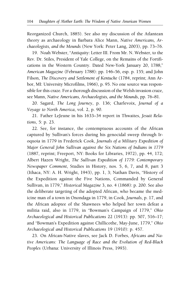Reorganized Church, 1885). See also my discussion of the Atlantean theory as archaeology in Barbara Alice Mann, Native Americans, Archaeologists, and the Mounds (New York: Peter Lang, 2003), pp. 73–76.

19. Noah Webster, ''Antiquity: Letter III. From Mr. N. Webster, to the Rev. Dr. Stiles, President of Yale College, on the Remains of the Fortifications in the Western Country. Dated New-York January 20, 1788,'' American Magazine (February 1788): pp. 146–56, esp. p. 155; and John Filson, The Discovery and Settlement of Kentucke (1784, reprint; Ann Arbor, MI: University Microfilms, 1966), p. 95. No one source was responsible for this craze. For a thorough discussion of the Welsh invasion craze, see Mann, Native Americans, Archaeologists, and the Mounds, pp. 76–81.

20. Sagard, The Long Journey, p. 136; Charlevoix, Journal of a Voyage to North America, vol. 2, p. 90.

21. Father LeJeune in his 1633–34 report in Thwaites, Jesuit Relations, 5: p. 23.

22. See, for instance, the contemptuous accounts of the African captured by Sullivan's forces during his genocidal sweep through Iroquoia in 1779 in Frederick Cook, Journals of a Military Expedition of Major General John Sullivan against the Six Nations of Indians in 1779 (1887, reprint; Freeport, NY: Books for Libraries, 1972), pp. 44, 172; Albert Hazen Wright, The Sullivan Expedition of 1779: Contemporary Newspaper Comment, Studies in History, nos. 5, 6, 7, and 8, part 3 (Ithaca, NY: A. H. Wright, 1943), pp. 1, 3; Nathan Davis, ''History of the Expedition against the Five Nations, Commanded by General Sullivan, in 1779,'' Historical Magazine 3, no. 4 (1868): p. 200. See also the deliberate targeting of the adopted African, who became the medicine man of a town in Onondaga in 1779, in Cook, Journals, p. 17, and the African adoptee of the Shawnees who helped her town defeat a militia raid, also in 1779, in ''Bowman's Campaign of 1779,'' Ohio Archaeological and Historical Publications 22 (1913): pp. 507, 516–17; and ''Bowman's Expedition against Chillicothe, May-June, 1779,'' Ohio Archaeological and Historical Publications 19 (1910): p. 457.

23. On African-Native slaves, see Jack D. Forbes, Africans and Native Americans: The Language of Race and the Evolution of Red-Black Peoples (Urbana: University of Illinois Press, 1993).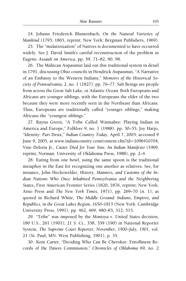24. Johann Friederich Blumenbach, On the Natural Varieties of Mankind (1795; 1865, reprint; New York: Bergman Publishers, 1969).

25. The ''mulattoization'' of Natives is documented to have occurred widely. See J. David Smith's careful reconstruction of the problem in Eugenic Assault on America, pp. 59, 71–82, 90, 98.

26. The Mahican Aupaumut laid out this traditional system in detail in 1791, discussing Ohio councils in Hendrick Aupaumut, ''A Narrative of an Embassy to the Western Indians,'' Memoirs of the Historical Society of Pennsulvania, 2, no. 1 (1827): pp. 76–77. Salt Beings are people from across the Great Salt Lake, or Atlantic Ocean. Both Europeans and Africans are younger siblings, with the Europeans the elder of the two because they were more recently seen in the Northeast than Africans. Thus, Europeans are traditionally called ''younger siblings,'' making Africans the ''youngest siblings.''

27. Rayna Green, ''A Tribe Called Wannabee: Playing Indian in America and Europe," Folklore 9, no. 1 (1988): pp. 30–55; Joy Harjo, ''Identity: Part Deux,'' Indian Country Today, April 7, 2005; accessed 9 June 9, 2005, at www.indiancountry.com/content.cfm?id= $1096410704$ ; Vine Deloria Jr., Custer Died for Your Sins: An Indian Manifesto (1969, reprint; Norman: University of Oklahoma Press, 1988), pp. 2–4.

28. Eating from one bowl, using the same spoon is the traditional metaphor in the East for recognizing one another as relatives. See, for instance, John Heckewelder, History, Manners, and Customs of the Indian Nations Who Once Inhabited Pennsylvania and the Neighboring States, First American Frontier Series (1820; 1876, reprint; New York: Arno Press and The New York Times, 1971), pp. 269–70 (n. 1); as quoted in Richard White, The Middle Ground: Indians, Empires, and Republics, in the Great Lakes Region, 1650–1815 (New York: Cambridge University Press, 1991), pp. 462, 469, 480–83, 512, 515.

29. ''Tribe'' was imposed by the Montoya v. United States decision, 180 U.S., 261 (1901); 21 S. Ct., 358, 359 (190) in National Reporter System, The Supreme Court Reporter, November, 1900–July, 1901, vol. 21 (St. Paul, MN: West Publishing, 1901), p. 35.

30. Kent Carter, ''Deciding Who Can Be Cherokee: Enrollment Records of the Dawes Commission,'' Chronicles of Oklahoma 69, no. 2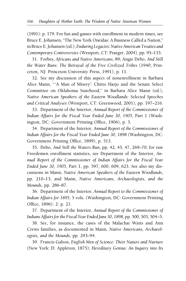(1991): p. 179. For fun and games with enrollment in modern times, see Bruce E. Johansen, ''The New York Oneidas: A Business Called a Nation,'' in Bruce E. Johansen (ed.),Enduring Legacies: Native American Treaties and Contemporary Controversies (Westport, CT: Praeger, 2004), pp. 95–133.

31. Forbes, Africans and Native Americans, 89; Angie Debo, And Still the Water Runs: The Betrayal of the Five Civilized Tribes (1940; Princeton, NJ: Princeton University Press, 1991), p. 11.

32. See my discussion of this aspect of nonenrollment in Barbara Alice Mann, "'A Man of Misery': Chitto Harjo and the Senate Select Committee on Oklahoma Statehood,'' in Barbara Alice Mann (ed.), Native American Speakers of the Eastern Woodlands: Selected Speeches and Critical Analyses (Westport, CT: Greenwood, 2001), pp. 197–216.

33. Department of the Interior, Annual Report of the Commissioner of Indian Affairs for the Fiscal Year Ended June 30, 1905, Part 1 (Washington, DC: Government Printing Office, 1906), p. 5.

34. Department of the Interior, Annual Report of the Commissioner of Indian Affairs for the Fiscal Year Ended June 30, 1898 (Washington, DC: Government Printing Office, 1899), p. 513.

35. Debo, And Still the Waters Run, pp. 42, 45, 47, 269–70; for raw Freedemen enrollment statistics, see Department of the Interior, Annual Report of the Commissioner of Indian Affairs for the Fiscal Year Ended June 30, 1905, Part 1, pp. 597, 600, 609, 623. See also my discussions in Mann, Native American Speakers of the Eastern Woodlands, pp. 210–13; and Mann, Native Americans, Archaeologists, and the Mounds, pp. 286–87.

36. Department of the Interior, Annual Report to the Commissioner of Indian Affairs for 1895, 5 vols. (Washington, DC: Government Printing Office, 1896): 2: p. 21.

37. Department of the Interior, Annual Report of the Commissioner of Indians Affairs for the Fiscal Year Ended June 30, 1898, pp. 500, 503, 504–5.

38. See, for instance, the cases of the Malachai Watts and Ann Crews families, as documented in Mann, Native Americans, Archaeologists, and the Mounds, pp. 293–94.

39. Francis Galton, English Men of Science: Their Nature and Nurture (New York: D. Appleton, 1875); Hereditary Genius: An Inquiry into Its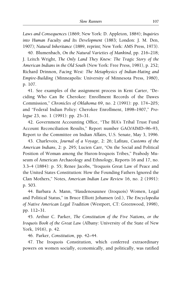Laws and Consequences (1869; New York: D. Appleton, 1884); Inquiries into Human Faculty and Its Development (1883; London: J. M. Den, 1907); Natural Inheritance (1889, reprint; New York: AMS Press, 1973).

40. Blumenbach, On the Natural Varieties of Mankind, pp. 216–218; J. Leitch Wright, The Only Land They Knew: The Tragic Story of the American Indians in the Old South (New York: Free Press, 1981), p. 252; Richard Drinnon, Facing West: The Metaphysics of Indian-Hating and Empire-Building (Minneapolis: University of Minnesota Press, 1980), p. 107.

41. See examples of the assignment process in Kent Carter, ''Deciding Who Can Be Cherokee: Enrollment Records of the Dawes Commission,'' Chronicles of Oklahoma 69, no. 2 (1991): pp. 174–205; and ''Federal Indian Policy: Cherokee Enrollment, 1898–1907,'' Prologue 23, no. 1 (1991): pp. 25–31.

42. Government Accounting Office, ''The BIA's Tribal Trust Fund Account Reconciliation Results,'' Report number GAO/AIMD–96–93, Report to the Committee on Indian Affairs, U.S. Senate, May 3, 1996.

43. Charlevoix, Journal of a Voyage, 2: 26; Lafitau, Customs of the American Indians, 2: p. 295; Lucien Carr, ''On the Social and Political Position of Woman among the Huron-Iroquois Tribes,'' Peabody Museum of American Archaeology and Ethnology, Reports 16 and 17, no. 3.3–4 (1884): p. 55; Renee Jacobs, ''Iroquois Great Law of Peace and the United States Constitution: How the Founding Fathers Ignored the Clan Mothers,'' Notes, American Indian Law Review 16, no. 2 (1991): p. 503.

44. Barbara A. Mann, ''Haudenosaunee (Iroquois) Women, Legal and Political Status,'' in Bruce Elliott Johansen (ed.), The Encyclopedia of Native American Legal Tradition (Westport, CT: Greenwood, 1998), pp. 112–31.

45. Arthur C. Parker, The Constitution of the Five Nations, or the Iroquois Book of the Great Law (Albany: University of the State of New York, 1916), p. 42.

46. Parker, Constitution, pp. 42–44.

47. The Iroquois Constitution, which conferred extraordinary powers on women socially, economically, and politically, was ratified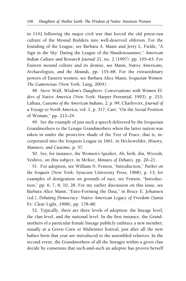in 1142 following the major civil war that forced the old priest-run culture of the Mound Builders into well-deserved oblivion. For the founding of the League, see Barbara A. Mann and Jerry L. Fields, ''A Sign in the Sky: Dating the League of the Haudenosaunee,'' American Indian Culture and Research Journal 21, no. 2 (1997): pp. 105–63. For Eastern mound culture and its demise, see Mann, Native Americans, Archaeologists, and the Mounds, pp. 155–68. For the extraordinary powers of Eastern women, see Barbara Alice Mann, Iroquoian Women: The Gantowisas (New York: Lang, 2004).

48. Steve Wall, Wisdom's Daughters: Conversations with Women Elders of Native America (New York: Harper Perennial, 1993), p. 253; Lafitau, Customs of the American Indians, 2: p. 99; Charlevoix, Journal of a Voyage to North America, vol. 1, p. 317; Carr, ''On the Social Position of Woman,'' pp. 223–24.

49. See the example of just such a speech delivered by the Iroquoian Grandmothers to the Lenape Grandmothers when the latter nation was taken in under the protective shade of the Tree of Peace, that is, incorporated into the Iroquois League in 1661, in Heckewelder, History, Manners, and Customs, p. 57.

50. See, for instance, the Women's Speaker, Ab, beth, din, Wyrosh, Yeshivo, on this subject, in McKee, Minutes of Debates, pp. 20–21.

51. For adoption, see William N. Fenton, "Introduction," Parker on the Iroquois (New York: Syracuse University Press, 1968), p. 13; for examples of denigration on grounds of race, see Fenton, ''Introduction,'' pp. 6, 7, 8, 10, 28. For my earlier discussion on this issue, see Barbara Alice Mann, "Euro-Forming the Data," in Bruce E. Johansen (ed.), Debating Democracy: Native American Legacy of Freedom (Santa Fe: Clear Light, 1998), pp. 178–80.

52. Typically, there are three levels of adoption: the lineage level, the clan level, and the national level. In the first instance, the Grandmothers of a particular female lineage publicly embrace a new member, usually at a Green Corn or Midwinter festival, just after all the new babies born that year are introduced to the assembled relatives. In the second event, the Grandmothers of all the lineages within a given clan decide by consensus that such-and-such an adoptee has proven herself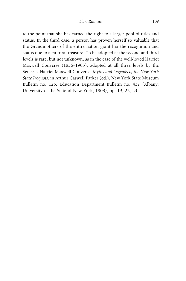to the point that she has earned the right to a larger pool of titles and status. In the third case, a person has proven herself so valuable that the Grandmothers of the entire nation grant her the recognition and status due to a cultural treasure. To be adopted at the second and third levels is rare, but not unknown, as in the case of the well-loved Harriet Maxwell Converse (1836–1903), adopted at all three levels by the Senecas. Harriet Maxwell Converse, Myths and Legends of the New York State Iroquois, in Arthur Caswell Parker (ed.), New York State Museum Bulletin no. 125, Education Department Bulletin no. 437 (Albany: University of the State of New York, 1908), pp. 19, 22, 23.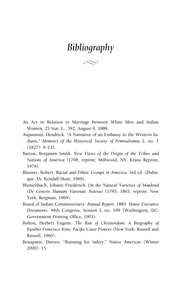## Bibliography

 $\sim$ 

An Act in Relation to Marriage between White Men and Indian Women, 25 Stat. L., 392, August 9, 1888.

- Aupaumut, Hendrick. ''A Narrative of an Embassy to the Western Indians,'' Memoirs of the Historical Society of Pennsulvania 2, no. 1 (1827): 9–131.
- Barton, Benjamin Smith. New Views of the Origin of the Tribes and Nations of America (1798, reprint; Millwood, NY: Kraus Reprint, 1976).
- Blauner, Robert. Racial and Ethnic Groups in America, 3rd ed. (Dubuque, IA: Kendall Hunt, 1969).
- Blumenbach, Johann Friederich. On the Natural Varieties of Mankind (De Generis Humani Varietate Nativa) (1795; 1865, reprint; New York: Bergman, 1969).
- Board of Indian Commissioners. Annual Report, 1885. House Executive Documents. 49th Congress, Session I, no. 109 (Washington, DC: Government Printing Office, 1901).
- Bolton, Herbert Eugene. The Rim of Christendom: A Biography of Eusebio Francisco Kino, Pacific Coast Pioneer (New York: Russell and Russell, 1960).
- Bonaparte, Darren. ''Running for Safety,'' Native Americas (Winter 2000): 15.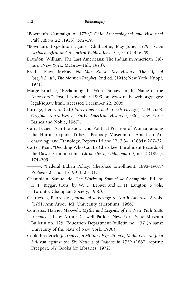- ''Bowman's Campaign of 1779,'' Ohio Archaeological and Historical Publications 22 (1913): 502–19.
- ''Bowman's Expedition against Chillicothe, May–June, 1779,'' Ohio Archaeological and Historical Pubilcations 19 (1910): 446–59.
- Brandon, William. The Last Americans: The Indian in American Culture (New York: McGraw-Hill, 1973).
- Brodie, Fawn McKay. No Man Knows My History: The Life of Joseph Smith, The Mormon Prophet, 2nd ed. (1945; New York: Knopf, 1971).
- Marge Bruchac, ''Reclaiming the Word 'Squaw' in the Name of the Ancestors,'' Posted November 1999 on www.nativeweb.org/pages/ legal/squaw.html. Accessed December 22, 2005.
- Burrage, Henry S., (ed.) Early English and French Voyages, 1534–1608: Original Narratives of Early American History (1906; New York: Barnes and Noble, 1967).
- Carr, Lucien. ''On the Social and Political Position of Woman among the Huron-Iroquois Tribes,'' Peabody Museum of American Archaeology and Ethnology, Reports 16 and 17, 3.3–4 (1884): 207–32.
- Carter, Kent. ''Deciding Who Can Be Cherokee: Enrollment Records of the Dawes Commission,'' Chronicles of Oklahoma 69, no. 2 (1991): 174–205.
- ———. ''Federal Indian Policy: Cherokee Enrollment, 1898–1907,'' Prologue 23, no. 1 (1991): 25–31.
- Champlain, Samuel de. The Works of Samuel de Champlain, Ed. by H. P. Biggar, trans. by W. D. LeSuer and H. H. Langton. 6 vols. (Toronto: Champlain Society, 1936).
- Charlevois, Pierre de. Journal of a Voyage to North America. 2 vols. (1761; Ann Arbor, MI: University Microfilms, 1966).
- Converse, Harriet Maxwell. Myths and Legends of the New York State Iroquois, ed. by Arthur Caswell Parker. New York State Museum Bulletin no. 125, Education Department Bulletin no. 437 (Albany: University of the State of New York, 1908).
- Cook, Frederick. Journals of a Military Expedition of Major General John Sullivan against the Six Nations of Indians in 1779 (1887, reprint; Freeport, NY: Books for Libraries, 1972).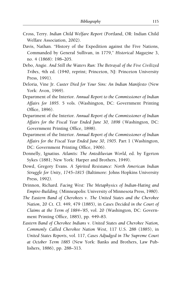- Cross, Terry. Indian Child Welfare Report (Portland, OR: Indian Child Welfare Association, 2002).
- Davis, Nathan. ''History of the Expedition against the Five Nations, Commanded by General Sullivan, in 1779,'' Historical Magazine 3, no. 4 (1868): 198–205.
- Debo, Angie. And Still the Waters Run: The Betrayal of the Five Civilized Tribes, 4th ed. (1940, reprint; Princeton, NJ: Princeton University Press, 1991).
- Deloria, Vine Jr. Custer Died for Your Sins: An Indian Manifesto (New York: Avon, 1969).
- Department of the Interior. Annual Report to the Commissioner of Indian Affairs for 1895. 5 vols. (Washington, DC: Government Printing Office, 1896).
- Department of the Interior. Annual Report of the Commissioner of Indian Affairs for the Fiscal Year Ended June 30, 1898 ( Washington, DC: Government Printing Office, 1898).
- Department of the Interior. Annual Report of the Commissioner of Indian Affairs for the Fiscal Year Ended June 30, 1905. Part 1 ( Washington, DC: Government Printing Office, 1906).
- Donnelly, Ignatius. Atlantis: The Antediluvian World, ed. by Egerton Sykes (1881; New York: Harper and Brothers, 1949).
- Dowd, Gregory Evans. A Spirited Resistance: North American Indian Struggle for Unity, 1745–1815 (Baltimore: Johns Hopkins University Press, 1992).
- Drinnon, Richard. Facing West: The Metaphysics of Indian-Hating and Empire-Building. (Minneapolis: University of Minnesota Press, 1980).
- The Eastern Band of Cherokees v. The United States and the Cherokee Nation, 20 Ct. Cl. 449, 479 (1885), in Cases Decided in the Court of Claims at the Term of 1884–'85, vol. 20 (Washington, DC: Government Printing Office, 1885), pp. 449–83.
- Eastern Band of Cherokee Indians v. United States and Cherokee Nation, Commonly Called Cherokee Nation West, 117 U.S. 288 (1885), in United States Reports, vol. 117, Cases Adjudged in The Supreme Court at October Term 1885 (New York: Banks and Brothers, Law Publishers, 1886), pp. 288–313.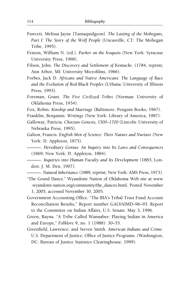- Fawcett, Melissa Jayne [Tantaquidgeon]. The Lasting of the Mohegans, Part I: The Story of the Wolf People (Uncasville, CT: The Mohegan Tribe, 1995).
- Fenton, William N. (ed.). Parker on the Iroquois (New York: Syracuse University Press, 1968).
- Filson, John. The Discovery and Settlement of Kentucke. (1784, reprint; Ann Arbor, MI: University Microfilms, 1966).
- Forbes, Jack D. Africans and Native Americans: The Language of Race and the Evolution of Red-Black Peoples (Urbana: University of Illinois Press, 1993).
- Foreman, Grant. The Five Civilized Tribes (Norman: University of Oklahoma Press, 1934).
- Fox, Robin. Kinship and Marriage (Baltimore: Penguin Books, 1967).
- Franklin, Benjamin. Writings (New York: Library of America, 1987).
- Galloway, Patricia. Choctaw Genesis, 1500–1700 (Lincoln: University of Nebraska Press, 1995).
- Galton, Francis. English Men of Science: Their Nature and Nurture (New York: D. Appleton, 1875).

- ———. Inquiries into Human Faculty and Its Development (1883; London: J. M. Den, 1907).
	- ———. Natural Inheritance (1889, reprint; New York: AMS Press, 1973).
- ''The Gourd Dance.'' Wyandotte Nation of Oklahoma Web site at www .wyandotte-nation.org/community/the\_dances.html. Posted November 1, 2005, accessed November 30, 2005.
- Government Accounting Office. ''The BIA's Tribal Trust Fund Account Reconciliation Results,'' Report number GAO/AIMD–96–93. Report to the Committee on Indian Affairs, U.S. Senate. May 3, 1996.
- Green, Rayna. ''A Tribe Called Wannabee: Playing Indian in America and Europe,'' Folklore 9, no. 1 (1988): 30–55.
- Greenfield, Lawrence, and Steven Smith. American Indians and Crime. U.S. Department of Justice, Office of Justice Programs. (Washington, DC: Bureau of Justice Statistics Clearinghouse, 1999).

<sup>———.</sup> Hereditary Genius: An Inquiry into Its Laws and Consequences (1869; New York: D. Appleton, 1884).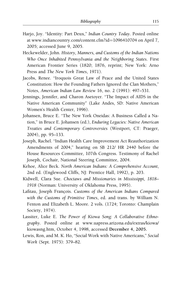- Harjo, Joy. ''Identity: Part Deux,'' Indian Country Today. Posted online at www.indiancountry.com/content.cfm?id= $1096410704$  on April 7, 2005; accessed June 9, 2005.
- Heckewelder, John. History, Manners, and Customs of the Indian Nations Who Once Inhabited Pennsylvania and the Neighboring States. First American Frontier Series (1820; 1876, reprint; New York: Arno Press and The New York Times, 1971).
- Jacobs, Renee. ''Iroquois Great Law of Peace and the United States Constitution: How the Founding Fathers Ignored the Clan Mothers,'' Notes, American Indian Law Review 16, no. 2 (1991): 497–531.
- Jennings, Jennifer, and Charon Asetoyer. ''The Impact of AIDS in the Native American Community'' (Lake Andes, SD: Native American Women's Health Center, 1996).
- Johansen, Bruce E. ''The New York Oneidas: A Business Called a Nation,'' in Bruce E. Johansen (ed.), Enduring Legacies: Native American Treaties and Contemporary Controversies (Westport, CT: Praeger, 2004), pp. 95–133.
- Joseph, Rachel. ''Indian Health Care Improvement Act Reauthorization Amendments of 2004,'' hearing on SB 212/ HR 2440 before the House Resources Committee, 107th Congress. Testimony of Rachel Joseph, Cochair, National Steering Committee, 2004.
- Kehoe, Alice Beck. North American Indians: A Comprehensive Account, 2nd ed. (Englewood Cliffs, NJ: Prentice Hall, 1992), p. 203.
- Kidwell, Clara Sue. Choctaws and Missionaries in Mississippi, 1818– 1918 (Norman: University of Oklahoma Press, 1995).
- Lafitau, Joseph François. Customs of the American Indians Compared with the Customs of Primitive Times, ed. and trans. by William N. Fenton and Elizabeth L. Moore. 2 vols. (1724; Toronto: Champlain Society, 1974).
- Lassiter, Luke E. The Power of Kiowa Song: A Collaborative Ethnography. Posted online at www.uapress.arizona.edu/extras/kiowa/ kiowasng.htm, October 4, 1998, accessed December 4, 2005.
- Lewis, Ron, and M. K. Ho, "Social Work with Native Americans," Social Work (Sept. 1975): 379–82.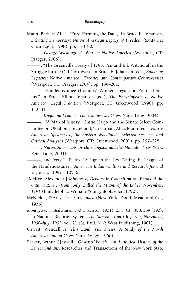Mann, Barbara Alice. ''Euro-Forming the Data,'' in Bruce E. Johansen, Debating Democracy: Native American Legacy of Freedom (Santa Fe: Clear Light, 1998), pp. 178–80.

———. George Washington's War on Native America (Westport, CT: Praeger, 2005).

———. ''The Greenville Treaty of 1795: Pen-and-Ink Witchcraft in the Struggle for the Old Northwest'' in Bruce E. Johansen (ed.), Enduring Legacies: Native American Treaties and Contemporary Controversies (Westport, CT: Praeger, 2004), pp. 136–201.

———. ''Haudenosaunee (Iroquois) Women, Legal and Political Status,'' in Bruce Elliott Johansen (ed.), The Encyclopedia of Native American Legal Tradition (Westport, CT: Greenwood, 1998), pp. 112–31.

———. Iroquoian Women: The Gantowisas (New York: Lang, 2004).

———. '' 'A Man of Misery': Chitto Harjo and the Senate Select Committee on Oklahoma Statehood,'' in Barbara Alice Mann (ed.), Native American Speakers of the Eastern Woodlands: Selected Speeches and Critical Analyses (Westport, CT: Greenwood, 2001), pp. 197–228.

———. Native Americans, Archaeologists, and the Mounds (New York: Peter Lang, 2003).

———, and Jerry L. Fields, ''A Sign in the Sky: Dating the League of the Haudenosaunee,'' American Indian Culture and Research Journal 21, no. 2 (1997): 105–63.

- [McKee, Alexander.] Minutes of Debates in Council on the Banks of the Ottawa River, (Commonly Called the Miami of the Lake), November, 1791 (Philadelphia: William Young, Bookseller, 1792).
- McNickle, D'Arcy. The Surrounded (New York: Dodd, Mead and Co., 1936).
- Montoya v. United States, 180 U.S., 261 (1901); 21 S. Ct., 358, 359 (190), in National Reporter System, The Supreme Court Reporter, November, 1900–July, 1901, vol. 21 (St. Paul, MN: West Publishing, 1901).
- Oswalt, Wendell H. This Land Was Theirs: A Study of the North American Indian (New York: Wiley, 1966).
- Parker, Arthur C[aswell] [Gawaso Waneh]. An Analytical History of the Seneca Indians. Researches and Transactions of the New York State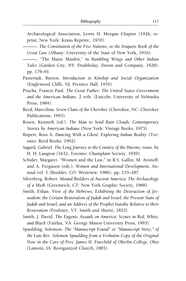Archaeological Association, Lewis H. Morgan Chapter (1926, reprint; New York: Kraus Reprint., 1970).

- ———. The Constitution of the Five Nations, or the Iroquois Book of the Great Law (Albany: University of the State of New York, 1916).
- ———. ''The Maize Maiden,'' in Rumbling Wings and Other Indian Tales (Garden City, NY: Doubleday, Doran and Company, 1928), pp. 179–91.
- Pasternak, Burton. Introduction to Kinship and Social Organization (Englewood Cliffs, NJ: Prentice Hall, 1976).
- Prucha, Francis Paul. The Great Father: The United States Government and the American Indians. 2 vols. (Lincoln: University of Nebraska Press, 1984).
- Reed, Marcelina. Seven Clans of the Cherokee (Cherokee, NC: Cherokee Publications, 1993).
- Rosen, Kenneth (ed.). The Man to Send Rain Clouds: Contemporary Stories by American Indians (New York: Vintage Books, 1975).
- Rupert, Ross A. Dancing With a Ghost: Exploring Indian Reality (Toronto: Reed Books, 1992).
- Sagard, Gabriel. The Long Journey to the Country of the Hurons, trans. by H. H. Langton (1632; Toronto: Champlain Society, 1939).
- Schuler, Margaret. "Women and the Law," in R.S. Gallin, M. Aronoff, and A. Ferguson (eds.), Women and International Development, Annual vol. 1 (Boulder, CO: Westview: 1986), pp. 155–187.
- Silverberg, Robert. Mound Builders of Ancient America: The Archaeology of a Myth (Greenwich, CT: New York Graphic Society, 1968).
- Smith, Ethan. View of the Hebrews; Exhibiting the Destruction of Jerusalem; the Certain Restoration of Judah and Israel; the Present State of Judah and Israel; and an Address of the Prophet Isaiahy Relative to their Restoration (Poultney, VT: Smith and Shurte, 1823).
- Smith, J. David. The Eugenic Assault on America: Scenes in Red, White, and Black (Fairfax, VA: George Mason University Press, 1993).
- Spaulding, Solomon. The ''Manuscript Found'' or ''Manuscript Story,'' of the Late Rev. Solomon Spaulding from a Verbatim Copy of the Original Now in the Care of Pres. James H. Fiarchild of Oberlin College, Ohio (Lamoni, IA: Reorganized Church, 1885).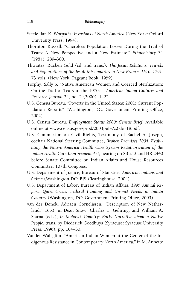- Steele, Ian K. Warpaths: Invasions of North America (New York: Oxford University Press, 1994).
- Thornton Russell. ''Cherokee Population Losses During the Trail of Tears: A New Perspective and a New Estimate," Ethnohistory 31 (1984): 289–300.
- Thwaites, Rueben Gold (ed. and trans.). The Jesuit Relations: Travels and Explorations of the Jesuit Missionaries in New France, 1610–1791. 73 vols. (New York: Pageant Book, 1959).
- Torphy, Sally S. ''Native American Women and Coerced Sterilization: On the Trail of Tears in the 1970's,'' American Indian Cultures and Research Journal 24, no. 2 (2000): 1–22.
- U.S. Census Bureau. ''Poverty in the United States: 2001: Current Population Reports'' (Washington, DC: Government Printing Office, 2002).
- U.S. Census Bureau. Employment Status 2000: Census Brief. Available online at www.census.gov/prod/2003pubs/c2kbr-18.pdf.
- U.S. Commission on Civil Rights, Testimony of Rachel A. Joseph, cochair National Steering Committee, Broken Promises 2004. Evaluating the Native America Health Care System Reauthorization of the Indian Health Care Improvement Act; hearing on SB 212 and HR 2440 before Senate Committee on Indian Affairs and House Resources Committee, 107th Congress.
- U.S. Department of Justice, Bureau of Statistics. American Indians and Crime (Washington DC: BJS Clearinghouse, 2004).
- U.S. Department of Labor, Bureau of Indian Affairs. 1995 Annual Report, Quiet Crisis: Federal Funding and Un-met Needs in Indian Country (Washington, DC: Government Printing Office, 2003).
- van der Donck, Adriaen Cornelissen. ''Description of New Netherland,'' 1653. in Dean Snow, Charles T. Gehring, and William A. Starna (eds.), In Mohawk Country: Early Narrative about a Native People, trans. by Diederick Goedhuys (Syracuse: Syracuse University Press, 1996), pp. 104–30.
- Vander Wall, Jim. ''American Indian Women at the Center of the Indigenous Resistance in Contemporary North America,'' in M. Annette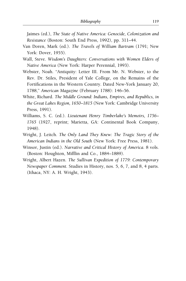Jaimes (ed.), The State of Native America: Genocide, Colonization and Resistance (Boston: South End Press, 1992), pp. 311–44.

- Van Doren, Mark (ed.). The Travels of William Bartram (1791; New York: Dover, 1955).
- Wall, Steve. Wisdom's Daughters: Conversations with Women Elders of Native America (New York: Harper Perennial, 1993).
- Webster, Noah. ''Antiquity: Letter III. From Mr. N. Webster, to the Rev. Dr. Stiles, President of Yale College, on the Remains of the Fortifications in the Western Country. Dated New-York January 20, 1788,'' American Magazine (February 1788): 146–56.
- White, Richard. The Middle Ground: Indians, Empires, and Republics, in the Great Lakes Region, 1650–1815 (New York: Cambridge University Press, 1991).
- Williams, S. C. (ed.). Lieutenant Henry Timberlake's Memoirs, 1756– 1765 (1927, reprint; Marietta, GA: Continental Book Company, 1948).
- Wright, J. Leitch. The Only Land They Knew: The Tragic Story of the American Indians in the Old South (New York: Free Press, 1981).
- Winsor, Justin (ed.). Narrative and Critical History of America. 8 vols. (Boston: Houghton, Mifflin and Co., 1884–1889).
- Wright, Albert Hazen. The Sullivan Expedition of 1779: Contemporary Newspaper Comment. Studies in History, nos. 5, 6, 7, and 8, 4 parts. (Ithaca, NY: A. H. Wright, 1943).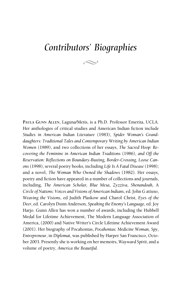## Contributors' Biographies

 $\sim$ 

PAULA GUNN ALLEN, Laguna/Metis, is a Ph.D. Professor Emerita, UCLA. Her anthologies of critical studies and American Indian fiction include Studies in American Indian Literature (1983), Spider Woman's Granddaughters: Traditional Tales and Contemporary Writing by American Indian Women (1989), and two collections of her essays, The Sacred Hoop: Recovering the Feminine in American Indian Traditions (1986), and Off the Reservation: Reflections on Boundary-Busting, Border-Crossing, Loose Canons (1998), several poetry books, including Life Is A Fatal Disease (1998); and a novel, The Woman Who Owned the Shadows (1982). Her essays, poetry and fiction have appeared in a number of collections and journals, including, The American Scholar, Blue Mesa, Zyzziva, Shenandoah, A Circle of Nations: Voices and Visions of American Indians, ed. John G attuso, Weaving the Visions, ed Judith Plaskow and Charol Christ, Eyes of the Deer, ed. Carolyn Dunn Anderson, Speaking the Enemy's Language, ed. Joy Harjo. Gunn Allen has won a number of awards, including the Hubbell Medal for Lifetime Achievement, The Modern Language Association of America, (2000) and Native Writer's Circle Lifetime Achievement Award (2001). Her biography of Pocahontas, Pocahontas: Medicine Woman, Spy, Entrepreneur, in Diplomat, was published by Harper San Francisco, October 2003. Presently she is working on her memoirs, Wayward Spirit, and a volume of poetry, America the Beautiful.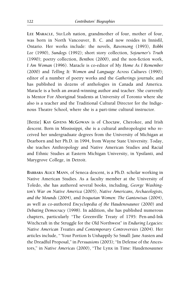LEE MARACLE, Sto:Loh nation, grandmother of four, mother of four, was born in North Vancouver, B. C. and now resides in Innisfil, Ontario. Her works include: the novels, Ravensong (1993), Bobbi Lee (1990), Sundogs (1992); short story collection, Sojourner's Truth (1990); poetry collection, Bentbox (2000), and the non-fiction work, I Am Woman (1996). Maracle is co-editor of My Home As I Remember (2000) and Telling It: Women and Language Across Cultures (1990); editor of a number of poetry works and the Gatherings journals; and has published in dozens of anthologies in Canada and America. Maracle is a both an award-winning author and teacher. She currently is Mentor For Aboriginal Students at University of Toronto where she also is a teacher and the Traditional Cultural Director for the Indigenous Theatre School, where she is a part-time cultural instructor.

[Bettie] KAY GIVENS MCGOWAN is of Choctaw, Cherokee, and Irish descent. Born in Mississippi, she is a cultural anthropologist who received her undergraduate degrees from the University of Michigan at Dearborn and her Ph.D. in 1994, from Wayne State University. Today, she teaches Anthropology and Native American Studies and Racial and Ethnic Studies at Eastern Michigan University, in Ypsilanti, and Marygrove College, in Detroit.

BARBARA ALICE MANN, of Seneca descent, is a Ph.D. scholar working in Native American Studies. As a faculty member at the University of Toledo, she has authored several books, including, George Washington's War on Native America (2005), Native Americans, Archaeologists, and the Mounds (2004), and Iroquoian Women: The Gantowisas (2004), as well as co-authored Encyclopedia of the Haudenosaunee (2000) and Debating Democracy (1998). In addition, she has published numerous chapters, particularly ''The Greenville Treaty of 1795: Pen-and-Ink Witchcraft in the Struggle for the Old Northwest" in Enduring Legacies: Native American Treaties and Contemporary Controversies (2004). Her articles include, '' 'Your Portion Is Unhappily So Small: Jane Austen and the Dreadful Proposal," in Persuasions (2003); "In Defense of the Ancestors,'' in Native Americas (2000), ''The Lynx in Time: Haudenosaunee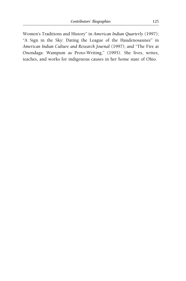Women's Traditions and History'' in American Indian Quarterly (1997); ''A Sign in the Sky: Dating the League of the Haudenosaunee'' in American Indian Culture and Research Journal (1997); and ''The Fire at Onondaga: Wampum as Proto-Writing,'' (1995). She lives, writes, teaches, and works for indigenous causes in her home state of Ohio.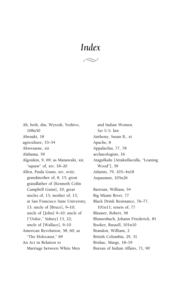## Index

 $\sim$ 

Ab, beth, din, Wyrosh, Yeshivo, 108n50 Abenaki, 18 agriculture, 53–54 Akwesasne, xii Alabama, 59 Algonkin, 9, 69; as Manawaki, xii; ''squaw'' of, xiv, 18–20 Allen, Paula Gunn, xiv, xviii; grandmother of, 8, 15; great grandfather of [Kenneth Colin Campbell Gunn], 10; great uncles of, 13; mother of, 13; at San Francisco State University, 13; uncle of [Bruce], 9–10; uncle of [John] 9–10; uncle of [''Ookie,'' Sidney] 13, 22; uncle of [Wallace], 9–10 American Revolution, 58, 60; as ''The Holocaust,'' 69 An Act in Relation to Marriage between White Men

and Indian Women. See U.S. law Anthony, Susan B., xi Apache, 8 Appalachia, 77, 78 archaeologists, 16 Atagulkalu [Attakullaculla, ''Leaning Wood''], 59 Atlantis, 79, 103–4n18 Aupaumut, 105n26 Bartram, William, 54 Big Miami River, 77 Black Drink Resistance, 76–77, 101n11; tenets of, 77 Blauner, Robert, 58 Blumenbach, Johann Friederick, 81 Booker, Russell, 101n10 Brandon, William, 2 British Columbia, 29, 31 Bruhac, Marge, 18–19 Bureau of Indian Affairs, 71, 90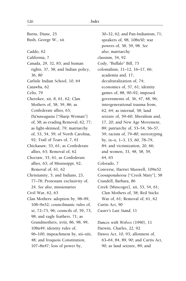Burns, Diane, 25 Bush, George W., xii Caddo, 62 California, 7 Canada, 29, 32, 83; and human rights, 37, 38; and Indian policy, 36, 80 Carlisle Indian School, 10, 64 Catawba, 62 Celts, 79 Cherokee, xii, 8, 61, 62; Clan Mothers of, 58, 59, 86; as Confederate allies, 63; Da'nawagasta [''Sharp Woman''] of, 58; as evading Removal, 62, 77; as light-skinned, 79; matriarchy of, 53, 54, 59; of North Carolina, 92; Trail of Tears of, 7, 61 Chickasaw, 53, 61; as Confederate allies, 63; Removal of, 62 Choctaw, 53, 61; as Confederate allies, 63; of Mississippi, 92; Removal of, 61, 62 Christianity, 5; and Indians, 23, 77–78; Protestant exclusivity of, 24. See also, missionaries Civil War, 62, 63 Clan Mothers: adoption by, 98–99, 108–9n52; councilmanic rules of, xi, 72–73, 96; councils of, 59, 73, 98; and eagle feathers, 71; as Grandmothers, xviii, 86, 98, 99, 108n49; identity rules of, 96–100; impeachment by, xii–xiii, 48; and Iroquois Constitution, 107–8n47; loss of power by,

30–32, 62; and Pan-Indianism, 71; speakers of, 98, 108n50; war powers of, 58, 59, 98. See also, matriarchy classism, 34, 92 Cody, ''Buffalo'' Bill, 73 colonialism, 11–12, 16–17, 66; academia and, 17; deculturalization of, 74; economics of, 57, 61; identity games of, 88, 90–92; imposed governments of, 36, 47, 48, 96; intergenerational trauma from, 62, 64; as internal, 58; land seizure of, 59–60; liberalism and, 17, 20; and New Age Movement, 89; patriarchy of, 53–54, 56–57, 59; racism of, 79–80; stereotyping by, ix–x, 1–3, 15, 60, 78–79, 84; and victimization, 20, 66; and women, 33, 48, 58, 59, 64, 65 Colorado, 7 Converse, Harriet Maxwell, 109n52 Coosaponakeesa [''Creek Mary''], 58 Crandell, Barbara, 86 Creek [Muscogee], xii, 53, 54, 61; Clan Mothers of, 58; Red Sticks War of, 61; Removal of, 61, 62 Curtis Act, 90 Custer's Last Stand, 11 Dances with Wolves (1990), 11 Darwin, Charles, 22, 92 Dawes Act, 10, 93; allotment of, 63–64, 84, 89, 90; and Curtis Act,

90; as land seizure, 89; and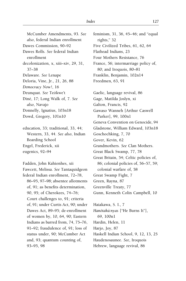| McCumber Amendments, 93. See         |
|--------------------------------------|
| also, federal Indian enrollment      |
| Dawes Commission, 90-92              |
| Dawes Rolls. See federal Indian      |
| enrollment                           |
| decolonization, x, xiii-xiv, 29, 31, |
| $37 - 38$                            |
| Delaware. See Lenape                 |
| Deloria, Vine, Jr., 21, 26, 88       |
| Democracy Now!, 16                   |
| Deunquat. See Teökwe't               |
| Diné, 17; Long Walk of, 7. See       |
| <i>also</i> , Navajo                 |
| Donnelly, Ignatius, 103n18           |
| Dowd, Gregory, 101n10                |
|                                      |
| education, 33; traditional, 33, 44;  |

Western, 33, 44. See also, Indian Boarding School Engel, Frederick, xii eugenics, 92–94

Fadden, John Kahionhes, xii Fawcett, Melissa. See Tantaquidgeon federal Indian enrollment, 72–78, 86–95, 97–98; absentee allotments of, 91; as benefits determination, 90, 95; of Cherokees, 74–76; Court challenges to, 91; criteria of, 91; under Curtis Act, 90; under Dawes Act, 89–95; de-enrollment of women by, 10, 64, 90; Eastern Indians as barred from, 74, 75–76, 91–92; fraudulence of, 91; loss of status under, 90; McCumber Act and, 93; quantum counting of, 93–95, 98

feminism, 31, 36, 45–46; and ''equal rights,'' 32 Five Civilized Tribes, 61, 62, 64 Flathead Indians, 23 Four Mothers Resistance, 76 France, 56; intermarriage policy of, 80; and Iroquois, 80–81 Franklin, Benjamin, 102n14 Freedmen, 63, 91

Gaelic, language revival, 86 Gage, Matilda Joslyn, xi Galton, Francis, 92 Gawaso Wanneh [Arthur Caswell Parker], 99, 100n1 Geneva Convention on Genocide, 94 Gladstone, William Edward, 103n18 Goschochking, 7, 70 Gover, Kevin, 62 Grandmothers. See Clan Mothers. Great Black Swamp, 77, 78 Great Britain, 54; Celtic policies of, 86; colonial policies of, 56–57, 59; colonial warfare of, 58 Great Swamp Fight, 7 Green, Rayna, 87 Greenville Treaty, 77

Gunn, Kenneth Colin Campbell, 10

Haiakawa, S. I., 7 Hanötaká:nyas ["He Burns It"], 69, 100n1 Hardin, Helen, 11 Harjo, Joy, 87 Haskell Indian School, 9, 12, 13, 25 Haudenosaunee. See, Iroquois Hebrew, language revival, 86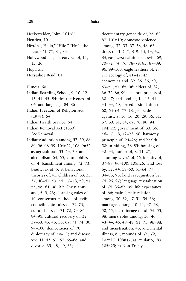Heckewelder, John, 101n11 Henrico, 10 Hë:töh ["Hetlo," "Hilo," "He Is the Leader''], 77, 81, 83 Hollywood, 11; stereotypes of, 11, 15, 20 Hopi, xii Horseshoe Bend, 61 Illinois, 60 Indian Boarding School, 9, 10, 12,

13, 44, 45, 84; destructiveness of, 64; and language, 84–86 Indian Freedom of Religion Act (1978), 64

- Indian Health Service, 64
- Indian Removal Act (1830). See Removal
- Indians: adoption among, 57, 59, 88, 89, 96, 98–99, 104n22, 108–9n52; as agricultural, 53–54, 70; and alcoholism, 64, 65; automobiles of, 4; banishment among, 72, 73; beadwork of, 5, 9; behavioral theories of, 41; children of, 33, 35, 37, 40–41, 43, 44, 47–48, 50, 54, 55, 56, 64, 90, 97; Christianity and, 5, 9, 23; cleansing rules of, 40; consensus methods of, xvii; councilmanic rules of, 72–73; cultural loss of, 71–72, 74–86, 94–95; cultural recovery of, 32, 37–38, 45, 46, 53, 67, 71, 74, 86, 94–100; democracies of, 70; diplomacy of, 40–41; and disease, xiv, 41, 43, 51, 57, 65–66; and divorce, 35, 48, 49, 55;

documentary genocide of, 76, 82, 87, 101n10; domestic violence among, 32, 33, 37–38, 48, 65; dress of, 3–5, 7, 8–9, 13, 14, 42, 84; east-west relations of, xviii, 69, 70–72, 74, 76, 78–79, 85, 87–89, 96, 99–100; eagle feathers of, 2, 71; ecology of, 41–42, 43; economics and, 32, 35, 36, 50, 53–54, 57, 65, 96; elders of, 32, 36, 72, 86, 99; electoral process of, 30, 47; and food, 4, 14–15, 41, 43–44, 50; forced assimilation of, 60, 63–64, 77–78; genocide against, 7, 10, 16, 20, 29, 36, 51, 57, 60, 61, 64, 69, 70, 90, 94, 104n22; government of, 33, 36, 46–47, 48, 72–73, 98; harmony principle of, 24–25; and health, 50; in hiding, 78–85; housing of, 42–43; humor of, 8, 21–27; ''hunting wives'' of, 56; identity of, 87–88, 96–100, 105n26; land loss by, 37, 44, 59–60, 61–64, 77, 84–86, 96; land reacquisition by, 74, 96, 97; language revitalization of, 74, 86–87, 99; life expectancy of, 66; male-female relations among, 30–32, 47–51, 54–56; marriage among, 10–11, 47–48, 50, 55; matrilineage of, xi, 54–55, 98; men's roles among, 30, 40, 43–44, 46, 48–49, 51, 71, 96–98; and menstruation, 43; and mental illness, 64; mounds of, 74, 79, 103n17, 108n47; as ''mulatto,'' 83, 105n25; as Non-Treaty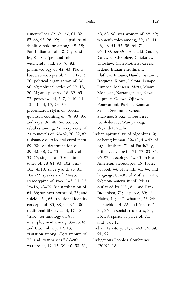(unenrolled) 72, 74–77, 81–82, 87–88, 95–96, 99; occupations of, 4; office-holding among, 48, 58; Pan-Indianism of, 10, 71; passing by, 81-84; "pen-and-inkwitchcraft" and, 75-76, 82; pharmacology of, 42–43; Plainsbased stereotypes of, 3, 11, 12, 15, 70; political organization of, 30, 58–60; political styles of, 17–18, 20–21; and poverty, 18, 32, 65, 73; powwows of, 5–7, 9–10, 11, 12, 13, 14, 15, 73–74; presentation styles of, 100n1; quantum-counting of, 78, 93–95; and rape, 36, 48, 64, 65, 66; rebukes among, 72; reciprocity of, 24; removals of, 60–62, 70, 82, 87; resistance of to federal enrollment, 89–90; self-determination of, 29–32, 38, 72–73; sexuality of, 55–56; singers of, 5–6; skin tones of, 78–81, 93, 102–3n17, 103–4n18; Slavery and, 80–81, 104n22; speakers of, 72–73; stereotyping of, ix–x, 1–3, 11, 12, 15–16, 78–79, 84; sterilization of, 64, 66; stranger houses of, 73; and suicide, 64, 65; traditional identity concepts of, 85, 88, 94, 95–100; traditional life-styles of, 17–18; ''tribe'' terminology of, 89; unemployment among, 35–36, 65; and U.S. military, 12, 13; visitation among, 73; wampum of, 72; and ''wannabees,'' 87–88; warfare of, 12–13, 39–40, 50, 51,

58, 63, 98; war women of, 58, 59; women's roles among, 30, 43–44, 46, 48–51, 53–58, 64, 71, 95–100. See also, Abenaki, Caddo, Catawba, Cherokee, Chickasaw, Choctaw, Clan Mothers, Creek, federal Indian enrollment, Flathead Indians, Haudenosaunee, Iroquois, Kiowa, Lakota, Lenape, Lumbee, Mahican, Métis, Miami, Mohegan, Narrangansett, Navajo, Nipmuc, Odawa, Ojibway, Potawatomi, Pueblo, Removal, Salish, Seminole, Seneca, Shawnee, Sioux, Three Fires Confederacy, Wampanoag, Wyandot, Yuchi

Indian spirituality: of Algonkins, 9; of being human, 39–40, 41–42; of eagle feathers, 71; of Earth/Sky, xiii–xiv, xvii–xviii, 71, 77, 85–86, 96–97; of ecology, 42, 43; in Euro-American stereotypes, 15–16, 22; of food, 44; of health, 41, 44; and language, 85–86; of Mother Earth, 97; non-materiality of, 24; as outlawed by U.S., 64; and Pan-Indianism, 71; of peace, 39; of Plains, 14; of Powhattan, 23–24; of Pueblo, 14, 22; and "reality," 34, 36; in social structures, 34, 36, 38; spirits of place of, 71; and war, 12 Indian Territory, 61, 62–63, 76, 89,

91, 92

Indigenous People's Conference (2002), 18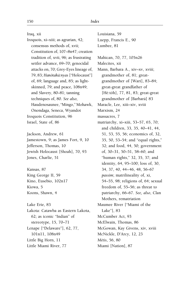| Iraq, xii                              | Louisiana, 59                       |
|----------------------------------------|-------------------------------------|
| Iroquois, xi-xiii; as agrarian, 42;    | Luepp, Francis E., 90               |
| consensus methods of, xvii;            | Lumbee, 81                          |
| Constitution of, 107-8n47; creation    |                                     |
| tradition of, xvii, 96; as frustrating | Mahican, 70, 77, 105n26             |
| settler advance, 69-70; genocidal      | Malecites, xii                      |
| attacks on, 70; Grey-Eyes lineage of,  | Mann, Barbara A., xiv-xv, xviii;    |
| 79, 83; Hanötaká:nyas ["Holocaust"]    | grandmother of, 81; great-          |
| of, 69; language and, 85; as light-    | grandmother of [Warí], 83-84;       |
| skinned, 79; and peace, 108n49;        | great-great grandfather of          |
| and Slavery, 80-81; tanning            | [Hë:töh], 77, 81, 83; great-great   |
| techniques of, 80. See also,           | grandmother of [Barbará] 83         |
| Haudenosaunee, "Mingo," Mohawk,        | Maracle, Lee, xiii-xiv, xviii       |
| Onondaga, Seneca, Wyandot              | Marxism, 24                         |
| Iroquois Constitution, 96              | massacres, 7                        |
| Israel, State of, 86                   | matriarchy, xi-xiii, 53-57, 65, 70; |
|                                        | and children, 33, 35, 40-41, 44,    |
| Jackson, Andrew, 61                    | 51, 53, 55, 56; economics of, 32,   |
| Jamestown, 9; as James Fort, 9, 10     | 35, 50, 53-54; and "equal rights,"  |
| Jefferson, Thomas, 10                  | 32; and food, 44, 50; government    |
| Jewish Holocaust [Shoah], 70, 93       | of, 30-31, 50-51, 58-60; and        |
| Jones, Charlie, 51                     | "human rights," 32, 35, 37; and     |
|                                        | identity, 64, 95-100; loss of, 30,  |
| Kansas, 87                             | 34, 37, 40, 44-46, 48, 56-67        |
| King George II, 59                     | passim; matrilineality of, xi,      |
| Kino, Eusebio, 102n17                  | 54-55, 98; religions of, 64; sexual |
| Kiowa, 5                               | freedom of, 55-56; as threat to     |
| Koons, Shawn, 4                        | patriarchy, 66-67. See, also, Clan  |
|                                        | Mothers, rematriation               |
| Lake Erie, 83                          | Maumee River ["Miami of the         |
| Lakota: Catawba as Eastern Lakota,     | Lake"], 83                          |
| 62; as iconic "Indian" of              | McCumber Act, 93                    |
| stereotype, 15, 70-71                  | McElwain, Thomas, 86                |
| Lenape ["Delaware"], 62, 77,           | McGowan, Kay Givens, xiv, xviii     |
| 101n11, 108n49                         | McNickle, D'Arcy, 12, 23            |
| Little Big Horn, 11                    | Métis, 56, 80                       |
| Little Miami River, 77                 | Miami [Nation], 87                  |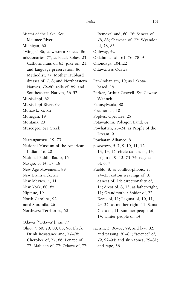Miami of the Lake. See, Maumee River Michigan, 60 ''Mingo,'' 86; as western Seneca, 86 missionaries, 77; as Black Robes, 23; Catholic nuns of, 83; joke on, 21; and language preservation, 86; Methodist, 77; Mother Hubbard dresses of, 7, 8; and Northeastern Natives, 79–80; rolls of, 89; and Southeastern Natives, 56–57 Mississippi, 62 Mississippi River, 69 Mohawk, xi, xii Mohegan, 19 Montana, 23 Muscogee. See Creek Narrangansett, 19, 73 National Museum of the American Indian, 16, 20 National Public Radio, 16 Navajo, 3, 14, 17, 18 New Age Movement, 89 New Brunswick, xii New Mexico, 4, 11 New York, 80, 85 Nipmuc, 19 North Carolina, 92 northSun: nila, 26 Northwest Territories, 60

Odawa [''Ottawa''], xii, 77 Ohio, 7, 60, 70, 80, 83, 96; Black Drink Resistance and, 77–78; Cherokee of, 77, 86; Lenape of, 77; Mahican of, 77; Odawa of, 77;

Removal and, 60, 78; Seneca of, 78, 83; Shawnee of, 77; Wyandot of, 78, 83 Ojibway, 42 Oklahoma, xii, 61, 76, 78, 91 Onondaga, 104n22 Ottawa. See Odawa Pan-Indianism, 10; as Lakotabased, 15 Parker, Arthur Caswell. See Gawaso Wanneh Pennsylvania, 80 Pocahontas, 10 Popkes, Opel Lee, 25 Potawatomi, Pokagon Band, 87 Powhattan, 23–24; as People of the Dream, 9 Powhatan Alliance, 8 powwows, 5–7, 9–10, 11, 12, 13, 14, 15; circle dances of, 14; origin of 9, 12, 73–74; regalia of, 6, 7 Pueblo, 8; as conflict-phobic, 7, 24–25; cotton weavings of, 3; dances of, 14; directionality of, 14; dress of, 8, 13; as father-right, 11; Grandmother Spider of, 22; Keres of, 11; Laguna of, 10, 11, 24–25; as mother-right, 11; Santa Clara of, 11; summer people of, 14; winter people of, 14

racism, 3, 36–37, 99; and law, 82; and passing, 81–84; "science" of, 79, 92–94; and skin tones, 79–81; and rape, 36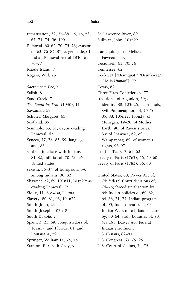St. Lawrence River, 80

| rematriation, 32, 37-38, 45, 46, 53,<br>67, 71, 74, 96-100 |
|------------------------------------------------------------|
| Removal, 60-62, 70, 75-76; evasion                         |
| of, 62, 76-85, 87; as genocide, 61;                        |
| Indian Removal Act of 1830, 61,                            |
| 76–77                                                      |
| Rhode Island, 7                                            |
| Rogers, Will, 26                                           |
|                                                            |
| Sacramento Bee, 7                                          |
| Salish, 8                                                  |
| Sand Creek, 7                                              |
| The Santa Fe Trail (1940), 11                              |
| Savannah, 58                                               |
| Schuler, Margaret, 65                                      |
| Scotland, 86                                               |
| Seminole, 53, 61, 62; as evading                           |
| Removal, 62                                                |
| Seneca, 77, 78, 83, 99; language                           |
| and, 85                                                    |
| settlers: interface with Indians,                          |
| 81-82; militias of, 70. See also,                          |
| <b>United States</b>                                       |
| sexism, 36-37; of Europeans, 34;                           |
| among Indians, 30, 32                                      |
| Shawnee, 62, 69, 101n11, 104n22; as                        |
| evading Removal, 77                                        |
| Sioux, 11. See also, Lakota                                |
| Slavery, 80-81, 93, 104n22                                 |
| Smith, John, 23                                            |
| Smith, Joseph, 103n18                                      |
| South Dakota, 7                                            |
| Spain, 3, 21, 69; conquistadors of,                        |
| 102n17; and Florida, 61; and                               |
| Louisisana, 59                                             |
| Springer, William D., 75, 76                               |
| Stanton, Elizabeth Cady, xi                                |

Sullivan, John, 104n22 Tantaquidgeon (''Melissa Fawcett''), 19 Tecumseh, 61, 70, 76 Tennessee, 62 Teökwe't ["Deunquat," "Deunkwat," ''He Is Human''], 77 Texas, 62 Three Fires Confederacy, 77 traditions: of Algonkin, 69; of identity, 88, 105n26; of Iroquois, xvii, 96; metaphors of, 75–76, 85, 88, 105n27, 105n28; of Mohegan, 19–20; of Mother Earth, 96; of Raven stories, 39; of Shawnee, 69; of Wampanoag, 69; of women's rights, 96–97 Trail of Tears, 7, 61, 62 Treaty of Paris (1763), 56, 59–60 Treaty of Paris (1783), 56, 60

United States, 60; Dawes Act of, 74; federal Court decisions of, 74–76; forced sterilization by, 64; Indian policies of, 60–62, 64–66, 71, 77; Indian programs of, 95; Indian treaties of, 63; Indian Wars of, 61; land seizure by, 60–64; scalp bounties of, 70. See also, Dawes Act, federal Indian enrollment

- U.S. Census, 82–83
- U.S. Congress, 63, 75, 95
- U.S. Court of Claims, 74–75